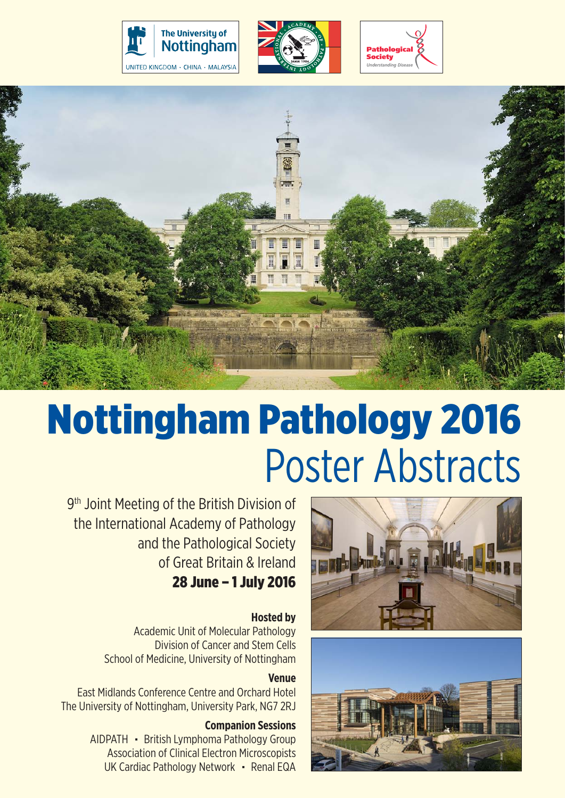







# Nottingham Pathology 2016 Poster Abstracts





9<sup>th</sup> Joint Meeting of the British Division of the International Academy of Pathology and the Pathological Society of Great Britain & Ireland 28 June – 1 July 2016

### **Hosted by**

Academic Unit of Molecular Pathology Division of Cancer and Stem Cells School of Medicine, University of Nottingham

### **Venue**

East Midlands Conference Centre and Orchard Hotel The University of Nottingham, University Park, NG7 2RJ

### **Companion Sessions**

AIDPATH  · British Lymphoma Pathology Group Association of Clinical Electron Microscopists UK Cardiac Pathology Network  · Renal EQA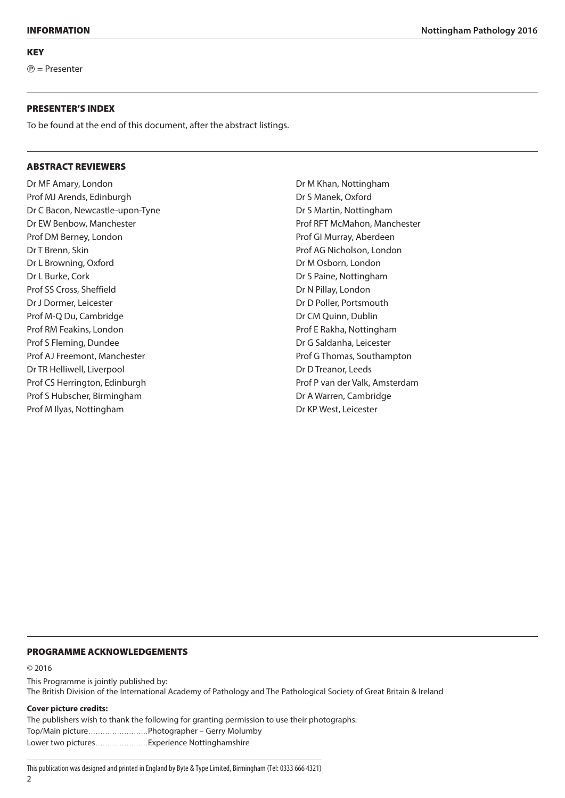#### **KEY**

 $(P)$  = Presenter

#### Presenter's Index

To be found at the end of this document, after the abstract listings.

#### Abstract Reviewers

Dr MF Amary, London Prof MJ Arends, Edinburgh Dr C Bacon, Newcastle-upon-Tyne Dr EW Benbow, Manchester Prof DM Berney, London Dr T Brenn, Skin Dr L Browning, Oxford Dr L Burke, Cork Prof SS Cross, Sheffield Dr J Dormer, Leicester Prof M-Q Du, Cambridge Prof RM Feakins, London Prof S Fleming, Dundee Prof AJ Freemont, Manchester Dr TR Helliwell, Liverpool Prof CS Herrington, Edinburgh Prof S Hubscher, Birmingham Prof M Ilyas, Nottingham

Dr M Khan, Nottingham Dr S Manek, Oxford Dr S Martin, Nottingham Prof RFT McMahon, Manchester Prof GI Murray, Aberdeen Prof AG Nicholson, London Dr M Osborn, London Dr S Paine, Nottingham Dr N Pillay, London Dr D Poller, Portsmouth Dr CM Quinn, Dublin Prof E Rakha, Nottingham Dr G Saldanha, Leicester Prof G Thomas, Southampton Dr D Treanor, Leeds Prof P van der Valk, Amsterdam Dr A Warren, Cambridge Dr KP West, Leicester

#### Programme acknowledgements

© 2016

This Programme is jointly published by: The British Division of the International Academy of Pathology and The Pathological Society of Great Britain & Ireland

#### **Cover picture credits:**

The publishers wish to thank the following for granting permission to use their photographs: Top/Main picture . . . . . . . . . . . . . . . . . . . . . . . . Photographer – Gerry Molumby Lower two pictures ............................ Experience Nottinghamshire

This publication was designed and printed in England by Byte & Type Limited, Birmingham (Tel: 0333 666 4321)

2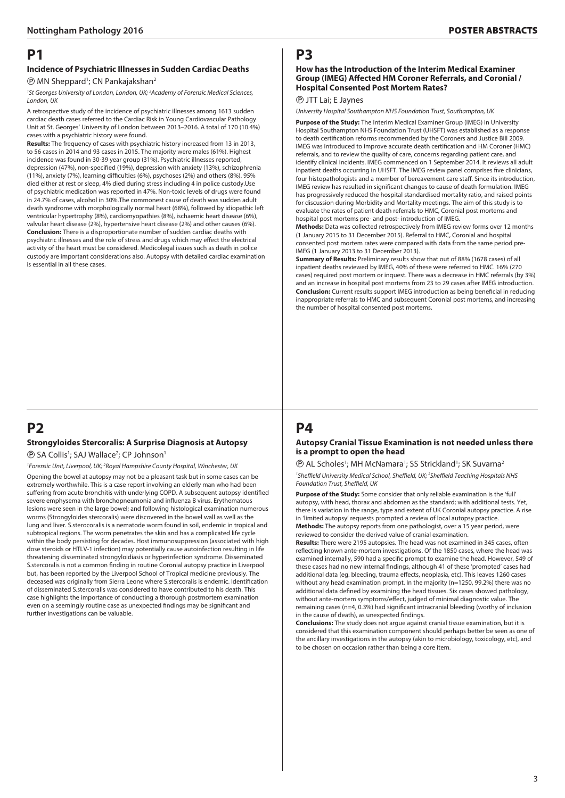### **Incidence of Psychiatric Illnesses in Sudden Cardiac Deaths**

*<b>P* MN Sheppard<sup>1</sup>; CN Pankajakshan<sup>2</sup>

*1 St Georges University of London, London, UK; 2 Academy of Forensic Medical Sciences, London, UK*

A retrospective study of the incidence of psychiatric illnesses among 1613 sudden cardiac death cases referred to the Cardiac Risk in Young Cardiovascular Pathology Unit at St. Georges' University of London between 2013–2016. A total of 170 (10.4%) cases with a psychiatric history were found.

**Results:** The frequency of cases with psychiatric history increased from 13 in 2013, to 56 cases in 2014 and 93 cases in 2015. The majority were males (61%). Highest incidence was found in 30-39 year group (31%). Psychiatric illnesses reported, depression (47%), non-specified (19%), depression with anxiety (13%), schizophrenia (11%), anxiety (7%), learning difficulties (6%), psychoses (2%) and others (8%). 95% died either at rest or sleep, 4% died during stress including 4 in police custody.Use of psychiatric medication was reported in 47%. Non-toxic levels of drugs were found in 24.7% of cases, alcohol in 30%.The commonest cause of death was sudden adult death syndrome with morphologically normal heart (68%), followed by idiopathic left ventricular hypertrophy (8%), cardiomyopathies (8%), ischaemic heart disease (6%), valvular heart disease (2%), hypertensive heart disease (2%) and other causes (6%). **Conclusion:** There is a disproportionate number of sudden cardiac deaths with psychiatric illnesses and the role of stress and drugs which may effect the electrical activity of the heart must be considered. Medicolegal issues such as death in police custody are important considerations also. Autopsy with detailed cardiac examination is essential in all these cases.

#### **P2 Strongyloides Stercoralis: A Surprise Diagnosis at Autopsy**

**(P SA Collis<sup>1</sup>; SAJ Wallace<sup>2</sup>; CP Johnson<sup>1</sup>** 

<sup>1</sup> Forensic Unit, Liverpool, UK; <sup>2</sup> Royal Hampshire County Hospital, Winchester, UK

Opening the bowel at autopsy may not be a pleasant task but in some cases can be extremely worthwhile. This is a case report involving an elderly man who had been suffering from acute bronchitis with underlying COPD. A subsequent autopsy identified severe emphysema with bronchopneumonia and influenza B virus. Erythematous lesions were seen in the large bowel; and following histological examination numerous worms (Strongyloides stercoralis) were discovered in the bowel wall as well as the lung and liver. S.sterocoralis is a nematode worm found in soil, endemic in tropical and subtropical regions. The worm penetrates the skin and has a complicated life cycle within the body persisting for decades. Host immunosuppression (associated with high dose steroids or HTLV-1 infection) may potentially cause autoinfection resulting in life threatening disseminated strongyloidiasis or hyperinfection syndrome. Disseminated S.stercoralis is not a common finding in routine Coronial autopsy practice in Liverpool but, has been reported by the Liverpool School of Tropical medicine previously. The deceased was originally from Sierra Leone where S.stercoralis is endemic. Identification of disseminated S.stercoralis was considered to have contributed to his death. This case highlights the importance of conducting a thorough postmortem examination even on a seemingly routine case as unexpected findings may be significant and further investigations can be valuable.

### **P3**

#### **How has the Introduction of the Interim Medical Examiner Group (IMEG) Affected HM Coroner Referrals, and Coronial / Hospital Consented Post Mortem Rates?**

#### P JTT Lai; E Jaynes

*University Hospital Southampton NHS Foundation Trust, Southampton, UK*

**Purpose of the Study:** The Interim Medical Examiner Group (IMEG) in University Hospital Southampton NHS Foundation Trust (UHSFT) was established as a response to death certification reforms recommended by the Coroners and Justice Bill 2009. IMEG was introduced to improve accurate death certification and HM Coroner (HMC) referrals, and to review the quality of care, concerns regarding patient care, and identify clinical incidents. IMEG commenced on 1 September 2014. It reviews all adult inpatient deaths occurring in UHSFT. The IMEG review panel comprises five clinicians, four histopathologists and a member of bereavement care staff. Since its introduction, IMEG review has resulted in significant changes to cause of death formulation. IMEG has progressively reduced the hospital standardised mortality ratio, and raised points for discussion during Morbidity and Mortality meetings. The aim of this study is to evaluate the rates of patient death referrals to HMC, Coronial post mortems and hospital post mortems pre- and post- introduction of IMEG.

**Methods:** Data was collected retrospectively from IMEG review forms over 12 months (1 January 2015 to 31 December 2015). Referral to HMC, Coronial and hospital consented post mortem rates were compared with data from the same period pre-IMEG (1 January 2013 to 31 December 2013).

**Summary of Results:** Preliminary results show that out of 88% (1678 cases) of all inpatient deaths reviewed by IMEG, 40% of these were referred to HMC. 16% (270 cases) required post mortem or inquest. There was a decrease in HMC referrals (by 3%) and an increase in hospital post mortems from 23 to 29 cases after IMEG introduction. **Conclusion:** Current results support IMEG introduction as being beneficial in reducing inappropriate referrals to HMC and subsequent Coronial post mortems, and increasing the number of hospital consented post mortems.

# **P4**

#### **Autopsy Cranial Tissue Examination is not needed unless there is a prompt to open the head**

**(B)** AL Scholes<sup>1</sup>; MH McNamara<sup>1</sup>; SS Strickland<sup>1</sup>; SK Suvarna<sup>2</sup>

<sup>1</sup> Sheffield University Medical School, Sheffield, UK; <sup>2</sup> Sheffield Teaching Hospitals NHS *Foundation Trust, Sheffield, UK*

**Purpose of the Study:** Some consider that only reliable examination is the 'full' autopsy, with head, thorax and abdomen as the standard; with additional tests. Yet, there is variation in the range, type and extent of UK Coronial autopsy practice. A rise in 'limited autopsy' requests prompted a review of local autopsy practice. **Methods:** The autopsy reports from one pathologist, over a 15 year period, were reviewed to consider the derived value of cranial examination.

**Results:** There were 2195 autopsies. The head was not examined in 345 cases, often reflecting known ante-mortem investigations. Of the 1850 cases, where the head was examined internally, 590 had a specific prompt to examine the head. However, 549 of these cases had no new internal findings, although 41 of these 'prompted' cases had additional data (eg. bleeding, trauma effects, neoplasia, etc). This leaves 1260 cases without any head examination prompt. In the majority (n=1250, 99.2%) there was no additional data defined by examining the head tissues. Six cases showed pathology, without ante-mortem symptoms/effect, judged of minimal diagnostic value. The remaining cases (n=4, 0.3%) had significant intracranial bleeding (worthy of inclusion in the cause of death), as unexpected findings.

**Conclusions:** The study does not argue against cranial tissue examination, but it is considered that this examination component should perhaps better be seen as one of the ancillary investigations in the autopsy (akin to microbiology, toxicology, etc), and to be chosen on occasion rather than being a core item.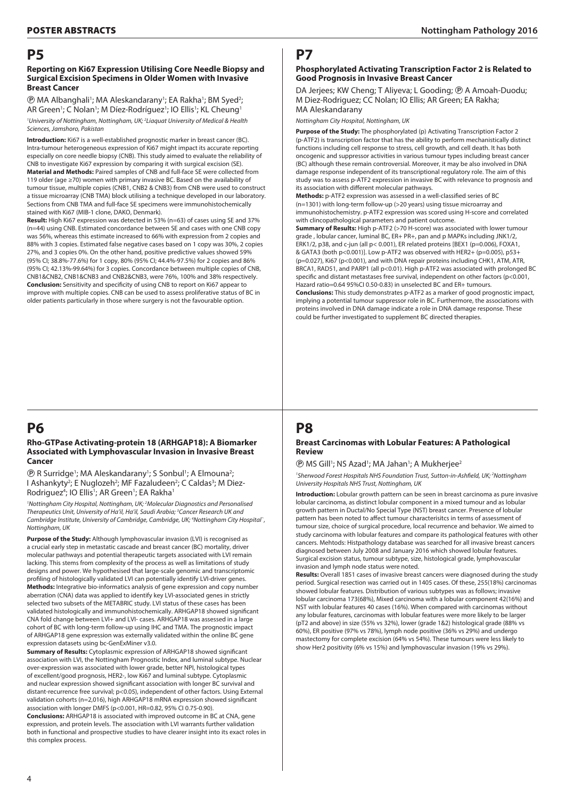#### **Reporting on Ki67 Expression Utilising Core Needle Biopsy and Surgical Excision Specimens in Older Women with Invasive Breast Cancer**

*<b>@ MA Albanghali<sup>1</sup>; MA Aleskandarany<sup>1</sup>; EA Rakha<sup>1</sup>; BM Syed<sup>2</sup>;* AR Green<sup>1</sup>; C Nolan<sup>1</sup>; M Díez-Rodríguez<sup>1</sup>; IO Ellis<sup>1</sup>; KL Cheung<sup>1</sup> *1 University of Nottingham, Nottingham, UK; 2 Liaquat University of Medical & Health Sciences, Jamshoro, Pakistan*

**Introduction:** Ki67 is a well-established prognostic marker in breast cancer (BC). Intra-tumour heterogeneous expression of Ki67 might impact its accurate reporting especially on core needle biopsy (CNB). This study aimed to evaluate the reliability of CNB to investigate Ki67 expression by comparing it with surgical excision (SE). **Material and Methods:** Paired samples of CNB and full-face SE were collected from 119 older (age ≥70) women with primary invasive BC. Based on the availability of tumour tissue, multiple copies (CNB1, CNB2 & CNB3) from CNB were used to construct a tissue microarray (CNB TMA) block utilising a technique developed in our laboratory. Sections from CNB TMA and full-face SE specimens were immunohistochemically stained with Ki67 (MIB-1 clone, DAKO, Denmark).

**Result:** High Ki67 expression was detected in 53% (n=63) of cases using SE and 37% (n=44) using CNB. Estimated concordance between SE and cases with one CNB copy was 56%, whereas this estimate increased to 66% with expression from 2 copies and 88% with 3 copies. Estimated false negative cases based on 1 copy was 30%, 2 copies 27%, and 3 copies 0%. On the other hand, positive predictive values showed 59% (95% CI; 38.8%-77.6%) for 1 copy, 80% (95% CI; 44.4%-97.5%) for 2 copies and 86% (95% CI; 42.13%-99.64%) for 3 copies. Concordance between multiple copies of CNB, CNB1&CNB2, CNB1&CNB3 and CNB2&CNB3, were 76%, 100% and 38% respectively. **Conclusion:** Sensitivity and specificity of using CNB to report on Ki67 appear to improve with multiple copies. CNB can be used to assess proliferative status of BC in older patients particularly in those where surgery is not the favourable option.

# **P6**

#### **Rho-GTPase Activating-protein 18 (ARHGAP18): A Biomarker Associated with Lymphovascular Invasion in Invasive Breast Cancer**

*<b>@ R Surridge<sup>1</sup>; MA Aleskandarany<sup>1</sup>; S Sonbul<sup>1</sup>; A Elmouna<sup>2</sup>;* I Ashankyty<sup>2</sup>; E Nuglozeh<sup>2</sup>; MF Fazaludeen<sup>2</sup>; C Caldas<sup>3</sup>; M Diez-Rodriguez<sup>4</sup>; IO Ellis<sup>1</sup>; AR Green<sup>1</sup>; EA Rakha<sup>1</sup>

*1 Nottingham City Hospital, Nottingham, UK; 2 Molecular Diagnostics and Personalised Therapeutics Unit, University of Ha'il, Ha'il, Saudi Arabia; 3 Cancer Research UK and Cambridge Institute, University of Cambridge, Cambridge, UK; 4 Nottingham City Hospital`, Nottingham, UK*

**Purpose of the Study:** Although lymphovascular invasion (LVI) is recognised as a crucial early step in metastatic cascade and breast cancer (BC) mortality, driver molecular pathways and potential therapeutic targets associated with LVI remain lacking. This stems from complexity of the process as well as limitations of study designs and power. We hypothesised that large-scale genomic and transcriptomic profiling of histologically validated LVI can potentially identify LVI-driver genes. **Methods:** Integrative bio-informatics analysis of gene expression and copy number aberration (CNA) data was applied to identify key LVI-associated genes in strictly selected two subsets of the METABRIC study. LVI status of these cases has been validated histologically and immunohistochemically. ARHGAP18 showed significant CNA fold change between LVI+ and LVI- cases. ARHGAP18 was assessed in a large cohort of BC with long-term follow-up using IHC and TMA. The prognostic impact of ARHGAP18 gene expression was externally validated within the online BC gene expression datasets using bc-GenExMiner v3.0.

**Summary of Results:** Cytoplasmic expression of ARHGAP18 showed significant association with LVI, the Nottingham Prognostic Index, and luminal subtype. Nuclear over-expression was associated with lower grade, better NPI, histological types of excellent/good prognosis, HER2-, low Ki67 and luminal subtype. Cytoplasmic and nuclear expression showed significant association with longer BC survival and distant-recurrence free survival; p<0.05), independent of other factors. Using External validation cohorts (n=2,016), high ARHGAP18 mRNA expression showed significant association with longer DMFS (p<0.001, HR=0.82, 95% CI 0.75-0.90).

**Conclusions:** ARHGAP18 is associated with improved outcome in BC at CNA, gene expression, and protein levels. The association with LVI warrants further validation both in functional and prospective studies to have clearer insight into its exact roles in this complex process.

# **P7**

#### **Phosphorylated Activating Transcription Factor 2 is Related to Good Prognosis in Invasive Breast Cancer**

DA Jerjees; KW Cheng; T Aliyeva; L Gooding; ® A Amoah-Duodu; M Diez-Rodriguez; CC Nolan; IO Ellis; AR Green; EA Rakha; MA Aleskandarany

*Nottingham City Hospital, Nottingham, UK*

**Purpose of the Study:** The phosphorylated (p) Activating Transcription Factor 2 (p-ATF2) is transcription factor that has the ability to perform mechanistically distinct functions including cell response to stress, cell growth, and cell death. It has both oncogenic and suppressor activities in various tumour types including breast cancer (BC) although these remain controversial. Moreover, it may be also involved in DNA damage response independent of its transcriptional regulatory role. The aim of this study was to assess p-ATF2 expression in invasive BC with relevance to prognosis and its association with different molecular pathways.

**Methods:** p-ATF2 expression was assessed in a well-classified series of BC (n=1301) with long-term follow-up (>20 years) using tissue microarray and immunohistochemistry. p-ATF2 expression was scored using H-score and correlated with clincopathological parameters and patient outcome.

**Summary of Results:** High p-ATF2 (>70 H-score) was associated with lower tumour grade , lobular cancer, luminal BC, ER+ PR+, pan and p MAPKs including JNK1/2, ERK1/2, p38, and c-jun (all p< 0.001), ER related proteins [BEX1 (p=0.006), FOXA1, & GATA3 (both p<0.001)]. Low p-ATF2 was observed with HER2+ (p=0.005), p53+ (p=0.027), Ki67 (p<0.001), and with DNA repair proteins including CHK1, ATM, ATR, BRCA1, RAD51, and PARP1 (all p<0.01). High p-ATF2 was associated with prolonged BC specific and distant metastases free survival, independent on other factors (p<0.001, Hazard ratio=0.64 95%CI 0.50-0.83) in unselected BC and ER+ tumours. **Conclusions:** This study demonstrates p-ATF2 as a marker of good prognostic impact, implying a potential tumour suppressor role in BC. Furthermore, the associations with proteins involved in DNA damage indicate a role in DNA damage response. These could be further investigated to supplement BC directed therapies.

# **P8**

#### **Breast Carcinomas with Lobular Features: A Pathological Review**

**(B)** MS Gill<sup>1</sup>; NS Azad<sup>1</sup>; MA Jahan<sup>1</sup>; A Mukherjee<sup>2</sup>

<sup>1</sup> Sherwood Forest Hospitals NHS Foundation Trust, Sutton-in-Ashfield, UK; <sup>2</sup> Nottingham *University Hospitals NHS Trust, Nottingham, UK*

**Introduction:** Lobular growth pattern can be seen in breast carcinoma as pure invasive lobular carcinoma, as distinct lobular component in a mixed tumour and as lobular growth pattern in Ductal/No Special Type (NST) breast cancer. Presence of lobular pattern has been noted to affect tumour characterisitcs in terms of assessment of tumour size, choice of surgical procedure, local recurrence and behavior. We aimed to study carcinoma with lobular features and compare its pathological features with other cancers. Mehtods: Histpathology database was searched for all invasive breast cancers diagnosed between July 2008 and January 2016 which showed lobular features. Surgical excision status, tumour subtype, size, histological grade, lymphovascular invasion and lymph node status were noted.

**Results:** Overall 1851 cases of invasive breast cancers were diagnosed during the study period. Surgical resection was carried out in 1405 cases. Of these, 255(18%) carcinomas showed lobular features. Distribution of various subtypes was as follows; invasive lobular carcinoma 173(68%), Mixed carcinoma with a lobular component 42(16%) and NST with lobular features 40 cases (16%). When compared with carcinomas without any lobular features, carcinomas with lobular features were more likely to be larger (pT2 and above) in size (55% vs 32%), lower (grade 1&2) histological grade (88% vs 60%), ER positive (97% vs 78%), lymph node positive (36% vs 29%) and undergo mastectomy for complete excision (64% vs 54%). These tumours were less likely to show Her2 positivity (6% vs 15%) and lymphovascular invasion (19% vs 29%).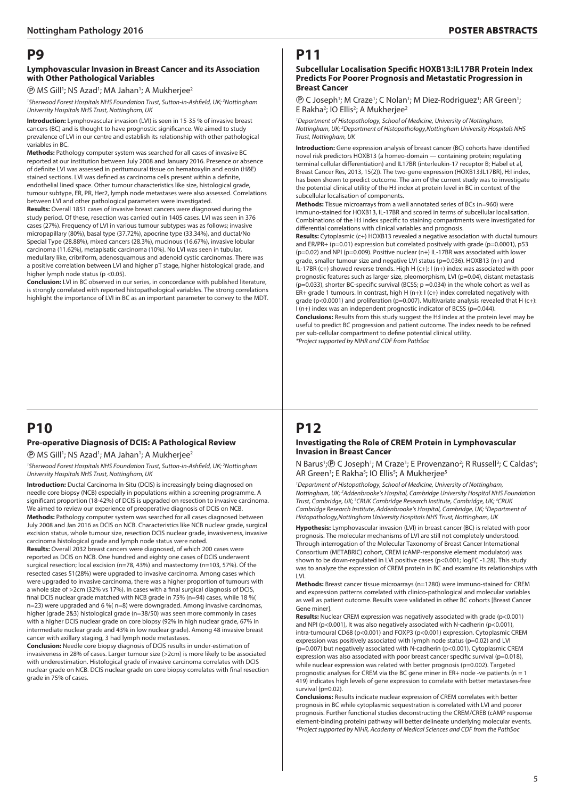#### **Lymphovascular Invasion in Breast Cancer and its Association with Other Pathological Variables**

#### **(B)** MS Gill<sup>1</sup>; NS Azad<sup>1</sup>; MA Jahan<sup>1</sup>; A Mukherjee<sup>2</sup>

<sup>1</sup> Sherwood Forest Hospitals NHS Foundation Trust, Sutton-in-Ashfield, UK; <sup>2</sup> Nottingham *University Hospitals NHS Trust, Nottingham, UK*

**Introduction:** Lymphovascular invasion (LVI) is seen in 15-35 % of invasive breast cancers (BC) and is thought to have prognostic significance. We aimed to study prevalence of LVI in our centre and establish its relationship with other pathological variables in BC.

**Methods:** Pathology computer system was searched for all cases of invasive BC reported at our institution between July 2008 and January 2016. Presence or absence of definite LVI was assessed in peritumoural tissue on hematoxylin and eosin (H&E) stained sections. LVI was defined as carcinoma cells present within a definite, endothelial lined space. Other tumour characteristics like size, histological grade, tumour subtype, ER, PR, Her2, lymph node metastases were also assessed. Correlations between LVI and other pathological parameters were investigated.

**Results:** Overall 1851 cases of invasive breast cancers were diagnosed during the study period. Of these, resection was carried out in 1405 cases. LVI was seen in 376 cases (27%). Frequency of LVI in various tumour subtypes was as follows; invasive micropapillary (80%), basal type (37.72%), apocrine type (33.34%), and ductal/No Special Type (28.88%), mixed cancers (28.3%), mucinous (16.67%), invasive lobular carcinoma (11.62%), metaplsatic carcinoma (10%). No LVI was seen in tubular, medullary like, cribriform, adenosquamous and adenoid cystic carcinomas. There was a positive correlation between LVI and higher pT stage, higher histological grade, and higher lymph node status (p <0.05).

**Conclusion:** LVI in BC observed in our series, in concordance with published literature, is strongly correlated with reported histopathological variables. The strong correlations highlight the importance of LVI in BC as an important parameter to convey to the MDT.

# **P11**

#### **Subcellular Localisation Specific HOXB13:IL17BR Protein Index Predicts For Poorer Prognosis and Metastatic Progression in Breast Cancer**

**(B)** C Joseph<sup>1</sup>; M Craze<sup>1</sup>; C Nolan<sup>1</sup>; M Diez-Rodriguez<sup>1</sup>; AR Green<sup>1</sup>; E Rakha<sup>2</sup>; IO Ellis<sup>2</sup>; A Mukherjee<sup>2</sup>

<sup>1</sup>Department of Histopathology, School of Medicine, University of Nottingham, *Nottingham, UK; 2 Department of Histopathology,Nottingham University Hospitals NHS Trust, Nottingham, UK*

**Introduction:** Gene expression analysis of breast cancer (BC) cohorts have identified novel risk predictors HOXB13 (a homeo-domain — containing protein; regulating terminal cellular differentiation) and IL17BR (interleukin-17 receptor B; Habel et al, Breast Cancer Res, 2013, 15(2)). The two-gene expression (HOXB13:IL17BR), H:I index, has been shown to predict outcome. The aim of the current study was to investigate the potential clinical utility of the H:I index at protein level in BC in context of the subcellular localisation of components.

**Methods:** Tissue microarrays from a well annotated series of BCs (n=960) were immuno-stained for HOXB13, IL-17BR and scored in terms of subcellular localisation. Combinations of the H:I index specific to staining compartments were investigated for differential correlations with clinical variables and prognosis.

**Results:** Cytoplasmic (c+) HOXB13 revealed a negative association with ductal tumours and ER/PR+ (p=0.01) expression but correlated positvely with grade (p=0.0001), p53 (p=0.02) and NPI (p=0.009). Positive nuclear (n+) IL-17BR was associated with lower grade, smaller tumour size and negative LVI status (p=0.036). HOXB13 (n+) and IL-17BR (c+) showed reverse trends. High H (c+):  $I$  (n+) index was associated with poor prognostic features such as larger size, pleomorphism, LVI (p=0.04), distant metastasis ( $p=0.033$ ), shorter BC-specific survival (BCSS;  $p = 0.034$ ) in the whole cohort as well as ER+ grade 1 tumours. In contrast, high H (n+): I (c+) index correlated negatively with grade (p<0.0001) and proliferation (p=0.007). Multivariate analysis revealed that H (c+):  $I(n+)$  index was an independent prognostic indicator of BCSS ( $p=0.044$ ). **Conclusions:** Results from this study suggest the H:I index at the protein level may be

useful to predict BC progression and patient outcome. The index needs to be refined per sub-cellular compartment to define potential clinical utility. *\*Project supported by NIHR and CDF from PathSoc*

# **P10**

#### **Pre-operative Diagnosis of DCIS: A Pathological Review**

**(B)** MS Gill<sup>1</sup>; NS Azad<sup>1</sup>; MA Jahan<sup>1</sup>; A Mukherjee<sup>2</sup>

<sup>1</sup> Sherwood Forest Hospitals NHS Foundation Trust, Sutton-in-Ashfield, UK; <sup>2</sup> Nottingham *University Hospitals NHS Trust, Nottingham, UK*

**Introduction:** Ductal Carcinoma In-Situ (DCIS) is increasingly being diagnosed on needle core biopsy (NCB) especially in populations within a screening programme. A significant proportion (18-42%) of DCIS is upgraded on resection to invasive carcinoma. We aimed to review our experience of preoperative diagnosis of DCIS on NCB.

**Methods:** Pathology computer system was searched for all cases diagnosed between July 2008 and Jan 2016 as DCIS on NCB. Characteristics like NCB nuclear grade, surgical excision status, whole tumour size, resection DCIS nuclear grade, invasiveness, invasive carcinoma histological grade and lymph node status were noted.

**Results:** Overall 2032 breast cancers were diagnosed, of which 200 cases were reported as DCIS on NCB. One hundred and eighty one cases of DCIS underwent surgical resection; local excision (n=78, 43%) and mastectomy (n=103, 57%). Of the resected cases 51(28%) were upgraded to invasive carcinoma. Among cases which were upgraded to invasive carcinoma, there was a higher proportion of tumours with a whole size of >2cm (32% vs 17%). In cases with a final surgical diagnosis of DCIS, final DCIS nuclear grade matched with NCB grade in 75% (n=94) cases, while 18 %( n=23) were upgraded and 6 %( n=8) were downgraded. Among invasive carcinomas, higher (grade 2&3) histological grade (n=38/50) was seen more commonly in cases with a higher DCIS nuclear grade on core biopsy (92% in high nuclear grade, 67% in intermediate nuclear grade and 43% in low nuclear grade). Among 48 invasive breast cancer with axillary staging, 3 had lymph node metastases.

**Conclusion:** Needle core biopsy diagnosis of DCIS results in under-estimation of invasiveness in 28% of cases. Larger tumour size (>2cm) is more likely to be associated with underestimation. Histological grade of invasive carcinoma correlates with DCIS nuclear grade on NCB. DCIS nuclear grade on core biopsy correlates with final resection grade in 75% of cases.

# **P12**

#### **Investigating the Role of CREM Protein in Lymphovascular Invasion in Breast Cancer**

N Barus<sup>1</sup>; ® C Joseph<sup>1</sup>; M Craze<sup>1</sup>; E Provenzano<sup>2</sup>; R Russell<sup>3</sup>; C Caldas<sup>4</sup>; AR Green<sup>1</sup>; E Rakha<sup>5</sup>; IO Ellis<sup>5</sup>; A Mukherjee<sup>5</sup>

<sup>1</sup>Department of Histopathology, School of Medicine, University of Nottingham, *Nottingham, UK; 2 Addenbrooke's Hospital, Cambridge University Hospital NHS Foundation Trust, Cambridge, UK; 3 CRUK Cambridge Research Institute, Cambridge, UK; 4 CRUK Cambridge Research Institute, Addenbrooke's Hospital, Cambridge, UK; 5 Department of Histopathology,Nottingham University Hospitals NHS Trust, Nottingham, UK*

**Hypothesis:** Lymphovascular invasion (LVI) in breast cancer (BC) is related with poor prognosis. The molecular mechanisms of LVI are still not completely understood. Through interrogation of the Molecular Taxonomy of Breast Cancer International Consortium (METABRIC) cohort, CREM (cAMP-responsive element modulator) was shown to be down-regulated in LVI positive cases (p<0.001; logFC -1.28). This study was to analyze the expression of CREM protein in BC and examine its relationships with LVI.

**Methods:** Breast cancer tissue microarrays (n=1280) were immuno-stained for CREM and expression patterns correlated with clinico-pathological and molecular variables as well as patient outcome. Results were validated in other BC cohorts [Breast Cancer Gene miner].

**Results:** Nuclear CREM expression was negatively associated with grade (p<0.001) and NPI (p<0.001), It was also negatively associated with N-cadherin (p<0.001), intra-tumoural CD68 (p<0.001) and FOXP3 (p<0.001) expression. Cytoplasmic CREM expression was positively associated with lymph node status (p=0.02) and LVI (p=0.007) but negatively associated with N-cadherin (p<0.001). Cytoplasmic CREM expression was also associated with poor breast cancer specific survival (p=0.018), while nuclear expression was related with better prognosis (p=0.002). Targeted prognostic analyses for CREM via the BC gene miner in ER+ node -ve patients (n = 1) 419) indicates high levels of gene expression to correlate with better metastases-free survival  $(p=0.02)$ .

**Conclusions:** Results indicate nuclear expression of CREM correlates with better prognosis in BC while cytoplasmic sequestration is correlated with LVI and poorer prognosis. Further functional studies deconstructing the CREM/CREB (cAMP response element-binding protein) pathway will better delineate underlying molecular events. *\*Project supported by NIHR, Academy of Medical Sciences and CDF from the PathSoc*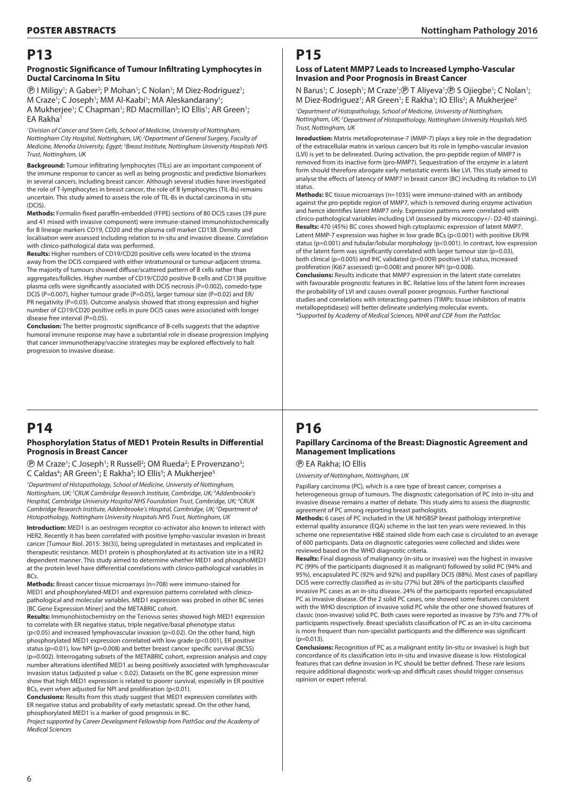#### **Prognostic Significance of Tumour Infiltrating Lymphocytes in Ductal Carcinoma In Situ**

**<sup>®</sup>** I Miligy<sup>1</sup>; A Gaber<sup>2</sup>; P Mohan<sup>1</sup>; C Nolan<sup>1</sup>; M Diez-Rodriguez<sup>1</sup>; M Craze<sup>1</sup>; C Joseph<sup>1</sup>; MM Al-Kaabi<sup>1</sup>; MA Aleskandarany<sup>1</sup>; A Mukherjee<sup>1</sup>; C Chapman<sup>1</sup>; RD Macmillan<sup>3</sup>; IO Ellis<sup>1</sup>; AR Green<sup>1</sup>; EA Rakha

*1 Division of Cancer and Stem Cells, School of Medicine, University of Nottingham, Nottingham City Hospital, Nottingham, UK; 2 Department of General Surgery, Faculty of*  Medicine, Menofia University, Egypt; <sup>3</sup>Breast Institute, Nottingham University Hospitals NHS *Trust, Nottingham, UK*

**Background:** Tumour infiltrating lymphocytes (TILs) are an important component of the immune response to cancer as well as being prognostic and predictive biomarkers in several cancers, including breast cancer. Although several studies have investigated the role of T-lymphocytes in breast cancer, the role of B lymphocytes (TIL-Bs) remains uncertain. This study aimed to assess the role of TIL-Bs in ductal carcinoma in situ (DCIS).

**Methods:** Formalin-fixed paraffin-embedded (FFPE) sections of 80 DCIS cases (39 pure and 41 mixed with invasive component) were immune-stained immunohistochemically for B lineage markers CD19, CD20 and the plasma cell marker CD138. Density and localisation were assessed including relation to in-situ and invasive disease. Correlation with clinico-pathological data was performed.

**Results:** Higher numbers of CD19/CD20 positive cells were located in the stroma away from the DCIS compared with either intratumoural or tumour-adjacent stroma. The majority of tumours showed diffuse/scattered pattern of B cells rather than aggregates/follicles. Higher number of CD19/CD20 positive B-cells and CD138 positive plasma cells were significantly associated with DCIS necrosis (P=0.002), comedo-type DCIS (P=0.007), higher tumour grade (P=0.05), larger tumour size (P=0.02) and ER/ PR negativity (P=0.03). Outcome analysis showed that strong expression and higher number of CD19/CD20 positive cells in pure DCIS cases were associated with longer disease free interval (P=0.05).

**Conclusion:** The better prognostic significance of B-cells suggests that the adaptive humoral immune response may have a substantial role in disease progression implying that cancer immunotherapy/vaccine strategies may be explored effectively to halt progression to invasive disease.

# **P15**

#### **Loss of Latent MMP7 Leads to Increased Lympho-Vascular Invasion and Poor Prognosis in Breast Cancer**

N Barus<sup>1</sup>; C Joseph<sup>1</sup>; M Craze<sup>1</sup>; <sup>®</sup> T Aliyeva<sup>1</sup>; <sup>®</sup> S Ojiegbe<sup>1</sup>; C Nolan<sup>1</sup>; M Diez-Rodriguez<sup>1</sup>; AR Green<sup>1</sup>; E Rakha<sup>1</sup>; IO Ellis<sup>2</sup>; A Mukherjee<sup>2</sup>

<sup>1</sup>Department of Histopathology, School of Medicine, University of Nottingham, *Nottingham, UK; 2 Department of Histopathology, Nottingham University Hospitals NHS Trust, Nottingham, UK*

**Inroduction:** Matrix metalloproteinase-7 (MMP-7) plays a key role in the degradation of the extracellular matrix in various cancers but its role in lympho-vascular invasion (LVI) is yet to be delineated. During activation, the pro-peptide region of MMP7 is removed from its inactive form (pro-MMP7). Sequestration of the enzyme in a latent form should therefore abrogate early metastatic events like LVI. This study aimed to analyse the effects of latency of MMP7 in breast cancer (BC) including its relation to LVI status.

**Methods:** BC tissue microarrays (n=1035) were immuno-stained with an antibody against the pro-peptide region of MMP7, which is removed during enzyme activation and hence identifies latent MMP7 only. Expression patterns were correlated with clinico-pathological variables including LVI (assessed by microscopy+/- D2-40 staining). **Results:** 470 (45%) BC cores showed high cytoplasmic expression of latent MMP7. Latent MMP-7 expression was higher in low grade BCs (p<0.001) with positive ER/PR status (p=0.001) and tubular/lobular morphology (p<0.001). In contrast, low expression of the latent form was significantly correlated with larger tumour size (p=0.03), both clinical (p=0.005) and IHC validated (p=0.009) positive LVI status, increased proliferation (Ki67 assessed) (p=0.008) and poorer NPI (p=0.008). **Conclusions:** Results indicate that MMP7 expression in the latent state correlates with favourable prognostic features in BC. Relative loss of the latent form increases the probability of LVI and causes overall poorer prognosis. Further functional studies and correlations with interacting partners (TIMPs: tissue inhibitors of matrix metallopeptidases) will better delineate underlying molecular events. *\*Supported by Academy of Medical Sciences, NIHR and CDF from the PathSoc* 

# **P14**

#### **Phosphorylation Status of MED1 Protein Results in Differential Prognosis in Breast Cancer**

**(B)** M Craze<sup>1</sup>; C Joseph<sup>1</sup>; R Russell<sup>2</sup>; OM Rueda<sup>2</sup>; E Provenzano<sup>3</sup>; C Caldas<sup>4</sup>; AR Green<sup>1</sup>; E Rakha<sup>5</sup>; IO Ellis<sup>5</sup>; A Mukherjee<sup>5</sup>

*1 Department of Histopathology, School of Medicine, University of Nottingham, Nottingham, UK; 2 CRUK Cambridge Research Institute, Cambridge, UK; 3 Addenbrooke's Hospital, Cambridge University Hospital NHS Foundation Trust, Cambridge, UK; 4 CRUK Cambridge Research Institute, Addenbrooke's Hospital, Cambridge, UK; 5 Department of Histopathology, Nottingham University Hospitals NHS Trust, Nottingham, UK*

**Introduction:** MED1 is an oestrogen receptor co-activator also known to interact with HER2. Recently it has been correlated with positive lympho-vascular invasion in breast cancer [Tumour Biol. 2015: 36(3)], being upregulated in metastases and implicated in therapeutic resistance. MED1 protein is phosphorylated at its activation site in a HER2 dependent manner. This study aimed to determine whether MED1 and phosphoMED1 at the protein level have differential correlations with clinico-pathological variables in BCs.

**Methods:** Breast cancer tissue microarrays (n=708) were immuno-stained for MED1 and phosphorylated-MED1 and expression patterns correlated with clinicopathological and molecular variables. MED1 expression was probed in other BC series [BC Gene Expression Miner] and the METABRIC cohort.

**Results:** Immunohistochemistry on the Tenovus series showed high MED1 expression to correlate with ER negative status, triple negative/basal phenotype status (p<0.05) and increased lymphovascular invasion (p=0.02). On the other hand, high phosphorylated MED1 expression correlated with low grade (p<0.001), ER positive status (p=0.01), low NPI (p=0.008) and better breast cancer specific survival (BCSS) (p=0.002). Interrogating subsets of the METABRIC cohort, expression analysis and copy number alterations identified MED1 as being positively associated with lymphovascular invasion status (adjusted p value < 0.02). Datasets on the BC gene expression miner

show that high MED1 expression is related to poorer survival, especially in ER positive BCs, even when adjusted for NPI and proliferation (p<0.01).

**Conclusions:** Results from this study suggest that MED1 expression correlates with ER negative status and probability of early metastatic spread. On the other hand, phosphorylated MED1 is a marker of good prognosis in BC.

*Project supported by Career Development Fellowship from PathSoc and the Academy of Medical Sciences* 

# **P16**

#### **Papillary Carcinoma of the Breast: Diagnostic Agreement and Management Implications**

P EA Rakha; IO Ellis

*University of Nottingham, Nottingham, UK*

Papillary carcinoma (PC), which is a rare type of breast cancer, comprises a heterogeneous group of tumours. The diagnostic categorisation of PC into in-situ and invasive disease remains a matter of debate. This study aims to assess the diagnostic agreement of PC among reporting breast pathologists.

**Methods:** 6 cases of PC included in the UK NHSBSP breast pathology interpretive external quality assurance (EQA) scheme in the last ten years were reviewed. In this scheme one representative H&E stained slide from each case is circulated to an average of 600 participants. Data on diagnostic categories were collected and slides were reviewed based on the WHO diagnostic criteria.

**Results:** Final diagnosis of malignancy (in-situ or invasive) was the highest in invasive PC (99% of the participants diagnosed it as malignant) followed by solid PC (94% and 95%), encapsulated PC (92% and 92%) and papillary DCIS (88%). Most cases of papillary DCIS were correctly classified as in-situ (77%) but 28% of the participants classified invasive PC cases as an in-situ disease. 24% of the participants reported encapsulated PC as invasive disease. Of the 2 solid PC cases, one showed some features consistent with the WHO description of invasive solid PC while the other one showed features of classic (non-invasive) solid PC. Both cases were reported as invasive by 75% and 77% of participants respectively. Breast specialists classification of PC as an in-situ carcinoma is more frequent than non-specialist participants and the difference was significant  $(p=0.013)$ .

**Conclusions:** Recognition of PC as a malignant entity (in-situ or invasive) is high but concordance of its classification into in-situ and invasive disease is low. Histological features that can define invasion in PC should be better defined. These rare lesions require additional diagnostic work-up and difficult cases should trigger consensus opinion or expert referral.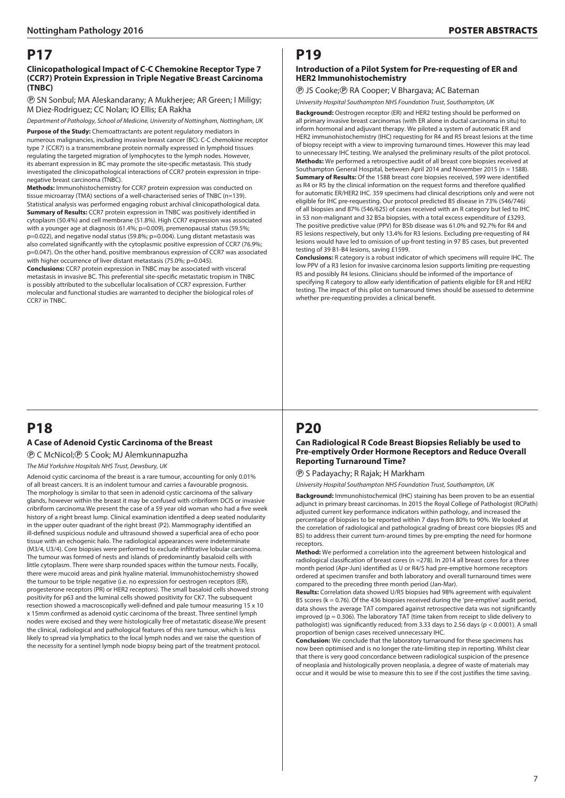#### **Clinicopathological Impact of C-C Chemokine Receptor Type 7 (CCR7) Protein Expression in Triple Negative Breast Carcinoma (TNBC)**

P SN Sonbul; MA Aleskandarany; A Mukherjee; AR Green; I Miligy; M Diez-Rodriguez; CC Nolan; IO Ellis; EA Rakha

*Department of Pathology, School of Medicine, University of Nottingham, Nottingham, UK*

**Purpose of the Study:** Chemoattractants are potent regulatory mediators in numerous malignancies, including invasive breast cancer (BC). C-C chemokine receptor type 7 (CCR7) is a transmembrane protein normally expressed in lymphoid tissues regulating the targeted migration of lymphocytes to the lymph nodes. However, its aberrant expression in BC may promote the site-specific metastasis. This study investigated the clinicopathological interactions of CCR7 protein expression in tripenegative breast carcinoma (TNBC).

**Methods:** Immunohistochemistry for CCR7 protein expression was conducted on tissue microarray (TMA) sections of a well-characterised series of TNBC (n=139). Statistical analysis was performed engaging robust archival clinicopathological data. **Summary of Results: CCR7** protein expression in TNBC was positively identified in cytoplasm (50.4%) and cell membrane (51.8%). High CCR7 expression was associated with a younger age at diagnosis (61.4%; p=0.009), premenopausal status (59.5%; p=0.022), and negative nodal status (59.8%; p=0.004). Lung distant metastasis was also correlated significantly with the cytoplasmic positive expression of CCR7 (76.9%; p=0.047). On the other hand, positive membranous expression of CCR7 was associated with higher occurrence of liver distant metastasis (75.0%; p=0.045).

**Conclusions:** CCR7 protein expression in TNBC may be associated with visceral metastasis in invasive BC. This preferential site-specific metastatic tropism in TNBC is possibly attributed to the subcellular localisation of CCR7 expression. Further molecular and functional studies are warranted to decipher the biological roles of CCR7 in TNBC.

### **P18 A Case of Adenoid Cystic Carcinoma of the Breast**

P C McNicol;P S Cook; MJ Alemkunnapuzha

*The Mid Yorkshire Hospitals NHS Trust, Dewsbury, UK*

Adenoid cystic carcinoma of the breast is a rare tumour, accounting for only 0.01% of all breast cancers. It is an indolent tumour and carries a favourable prognosis. The morphology is similar to that seen in adenoid cystic carcinoma of the salivary glands, however within the breast it may be confused with cribriform DCIS or invasive cribriform carcinoma.We present the case of a 59 year old woman who had a five week history of a right breast lump. Clinical examination identified a deep seated nodularity in the upper outer quadrant of the right breast (P2). Mammography identified an ill-defined suspicious nodule and ultrasound showed a superficial area of echo poor tissue with an echogenic halo. The radiological appearances were indeterminate (M3/4, U3/4). Core biopsies were performed to exclude infiltrative lobular carcinoma. The tumour was formed of nests and islands of predominantly basaloid cells with little cytoplasm. There were sharp rounded spaces within the tumour nests. Focally, there were mucoid areas and pink hyaline material. Immunohistochemistry showed the tumour to be triple negative (i.e. no expression for oestrogen receptors (ER), progesterone receptors (PR) or HER2 receptors). The small basaloid cells showed strong positivity for p63 and the luminal cells showed positivity for CK7. The subsequent resection showed a macroscopically well-defined and pale tumour measuring 15 x 10 x 15mm confirmed as adenoid cystic carcinoma of the breast. Three sentinel lymph nodes were excised and they were histologically free of metastatic disease.We present the clinical, radiological and pathological features of this rare tumour, which is less likely to spread via lymphatics to the local lymph nodes and we raise the question of the necessity for a sentinel lymph node biopsy being part of the treatment protocol.

### **P19**

#### **Introduction of a Pilot System for Pre-requesting of ER and HER2 Immunohistochemistry**

P JS Cooke;P RA Cooper; V Bhargava; AC Bateman

*University Hospital Southampton NHS Foundation Trust, Southampton, UK*

**Background:** Oestrogen receptor (ER) and HER2 testing should be performed on all primary invasive breast carcinomas (with ER alone in ductal carcinoma in situ) to inform hormonal and adjuvant therapy. We piloted a system of automatic ER and HER2 immunohistochemistry (IHC) requesting for R4 and R5 breast lesions at the time of biopsy receipt with a view to improving turnaround times. However this may lead to unnecessary IHC testing. We analysed the preliminary results of the pilot protocol. **Methods:** We performed a retrospective audit of all breast core biopsies received at Southampton General Hospital, between April 2014 and November 2015 (n = 1588). **Summary of Results:** Of the 1588 breast core biopsies received, 599 were identified as R4 or R5 by the clinical information on the request forms and therefore qualified for automatic ER/HER2 IHC. 359 specimens had clinical descriptions only and were not eligible for IHC pre-requesting. Our protocol predicted B5 disease in 73% (546/746) of all biopsies and 87% (546/625) of cases received with an R category but led to IHC in 53 non-malignant and 32 B5a biopsies, with a total excess expenditure of £3293. The positive predictive value (PPV) for B5b disease was 61.0% and 92.7% for R4 and R5 lesions respectively, but only 13.4% for R3 lesions. Excluding pre-requesting of R4 lesions would have led to omission of up-front testing in 97 B5 cases, but prevented testing of 39 B1-B4 lesions, saving £1599.

**Conclusions:** R category is a robust indicator of which specimens will require IHC. The low PPV of a R3 lesion for invasive carcinoma lesion supports limiting pre-requesting R5 and possibly R4 lesions. Clinicians should be informed of the importance of specifying R category to allow early identification of patients eligible for ER and HER2 testing. The impact of this pilot on turnaround times should be assessed to determine whether pre-requesting provides a clinical benefit.

# **P20**

**Can Radiological R Code Breast Biopsies Reliably be used to Pre-emptively Order Hormone Receptors and Reduce Overall Reporting Turnaround Time?**

P S Padayachy; R Rajak; H Markham

*University Hospital Southampton NHS Foundation Trust, Southampton, UK*

**Background:** Immunohistochemical (IHC) staining has been proven to be an essential adjunct in primary breast carcinomas. In 2015 the Royal College of Pathologist (RCPath) adjusted current key performance indicators within pathology, and increased the percentage of biopsies to be reported within 7 days from 80% to 90%. We looked at the correlation of radiological and pathological grading of breast core biopsies (R5 and B5) to address their current turn-around times by pre-empting the need for hormone receptors.

**Method:** We performed a correlation into the agreement between histological and radiological classification of breast cores (n =278). In 2014 all breast cores for a three month period (Apr-Jun) identified as U or R4/5 had pre-emptive hormone receptors ordered at specimen transfer and both laboratory and overall turnaround times were compared to the preceding three month period (Jan-Mar).

**Results:** Correlation data showed U/R5 biopsies had 98% agreement with equivalent B5 scores ( $k = 0.76$ ). Of the 436 biopsies received during the 'pre-emptive' audit period, data shows the average TAT compared against retrospective data was not significantly improved ( $p = 0.306$ ). The laboratory TAT (time taken from receipt to slide delivery to pathologist) was significantly reduced; from 3.33 days to 2.56 days (p < 0.0001). A small proportion of benign cases received unnecessary IHC.

**Conclusion:** We conclude that the laboratory turnaround for these specimens has now been optimised and is no longer the rate-limiting step in reporting. Whilst clear that there is very good concordance between radiological suspicion of the presence of neoplasia and histologically proven neoplasia, a degree of waste of materials may occur and it would be wise to measure this to see if the cost justifies the time saving.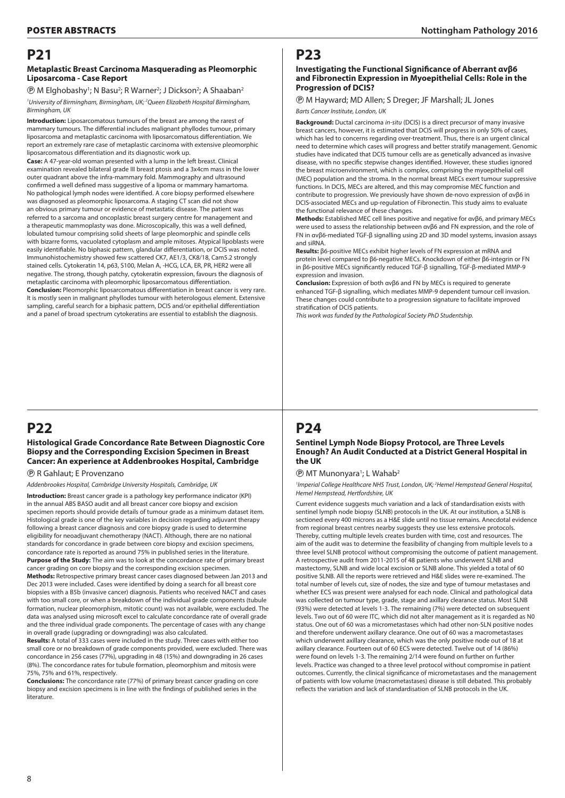#### **Metaplastic Breast Carcinoma Masquerading as Pleomorphic Liposarcoma - Case Report**

**@ M Elghobashy<sup>1</sup>; N Basu<sup>2</sup>; R Warner<sup>2</sup>; J Dickson<sup>2</sup>; A Shaaban<sup>2</sup>** 

*1 University of Birmingham, Birmingham, UK; 2 Queen Elizabeth Hospital Birmingham, Birmingham, UK*

**Introduction:** Liposarcomatous tumours of the breast are among the rarest of mammary tumours. The differential includes malignant phyllodes tumour, primary liposarcoma and metaplastic carcinoma with liposarcomatous differentiation. We report an extremely rare case of metaplastic carcinoma with extensive pleomorphic liposarcomatous differentiation and its diagnostic work up.

**Case:** A 47-year-old woman presented with a lump in the left breast. Clinical examination revealed bilateral grade III breast ptosis and a 3x4cm mass in the lower outer quadrant above the infra-mammary fold. Mammography and ultrasound confirmed a well defined mass suggestive of a lipoma or mammary hamartoma. No pathological lymph nodes were identified. A core biopsy performed elsewhere was diagnosed as pleomorphic liposarcoma. A staging CT scan did not show an obvious primary tumour or evidence of metastatic disease. The patient was referred to a sarcoma and oncoplastic breast surgery centre for management and a therapeutic mammoplasty was done. Microscopically, this was a well defined, lobulated tumour comprising solid sheets of large pleomorphic and spindle cells with bizarre forms, vacuolated cytoplasm and ample mitoses. Atypical lipoblasts were easily identifiable. No biphasic pattern, glandular differentiation, or DCIS was noted. Immunohistochemistry showed few scattered CK7, AE1/3, CK8/18, Cam5.2 strongly stained cells. Cytokeratin 14, p63, S100, Melan A, -HCG, LCA, ER, PR, HER2 were all negative. The strong, though patchy, cytokeratin expression, favours the diagnosis of metaplastic carcinoma with pleomorphic liposarcomatous differentiation. **Conclusion:** Pleomorphic liposarcomatous differentiation in breast cancer is very rare. It is mostly seen in malignant phyllodes tumour with heterologous element. Extensive sampling, careful search for a biphasic pattern, DCIS and/or epithelial differentiation and a panel of broad spectrum cytokeratins are essential to establish the diagnosis.

# **P22**

#### **Histological Grade Concordance Rate Between Diagnostic Core Biopsy and the Corresponding Excision Specimen in Breast Cancer: An experience at Addenbrookes Hospital, Cambridge**

P R Gahlaut; E Provenzano

*Addenbrookes Hospital, Cambridge University Hospitals, Cambridge, UK*

**Introduction:** Breast cancer grade is a pathology key performance indicator (KPI) in the annual ABS BASO audit and all breast cancer core biopsy and excision specimen reports should provide details of tumour grade as a minimum dataset item. Histological grade is one of the key variables in decision regarding adjuvant therapy following a breast cancer diagnosis and core biopsy grade is used to determine eligibility for neoadjuvant chemotherapy (NACT). Although, there are no national standards for concordance in grade between core biopsy and excision specimens, concordance rate is reported as around 75% in published series in the literature. **Purpose of the Study:** The aim was to look at the concordance rate of primary breast cancer grading on core biopsy and the corresponding excision specimen. **Methods:** Retrospective primary breast cancer cases diagnosed between Jan 2013 and Dec 2013 were included. Cases were identified by doing a search for all breast core biopsies with a B5b (invasive cancer) diagnosis. Patients who received NACT and cases with too small core, or when a breakdown of the individual grade components (tubule formation, nuclear pleomorphism, mitotic count) was not available, were excluded. The data was analysed using microsoft excel to calculate concordance rate of overall grade and the three individual grade components. The percentage of cases with any change in overall grade (upgrading or downgrading) was also calculated.

**Results:** A total of 333 cases were included in the study. Three cases with either too small core or no breakdown of grade components provided, were excluded. There was concordance in 256 cases (77%), upgrading in 48 (15%) and downgrading in 26 cases (8%). The concordance rates for tubule formation, pleomorphism and mitosis were 75%, 75% and 61%, respectively.

**Conclusions:** The concordance rate (77%) of primary breast cancer grading on core biopsy and excision specimens is in line with the findings of published series in the literature.

# **P23**

#### **Investigating the Functional Significance of Aberrant αvβ6 and Fibronectin Expression in Myoepithelial Cells: Role in the Progression of DCIS?**

P M Hayward; MD Allen; S Dreger; JF Marshall; JL Jones

*Barts Cancer Institute, London, UK*

**Background:** Ductal carcinoma *in-situ* (DCIS) is a direct precursor of many invasive breast cancers, however, it is estimated that DCIS will progress in only 50% of cases, which has led to concerns regarding over-treatment. Thus, there is an urgent clinical need to determine which cases will progress and better stratify management. Genomic studies have indicated that DCIS tumour cells are as genetically advanced as invasive disease, with no specific stepwise changes identified. However, these studies ignored the breast microenvironment, which is complex, comprising the myoepithelial cell (MEC) population and the stroma. In the normal breast MECs exert tumour suppressive functions. In DCIS, MECs are altered, and this may compromise MEC function and contribute to progression. We previously have shown de-novo expression of αvβ6 in DCIS-associated MECs and up-regulation of Fibronectin. This study aims to evaluate the functional relevance of these changes.

**Methods:** Established MEC cell lines positive and negative for αvβ6, and primary MECs were used to assess the relationship between αvβ6 and FN expression, and the role of FN in αvβ6-mediated TGF-β signalling using 2D and 3D model systems, invasion assays and siRNA.

**Results:** β6-positive MECs exhibit higher levels of FN expression at mRNA and protein level compared to β6-negative MECs. Knockdown of either β6-integrin or FN in β6-positive MECs significantly reduced TGF-β signalling, TGF-β-mediated MMP-9 expression and invasion.

**Conclusion:** Expression of both αvβ6 and FN by MECs is required to generate enhanced TGF-β signalling, which mediates MMP-9 dependent tumour cell invasion. These changes could contribute to a progression signature to facilitate improved stratification of DCIS patients.

*This work was funded by the Pathological Society PhD Studentship.*

# **P24**

#### **Sentinel Lymph Node Biopsy Protocol, are Three Levels Enough? An Audit Conducted at a District General Hospital in the UK**

#### *<b>P* MT Munonyara<sup>1</sup>; L Wahab<sup>2</sup>

<sup>1</sup> Imperial College Healthcare NHS Trust, London, UK; <sup>2</sup> Hemel Hempstead General Hospital, *Hemel Hempstead, Hertfordshire, UK*

Current evidence suggests much variation and a lack of standardisation exists with sentinel lymph node biopsy (SLNB) protocols in the UK. At our institution, a SLNB is sectioned every 400 microns as a H&E slide until no tissue remains. Anecdotal evidence from regional breast centres nearby suggests they use less extensive protocols. Thereby, cutting multiple levels creates burden with time, cost and resources. The aim of the audit was to determine the feasibility of changing from multiple levels to a three level SLNB protocol without compromising the outcome of patient management. A retrospective audit from 2011-2015 of 48 patients who underwent SLNB and mastectomy, SLNB and wide local excision or SLNB alone. This yielded a total of 60 positive SLNB. All the reports were retrieved and H&E slides were re-examined. The total number of levels cut, size of nodes, the size and type of tumour metastases and whether ECS was present were analysed for each node. Clinical and pathological data was collected on tumour type, grade, stage and axillary clearance status. Most SLNB (93%) were detected at levels 1-3. The remaining (7%) were detected on subsequent levels. Two out of 60 were ITC, which did not alter management as it is regarded as N0 status. One out of 60 was a micrometastases which had other non-SLN positive nodes and therefore underwent axillary clearance. One out of 60 was a macrometastases which underwent axillary clearance, which was the only positive node out of 18 at axillary clearance. Fourteen out of 60 ECS were detected. Twelve out of 14 (86%) were found on levels 1-3. The remaining 2/14 were found on further on further levels. Practice was changed to a three level protocol without compromise in patient outcomes. Currently, the clinical significance of micrometastases and the management of patients with low volume (macrometastases) disease is still debated. This probably reflects the variation and lack of standardisation of SLNB protocols in the UK.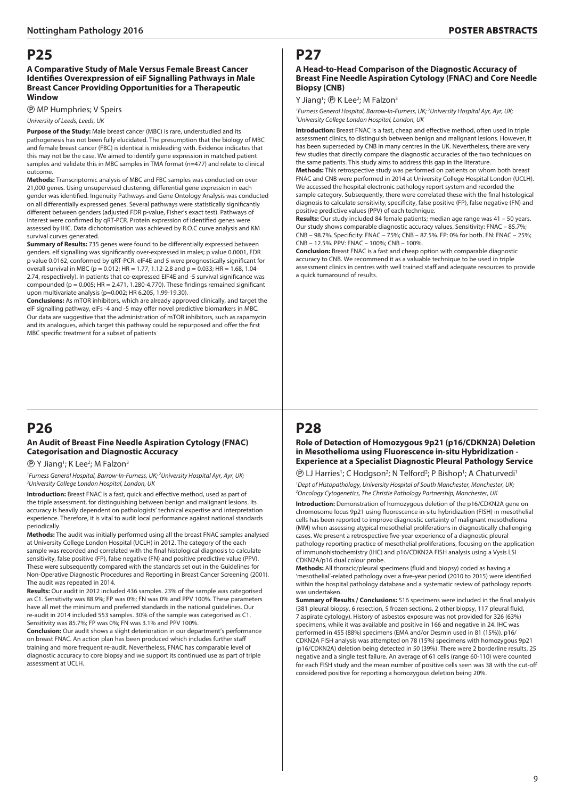**A Comparative Study of Male Versus Female Breast Cancer Identifies Overexpression of eiF Signalling Pathways in Male Breast Cancer Providing Opportunities for a Therapeutic Window**

P MP Humphries; V Speirs

*University of Leeds, Leeds, UK*

**Purpose of the Study:** Male breast cancer (MBC) is rare, understudied and its pathogenesis has not been fully elucidated. The presumption that the biology of MBC and female breast cancer (FBC) is identical is misleading with. Evidence indicates that this may not be the case. We aimed to identify gene expression in matched patient samples and validate this in MBC samples in TMA format (n=477) and relate to clinical outcome.

**Methods:** Transcriptomic analysis of MBC and FBC samples was conducted on over 21,000 genes. Using unsupervised clustering, differential gene expression in each gender was identified. Ingenuity Pathways and Gene Ontology Analysis was conducted on all differentially expressed genes. Several pathways were statistically significantly different between genders (adjusted FDR p-value, Fisher's exact test). Pathways of interest were confirmed by qRT-PCR. Protein expression of identified genes were assessed by IHC. Data dichotomisation was achieved by R.O.C curve analysis and KM survival curves generated.

**Summary of Results:** 735 genes were found to be differentially expressed between genders. eIf signalling was significantly over-expressed in males; p value 0.0001, FDR p value 0.0162, conformed by qRT-PCR. eIF4E and 5 were prognostically significant for overall survival in MBC ( $p = 0.012$ ; HR = 1.77, 1.12-2.8 and  $p = 0.033$ ; HR = 1.68, 1.04-2.74, respectively). In patients that co-expressed EIF4E and -5 survival significance was compounded ( $p = 0.005$ ; HR = 2.471, 1.280-4.770). These findings remained significant upon multivariate analysis (p=0.002; HR 6.205, 1.99-19.30).

**Conclusions:** As mTOR inhibitors, which are already approved clinically, and target the eIF signalling pathway, eIFs -4 and -5 may offer novel predictive biomarkers in MBC. Our data are suggestive that the administration of mTOR inhibitors, such as rapamycin and its analogues, which target this pathway could be repurposed and offer the first MBC specific treatment for a subset of patients

### **P27**

#### **A Head-to-Head Comparison of the Diagnostic Accuracy of Breast Fine Needle Aspiration Cytology (FNAC) and Core Needle Biopsy (CNB)**

Y Jiang<sup>1</sup>; ® K Lee<sup>2</sup>; M Falzon<sup>3</sup>

<sup>1</sup> Furness General Hospital, Barrow-In-Furness, UK; <sup>2</sup>University Hospital Ayr, Ayr, UK;<br><sup>3</sup>University College London Hospital, London, UK *University College London Hospital, London, UK*

**Introduction:** Breast FNAC is a fast, cheap and effective method, often used in triple assessment clinics, to distinguish between benign and malignant lesions. However, it has been superseded by CNB in many centres in the UK. Nevertheless, there are very few studies that directly compare the diagnostic accuracies of the two techniques on the same patients. This study aims to address this gap in the literature.

**Methods:** This retrospective study was performed on patients on whom both breast FNAC and CNB were performed in 2014 at University College Hospital London (UCLH). We accessed the hospital electronic pathology report system and recorded the sample category. Subsequently, there were correlated these with the final histological diagnosis to calculate sensitivity, specificity, false positive (FP), false negative (FN) and positive predictive values (PPV) of each technique.

**Results:** Our study included 84 female patients; median age range was 41 – 50 years. Our study shows comparable diagnostic accuracy values. Sensitivity: FNAC – 85.7%; CNB – 98.7%. Specificity: FNAC – 75%; CNB – 87.5%. FP: 0% for both. FN: FNAC – 25%; CNB – 12.5%. PPV: FNAC – 100%; CNB – 100%.

**Conclusion:** Breast FNAC is a fast and cheap option with comparable diagnostic accuracy to CNB. We recommend it as a valuable technique to be used in triple assessment clinics in centres with well trained staff and adequate resources to provide a quick turnaround of results.

# **P26**

#### **An Audit of Breast Fine Needle Aspiration Cytology (FNAC) Categorisation and Diagnostic Accuracy**

 $\textcircled{P}$  Y Jiang<sup>1</sup>; K Lee<sup>2</sup>; M Falzon<sup>3</sup>

<sup>1</sup> Furness General Hospital, Barrow-In-Furness, UK; <sup>2</sup>University Hospital Ayr, Ayr, UK;<br><sup>3</sup>University College London Hospital London, UK *University College London Hospital, London, UK*

**Introduction:** Breast FNAC is a fast, quick and effective method, used as part of the triple assessment, for distinguishing between benign and malignant lesions. Its accuracy is heavily dependent on pathologists' technical expertise and interpretation experience. Therefore, it is vital to audit local performance against national standards periodically.

**Methods:** The audit was initially performed using all the breast FNAC samples analysed at University College London Hospital (UCLH) in 2012. The category of the each sample was recorded and correlated with the final histological diagnosis to calculate sensitivity, false positive (FP), false negative (FN) and positive predictive value (PPV). These were subsequently compared with the standards set out in the Guidelines for Non-Operative Diagnostic Procedures and Reporting in Breast Cancer Screening (2001). The audit was repeated in 2014.

**Results:** Our audit in 2012 included 436 samples. 23% of the sample was categorised as C1. Sensitivity was 88.9%; FP was 0%; FN was 0% and PPV 100%. These parameters have all met the minimum and preferred standards in the national guidelines. Our re-audit in 2014 included 553 samples. 30% of the sample was categorised as C1. Sensitivity was 85.7%; FP was 0%; FN was 3.1% and PPV 100%.

**Conclusion:** Our audit shows a slight deterioration in our department's performance on breast FNAC. An action plan has been produced which includes further staff training and more frequent re-audit. Nevertheless, FNAC has comparable level of diagnostic accuracy to core biopsy and we support its continued use as part of triple assessment at UCLH.

# **P28**

**Role of Detection of Homozygous 9p21 (p16/CDKN2A) Deletion in Mesothelioma using Fluorescence in-situ Hybridization - Experience at a Specialist Diagnostic Pleural Pathology Service**

#### **(B)** LJ Harries<sup>1</sup>; C Hodgson<sup>2</sup>; N Telford<sup>2</sup>; P Bishop<sup>1</sup>; A Chaturvedi<sup>1</sup>

<sup>1</sup>Dept of Histopathology, University Hospital of South Manchester, Manchester, UK; *2 Oncology Cytogenetics, The Christie Pathology Partnership, Manchester, UK*

**Introduction:** Demonstration of homozygous deletion of the p16/CDKN2A gene on chromosome locus 9p21 using fluorescence in-situ hybridization (FISH) in mesothelial cells has been reported to improve diagnostic certainty of malignant mesothelioma (MM) when assessing atypical mesothelial proliferations in diagnostically challenging cases. We present a retrospective five-year experience of a diagnostic pleural pathology reporting practice of mesothelial proliferations, focusing on the application of immunohistochemistry (IHC) and p16/CDKN2A FISH analysis using a Vysis LSI CDKN2A/p16 dual colour probe.

**Methods:** All thoracic/pleural specimens (fluid and biopsy) coded as having a 'mesothelial'-related pathology over a five-year period (2010 to 2015) were identified within the hospital pathology database and a systematic review of pathology reports was undertaken.

**Summary of Results / Conclusions:** 516 specimens were included in the final analysis (381 pleural biopsy, 6 resection, 5 frozen sections, 2 other biopsy, 117 pleural fluid, 7 aspirate cytology). History of asbestos exposure was not provided for 326 (63%) specimens, while it was available and positive in 166 and negative in 24. IHC was performed in 455 (88%) specimens (EMA and/or Desmin used in 81 (15%)). p16/ CDKN2A FISH analysis was attempted on 78 (15%) specimens with homozygous 9p21 (p16/CDKN2A) deletion being detected in 50 (39%). There were 2 borderline results, 25 negative and a single test failure. An average of 61 cells (range 60-110) were counted for each FISH study and the mean number of positive cells seen was 38 with the cut-off considered positive for reporting a homozygous deletion being 20%.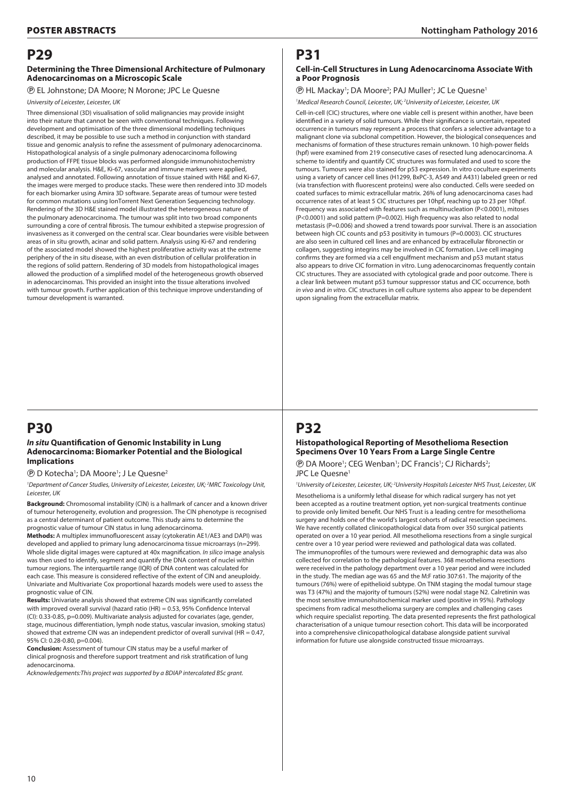#### **Determining the Three Dimensional Architecture of Pulmonary Adenocarcinomas on a Microscopic Scale**

P EL Johnstone; DA Moore; N Morone; JPC Le Quesne

*University of Leicester, Leicester, UK*

Three dimensional (3D) visualisation of solid malignancies may provide insight into their nature that cannot be seen with conventional techniques. Following development and optimisation of the three dimensional modelling techniques described, it may be possible to use such a method in conjunction with standard tissue and genomic analysis to refine the assessment of pulmonary adenocarcinoma. Histopathological analysis of a single pulmonary adenocarcinoma following production of FFPE tissue blocks was performed alongside immunohistochemistry and molecular analysis. H&E, Ki-67, vascular and immune markers were applied, analysed and annotated. Following annotation of tissue stained with H&E and Ki-67, the images were merged to produce stacks. These were then rendered into 3D models for each biomarker using Amira 3D software. Separate areas of tumour were tested for common mutations using IonTorrent Next Generation Sequencing technology. Rendering of the 3D H&E stained model illustrated the heterogeneous nature of the pulmonary adenocarcinoma. The tumour was split into two broad components surrounding a core of central fibrosis. The tumour exhibited a stepwise progression of invasiveness as it converged on the central scar. Clear boundaries were visible between areas of in situ growth, acinar and solid pattern. Analysis using Ki-67 and rendering of the associated model showed the highest proliferative activity was at the extreme periphery of the in situ disease, with an even distribution of cellular proliferation in the regions of solid pattern. Rendering of 3D models from histopathological images allowed the production of a simplified model of the heterogeneous growth observed in adenocarcinomas. This provided an insight into the tissue alterations involved with tumour growth. Further application of this technique improve understanding of tumour development is warranted.

# **P31**

#### **Cell-in-Cell Structures in Lung Adenocarcinoma Associate With a Poor Prognosis**

**(B)** HL Mackay<sup>1</sup>; DA Moore<sup>2</sup>; PAJ Muller<sup>1</sup>; JC Le Quesne<sup>1</sup>

<sup>1</sup> Medical Research Council, Leicester, UK; <sup>2</sup> University of Leicester, Leicester, Uk

Cell-in-cell (CIC) structures, where one viable cell is present within another, have been identified in a variety of solid tumours. While their significance is uncertain, repeated occurrence in tumours may represent a process that confers a selective advantage to a malignant clone via subclonal competition. However, the biological consequences and mechanisms of formation of these structures remain unknown. 10 high-power fields (hpf) were examined from 219 consecutive cases of resected lung adenocarcinoma. A scheme to identify and quantify CIC structures was formulated and used to score the tumours. Tumours were also stained for p53 expression. In vitro coculture experiments using a variety of cancer cell lines (H1299, BxPC-3, A549 and A431) labeled green or red (via transfection with fluorescent proteins) were also conducted. Cells were seeded on coated surfaces to mimic extracellular matrix. 26% of lung adenocarcinoma cases had occurrence rates of at least 5 CIC structures per 10hpf, reaching up to 23 per 10hpf. Frequency was associated with features such as multinucleation (P<0.0001), mitoses (P<0.0001) and solid pattern (P=0.002). High frequency was also related to nodal metastasis (P=0.006) and showed a trend towards poor survival. There is an association between high CIC counts and p53 positivity in tumours (P=0.0003). CIC structures are also seen in cultured cell lines and are enhanced by extracellular fibronectin or collagen, suggesting integrins may be involved in CIC formation. Live cell imaging confirms they are formed via a cell engulfment mechanism and p53 mutant status also appears to drive CIC formation in vitro. Lung adenocarcinomas frequently contain CIC structures. They are associated with cytological grade and poor outcome. There is a clear link between mutant p53 tumour suppressor status and CIC occurrence, both *in vivo* and *in vitro*. CIC structures in cell culture systems also appear to be dependent upon signaling from the extracellular matrix.

### **P30**

#### *In situ* **Quantification of Genomic Instability in Lung Adenocarcinoma: Biomarker Potential and the Biological Implications**

*<b>P* D Kotecha<sup>1</sup>; DA Moore<sup>1</sup>; J Le Quesne<sup>2</sup>

<sup>1</sup>Department of Cancer Studies, University of Leicester, Leicester, UK;<sup>2</sup>MRC Toxicology Unit, *Leicester, UK*

**Background:** Chromosomal instability (CIN) is a hallmark of cancer and a known driver of tumour heterogeneity, evolution and progression. The CIN phenotype is recognised as a central determinant of patient outcome. This study aims to determine the prognostic value of tumour CIN status in lung adenocarcinoma.

**Methods:** A multiplex immunofluorescent assay (cytokeratin AE1/AE3 and DAPI) was developed and applied to primary lung adenocarcinoma tissue microarrays (n=299). Whole slide digital images were captured at 40x magnification. *In silico* image analysis was then used to identify, segment and quantify the DNA content of nuclei within tumour regions. The interquartile range (IQR) of DNA content was calculated for each case. This measure is considered reflective of the extent of CIN and aneuploidy. Univariate and Multivariate Cox proportional hazards models were used to assess the prognostic value of CIN.

**Results:** Univariate analysis showed that extreme CIN was significantly correlated with improved overall survival (hazard ratio (HR) = 0.53, 95% Confidence Interval (CI): 0.33-0.85, p=0.009). Multivariate analysis adjusted for covariates (age, gender, stage, mucinous differentiation, lymph node status, vascular invasion, smoking status) showed that extreme CIN was an independent predictor of overall survival (HR =  $0.47$ , 95% CI: 0.28-0.80, p=0.004).

**Conclusion:** Assessment of tumour CIN status may be a useful marker of clinical prognosis and therefore support treatment and risk stratification of lung adenocarcinoma.

*Acknowledgements:This project was supported by a BDIAP intercalated BSc grant.*

# **P32**

#### **Histopathological Reporting of Mesothelioma Resection Specimens Over 10 Years From a Large Single Centre**

**(B)** DA Moore<sup>1</sup>; CEG Wenban<sup>1</sup>; DC Francis<sup>1</sup>; CJ Richards<sup>2</sup>; JPC Le Ouesne<sup>1</sup>

<sup>1</sup>University of Leicester, Leicester, UK; <sup>2</sup>University Hospitals Leicester NHS Trust, Leicester, UK

Mesothelioma is a uniformly lethal disease for which radical surgery has not yet been accepted as a routine treatment option, yet non-surgical treatments continue to provide only limited benefit. Our NHS Trust is a leading centre for mesothelioma surgery and holds one of the world's largest cohorts of radical resection specimens. We have recently collated clinicopathological data from over 350 surgical patients operated on over a 10 year period. All mesothelioma resections from a single surgical centre over a 10 year period were reviewed and pathological data was collated. The immunoprofiles of the tumours were reviewed and demographic data was also collected for correlation to the pathological features. 368 mesothelioma resections were received in the pathology department over a 10 year period and were included in the study. The median age was 65 and the M:F ratio 307:61. The majority of the tumours (76%) were of epithelioid subtype. On TNM staging the modal tumour stage was T3 (47%) and the majority of tumours (52%) were nodal stage N2. Calretinin was the most sensitive immunohsitochemical marker used (positive in 95%). Pathology specimens from radical mesothelioma surgery are complex and challenging cases which require specialist reporting. The data presented represents the first pathological characterisation of a unique tumour resection cohort. This data will be incorporated into a comprehensive clinicopathological database alongside patient survival information for future use alongside constructed tissue microarrays.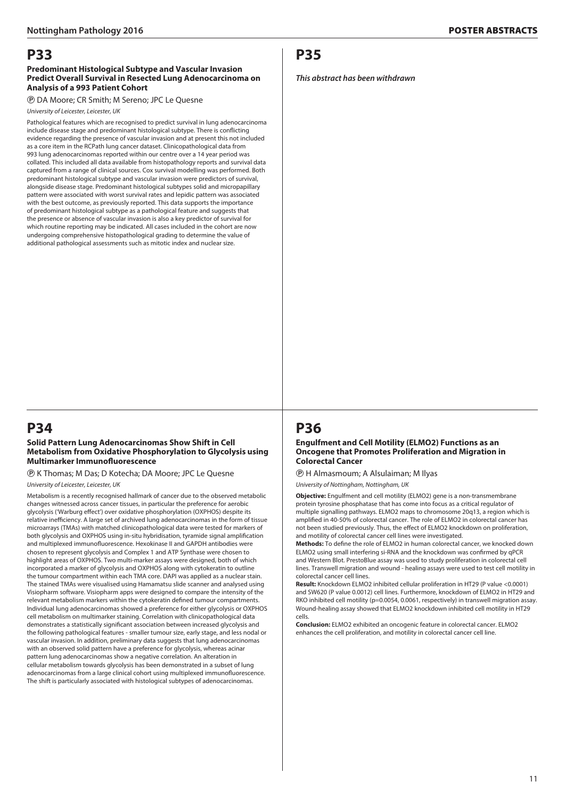#### **Predominant Histological Subtype and Vascular Invasion Predict Overall Survival in Resected Lung Adenocarcinoma on Analysis of a 993 Patient Cohort**

P DA Moore; CR Smith; M Sereno; JPC Le Quesne

*University of Leicester, Leicester, UK*

Pathological features which are recognised to predict survival in lung adenocarcinoma include disease stage and predominant histological subtype. There is conflicting evidence regarding the presence of vascular invasion and at present this not included as a core item in the RCPath lung cancer dataset. Clinicopathological data from 993 lung adenocarcinomas reported within our centre over a 14 year period was collated. This included all data available from histopathology reports and survival data captured from a range of clinical sources. Cox survival modelling was performed. Both predominant histological subtype and vascular invasion were predictors of survival, alongside disease stage. Predominant histological subtypes solid and micropapillary pattern were associated with worst survival rates and lepidic pattern was associated with the best outcome, as previously reported. This data supports the importance of predominant histological subtype as a pathological feature and suggests that the presence or absence of vascular invasion is also a key predictor of survival for which routine reporting may be indicated. All cases included in the cohort are now undergoing comprehensive histopathological grading to determine the value of additional pathological assessments such as mitotic index and nuclear size.

**P35**

#### *This abstract has been withdrawn*

### **P34**

#### **Solid Pattern Lung Adenocarcinomas Show Shift in Cell Metabolism from Oxidative Phosphorylation to Glycolysis using Multimarker Immunofluorescence**

#### P K Thomas; M Das; D Kotecha; DA Moore; JPC Le Quesne

*University of Leicester, Leicester, UK*

Metabolism is a recently recognised hallmark of cancer due to the observed metabolic changes witnessed across cancer tissues, in particular the preference for aerobic glycolysis ('Warburg effect') over oxidative phosphorylation (OXPHOS) despite its relative inefficiency. A large set of archived lung adenocarcinomas in the form of tissue microarrays (TMAs) with matched clinicopathological data were tested for markers of both glycolysis and OXPHOS using in-situ hybridisation, tyramide signal amplification and multiplexed immunofluorescence. Hexokinase II and GAPDH antibodies were chosen to represent glycolysis and Complex 1 and ATP Synthase were chosen to highlight areas of OXPHOS. Two multi-marker assays were designed, both of which incorporated a marker of glycolysis and OXPHOS along with cytokeratin to outline the tumour compartment within each TMA core. DAPI was applied as a nuclear stain. The stained TMAs were visualised using Hamamatsu slide scanner and analysed using Visiopharm software. Visiopharm apps were designed to compare the intensity of the relevant metabolism markers within the cytokeratin defined tumour compartments. Individual lung adenocarcinomas showed a preference for either glycolysis or OXPHOS cell metabolism on multimarker staining. Correlation with clinicopathological data demonstrates a statistically significant association between increased glycolysis and the following pathological features - smaller tumour size, early stage, and less nodal or vascular invasion. In addition, preliminary data suggests that lung adenocarcinomas with an observed solid pattern have a preference for glycolysis, whereas acinar pattern lung adenocarcinomas show a negative correlation. An alteration in cellular metabolism towards glycolysis has been demonstrated in a subset of lung adenocarcinomas from a large clinical cohort using multiplexed immunofluorescence. The shift is particularly associated with histological subtypes of adenocarcinomas.

# **P36**

#### **Engulfment and Cell Motility (ELMO2) Functions as an Oncogene that Promotes Proliferation and Migration in Colorectal Cancer**

#### P H Almasmoum; A Alsulaiman; M Ilyas

*University of Nottingham, Nottingham, UK*

**Objective:** Engulfment and cell motility (ELMO2) gene is a non-transmembrane protein tyrosine phosphatase that has come into focus as a critical regulator of multiple signalling pathways. ELMO2 maps to chromosome 20q13, a region which is amplified in 40-50% of colorectal cancer. The role of ELMO2 in colorectal cancer has not been studied previously. Thus, the effect of ELMO2 knockdown on proliferation, and motility of colorectal cancer cell lines were investigated.

**Methods:** To define the role of ELMO2 in human colorectal cancer, we knocked down ELMO2 using small interfering si-RNA and the knockdown was confirmed by qPCR and Western Blot. PrestoBlue assay was used to study proliferation in colorectal cell lines. Transwell migration and wound - healing assays were used to test cell motility in colorectal cancer cell lines.

**Result:** Knockdown ELMO2 inhibited cellular proliferation in HT29 (P value <0.0001) and SW620 (P value 0.0012) cell lines. Furthermore, knockdown of ELMO2 in HT29 and RKO inhibited cell motility (p=0.0054, 0.0061, respectively) in transwell migration assay. Wound-healing assay showed that ELMO2 knockdown inhibited cell motility in HT29 cells.

**Conclusion:** ELMO2 exhibited an oncogenic feature in colorectal cancer. ELMO2 enhances the cell proliferation, and motility in colorectal cancer cell line.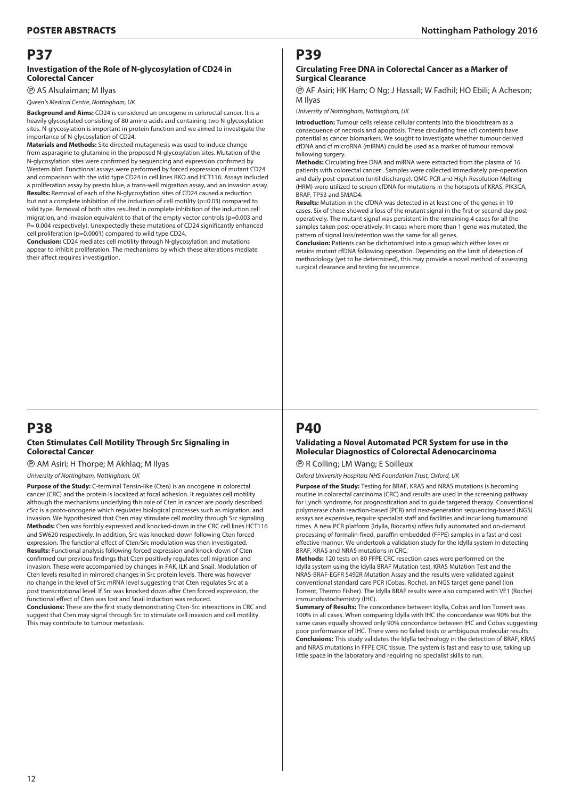#### **Investigation of the Role of N-glycosylation of CD24 in Colorectal Cancer**

P AS Alsulaiman; M Ilyas

*Queen's Medical Centre, Nottingham, UK*

**Background and Aims:** CD24 is considered an oncogene in colorectal cancer. It is a heavily glycosylated consisting of 80 amino acids and containing two N-glycosylation sites. N-glycosylation is important in protein function and we aimed to investigate the importance of N-glycosylation of CD24.

**Materials and Methods:** Site directed mutagenesis was used to induce change from asparagine to glutamine in the proposed N-glycosylation sites. Mutation of the N-glycosylation sites were confirmed by sequencing and expression confirmed by Western blot. Functional assays were performed by forced expression of mutant CD24 and comparison with the wild type CD24 in cell lines RKO and HCT116. Assays included a proliferation assay by presto blue, a trans-well migration assay, and an invasion assay. **Results:** Removal of each of the N-glycosylation sites of CD24 caused a reduction but not a complete inhibition of the induction of cell motility (p=0.03) compared to wild type. Removal of both sites resulted in complete inhibition of the induction cell migration, and invasion equivalent to that of the empty vector controls (p=0.003 and

P= 0.004 respectively). Unexpectedly these mutations of CD24 significantly enhanced cell proliferation (p=0.0001) compared to wild type CD24. **Conclusion:** CD24 mediates cell motility through N-glycosylation and mutations

appear to inhibit proliferation. The mechanisms by which these alterations mediate their affect requires investigation.

#### **P38 Cten Stimulates Cell Motility Through Src Signaling in Colorectal Cancer**

P AM Asiri; H Thorpe; M Akhlaq; M Ilyas

*University of Nottingham, Nottingham, UK*

**Purpose of the Study:** C-terminal Tensin-like (Cten) is an oncogene in colorectal cancer (CRC) and the protein is localized at focal adhesion. It regulates cell motility although the mechanisms underlying this role of Cten in cancer are poorly described. cSrc is a proto-oncogene which regulates biological processes such as migration, and invasion. We hypothesized that Cten may stimulate cell motility through Src signaling. **Methods:** Cten was forcibly expressed and knocked-down in the CRC cell lines HCT116 and SW620 respectively. In addition, Src was knocked-down following Cten forced expression. The functional effect of Cten/Src modulation was then investigated. **Results:** Functional analysis following forced expression and knock-down of Cten confirmed our previous findings that Cten positively regulates cell migration and invasion. These were accompanied by changes in FAK, ILK and Snail. Modulation of Cten levels resulted in mirrored changes in Src protein levels. There was however no change in the level of Src mRNA level suggesting that Cten regulates Src at a post transcriptional level. If Src was knocked down after Cten forced expression, the functional effect of Cten was lost and Snail induction was reduced. **Conclusions:** These are the first study demonstrating Cten-Src interactions in CRC and suggest that Cten may signal through Src to stimulate cell invasion and cell motility. This may contribute to tumour metastasis.

### **P39**

#### **Circulating Free DNA in Colorectal Cancer as a Marker of Surgical Clearance**

P AF Asiri; HK Ham; O Ng; J Hassall; W Fadhil; HO Ebili; A Acheson; M Ilyas

*University of Nottingham, Nottingham, UK*

**Introduction:** Tumour cells release cellular contents into the bloodstream as a consequence of necrosis and apoptosis. These circulating free (cf) contents have potential as cancer biomarkers. We sought to investigate whether tumour derived cfDNA and cf microRNA (miRNA) could be used as a marker of tumour removal following surgery.

**Methods:** Circulating free DNA and miRNA were extracted from the plasma of 16 patients with colorectal cancer . Samples were collected immediately pre-operation and daily post-operation (until discharge). QMC-PCR and High Resolution Melting (HRM) were utilized to screen cfDNA for mutations in the hotspots of KRAS, PIK3CA, BRAF, TP53 and SMAD4.

**Results:** Mutation in the cfDNA was detected in at least one of the genes in 10 cases. Six of these showed a loss of the mutant signal in the first or second day postoperatively. The mutant signal was persistent in the remaining 4 cases for all the samples taken post-operatively. In cases where more than 1 gene was mutated, the pattern of signal loss/retention was the same for all genes.

**Conclusion:** Patients can be dichotomised into a group which either loses or retains mutant cfDNA following operation. Depending on the limit of detection of methodology (yet to be determined), this may provide a novel method of assessing surgical clearance and testing for recurrence.

# **P40**

#### **Validating a Novel Automated PCR System for use in the Molecular Diagnostics of Colorectal Adenocarcinoma**

P R Colling; LM Wang; E Soilleux

*Oxford University Hospitals NHS Foundation Trust, Oxford, UK*

**Purpose of the Study:** Testing for BRAF, KRAS and NRAS mutations is becoming routine in colorectal carcinoma (CRC) and results are used in the screening pathway for Lynch syndrome, for prognostication and to guide targeted therapy. Conventional polymerase chain reaction-based (PCR) and next-generation sequencing-based (NGS) assays are expensive, require specialist staff and facilities and incur long turnaround times. A new PCR platform (Idylla, Biocartis) offers fully automated and on-demand processing of formalin-fixed, paraffin-embedded (FFPE) samples in a fast and cost effective manner. We undertook a validation study for the Idylla system in detecting BRAF, KRAS and NRAS mutations in CRC.

**Methods:** 120 tests on 80 FFPE CRC resection cases were performed on the Idylla system using the Idylla BRAF Mutation test, KRAS Mutation Test and the NRAS-BRAF-EGFR S492R Mutation Assay and the results were validated against conventional standard care PCR (Cobas, Roche), an NGS target gene panel (Ion Torrent, Thermo Fisher). The Idylla BRAF results were also compared with VE1 (Roche) immunohistochemistry (IHC).

**Summary of Results:** The concordance between Idylla, Cobas and Ion Torrent was 100% in all cases. When comparing Idylla with IHC the concordance was 90% but the same cases equally showed only 90% concordance between IHC and Cobas suggesting poor performance of IHC. There were no failed tests or ambiguous molecular results. **Conclusions:** This study validates the Idylla technology in the detection of BRAF, KRAS and NRAS mutations in FFPE CRC tissue. The system is fast and easy to use, taking up little space in the laboratory and requiring no specialist skills to run.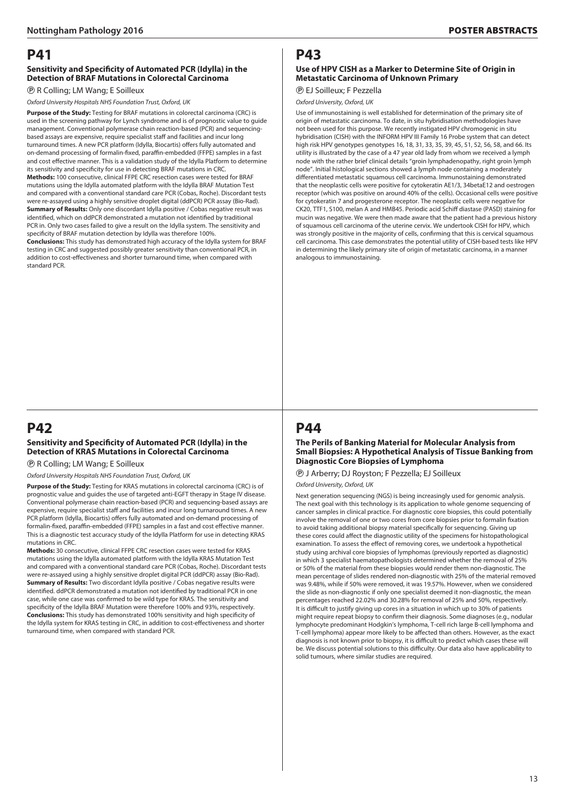#### **Sensitivity and Specificity of Automated PCR (Idylla) in the Detection of BRAF Mutations in Colorectal Carcinoma**

P R Colling; LM Wang; E Soilleux

*Oxford University Hospitals NHS Foundation Trust, Oxford, UK*

**Purpose of the Study:** Testing for BRAF mutations in colorectal carcinoma (CRC) is used in the screening pathway for Lynch syndrome and is of prognostic value to guide management. Conventional polymerase chain reaction-based (PCR) and sequencingbased assays are expensive, require specialist staff and facilities and incur long turnaround times. A new PCR platform (Idylla, Biocartis) offers fully automated and on-demand processing of formalin-fixed, paraffin-embedded (FFPE) samples in a fast and cost effective manner. This is a validation study of the Idylla Platform to determine its sensitivity and specificity for use in detecting BRAF mutations in CRC.

**Methods:** 100 consecutive, clinical FFPE CRC resection cases were tested for BRAF mutations using the Idylla automated platform with the Idylla BRAF Mutation Test and compared with a conventional standard care PCR (Cobas, Roche). Discordant tests were re-assayed using a highly sensitive droplet digital (ddPCR) PCR assay (Bio-Rad). **Summary of Results:** Only one discordant Idylla positive / Cobas negative result was identified, which on ddPCR demonstrated a mutation not identified by traditional PCR in. Only two cases failed to give a result on the Idylla system. The sensitivity and specificity of BRAF mutation detection by Idylla was therefore 100%.

**Conclusions:** This study has demonstrated high accuracy of the Idylla system for BRAF testing in CRC and suggested possibly greater sensitivity than conventional PCR, in addition to cost-effectiveness and shorter turnaround time, when compared with standard PCR.

# **P42**

#### **Sensitivity and Specificity of Automated PCR (Idylla) in the Detection of KRAS Mutations in Colorectal Carcinoma**

P R Colling; LM Wang; E Soilleux

*Oxford University Hospitals NHS Foundation Trust, Oxford, UK*

**Purpose of the Study:** Testing for KRAS mutations in colorectal carcinoma (CRC) is of prognostic value and guides the use of targeted anti-EGFT therapy in Stage IV disease. Conventional polymerase chain reaction-based (PCR) and sequencing-based assays are expensive, require specialist staff and facilities and incur long turnaround times. A new PCR platform (Idylla, Biocartis) offers fully automated and on-demand processing of formalin-fixed, paraffin-embedded (FFPE) samples in a fast and cost effective manner. This is a diagnostic test accuracy study of the Idylla Platform for use in detecting KRAS mutations in CRC.

**Methods:** 30 consecutive, clinical FFPE CRC resection cases were tested for KRAS mutations using the Idylla automated platform with the Idylla KRAS Mutation Test and compared with a conventional standard care PCR (Cobas, Roche). Discordant tests were re-assayed using a highly sensitive droplet digital PCR (ddPCR) assay (Bio-Rad). **Summary of Results:** Two discordant Idylla positive / Cobas negative results were identified. ddPCR demonstrated a mutation not identified by traditional PCR in one case, while one case was confirmed to be wild type for KRAS. The sensitivity and specificity of the Idylla BRAF Mutation were therefore 100% and 93%, respectively. **Conclusions:** This study has demonstrated 100% sensitivity and high specificity of the Idylla system for KRAS testing in CRC, in addition to cost-effectiveness and shorter turnaround time, when compared with standard PCR.

# **P43**

#### **Use of HPV CISH as a Marker to Determine Site of Origin in Metastatic Carcinoma of Unknown Primary**

P EJ Soilleux; F Pezzella

*Oxford University, Oxford, UK*

Use of immunostaining is well established for determination of the primary site of origin of metastatic carcinoma. To date, in situ hybridisation methodologies have not been used for this purpose. We recently instigated HPV chromogenic in situ hybridisation (CISH) with the INFORM HPV III Family 16 Probe system that can detect high risk HPV genotypes genotypes 16, 18, 31, 33, 35, 39, 45, 51, 52, 56, 58, and 66. Its utility is illustrated by the case of a 47 year old lady from whom we received a lymph node with the rather brief clinical details "groin lymphadenopathy, right groin lymph node". Initial histological sections showed a lymph node containing a moderately differentiated metastatic squamous cell carcinoma. Immunostaining demonstrated that the neoplastic cells were positive for cytokeratin AE1/3, 34betaE12 and oestrogen receptor (which was positive on around 40% of the cells). Occasional cells were positive for cytokeratin 7 and progesterone receptor. The neoplastic cells were negative for CK20, TTF1, S100, melan A and HMB45. Periodic acid Schiff diastase (PASD) staining for mucin was negative. We were then made aware that the patient had a previous history of squamous cell carcinoma of the uterine cervix. We undertook CISH for HPV, which was strongly positive in the majority of cells, confirming that this is cervical squamous cell carcinoma. This case demonstrates the potential utility of CISH-based tests like HPV in determining the likely primary site of origin of metastatic carcinoma, in a manner analogous to immunostaining.

# **P44**

#### **The Perils of Banking Material for Molecular Analysis from Small Biopsies: A Hypothetical Analysis of Tissue Banking from Diagnostic Core Biopsies of Lymphoma**

#### P J Arberry; DJ Royston; F Pezzella; EJ Soilleux

*Oxford University, Oxford, UK*

Next generation sequencing (NGS) is being increasingly used for genomic analysis. The next goal with this technology is its application to whole genome sequencing of cancer samples in clinical practice. For diagnostic core biopsies, this could potentially involve the removal of one or two cores from core biopsies prior to formalin fixation to avoid taking additional biopsy material specifically for sequencing. Giving up these cores could affect the diagnostic utility of the specimens for histopathological examination. To assess the effect of removing cores, we undertook a hypothetical study using archival core biopsies of lymphomas (previously reported as diagnostic) in which 3 specialist haematopathologists determined whether the removal of 25% or 50% of the material from these biopsies would render them non-diagnostic. The mean percentage of slides rendered non-diagnostic with 25% of the material removed was 9.48%, while if 50% were removed, it was 19.57%. However, when we considered the slide as non-diagnostic if only one specialist deemed it non-diagnostic, the mean percentages reached 22.02% and 30.28% for removal of 25% and 50%, respectively. It is difficult to justify giving up cores in a situation in which up to 30% of patients might require repeat biopsy to confirm their diagnosis. Some diagnoses (e.g., nodular lymphocyte predominant Hodgkin's lymphoma, T-cell rich large B-cell lymphoma and T-cell lymphoma) appear more likely to be affected than others. However, as the exact diagnosis is not known prior to biopsy, it is difficult to predict which cases these will be. We discuss potential solutions to this difficulty. Our data also have applicability to solid tumours, where similar studies are required.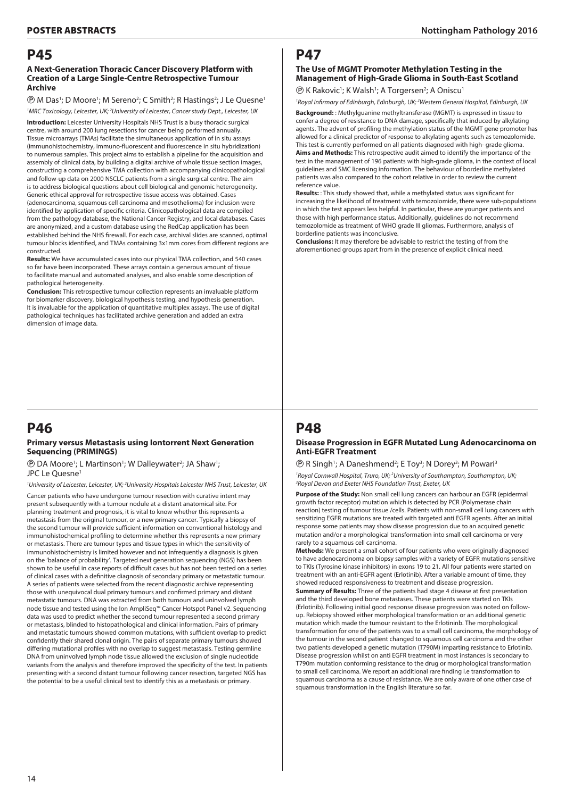#### **A Next-Generation Thoracic Cancer Discovery Platform with Creation of a Large Single-Centre Retrospective Tumour Archive**

### **@ M Das<sup>1</sup>; D Moore<sup>1</sup>; M Sereno<sup>2</sup>; C Smith<sup>2</sup>; R Hastings<sup>2</sup>; J Le Quesne<sup>1</sup>**

<sup>1</sup>MRC Toxicology, Leicester, UK; <sup>2</sup>University of Leicester, Cancer study Dept., Leicester, UK **Introduction:** Leicester University Hospitals NHS Trust is a busy thoracic surgical centre, with around 200 lung resections for cancer being performed annually. Tissue microarrays (TMAs) facilitate the simultaneous application of in situ assays (immunohistochemistry, immuno-fluorescent and fluorescence in situ hybridization) to numerous samples. This project aims to establish a pipeline for the acquisition and assembly of clinical data, by building a digital archive of whole tissue section images, constructing a comprehensive TMA collection with accompanying clinicopathological and follow-up data on 2000 NSCLC patients from a single surgical centre. The aim is to address biological questions about cell biological and genomic heterogeneity. Generic ethical approval for retrospective tissue access was obtained. Cases (adenocarcinoma, squamous cell carcinoma and mesothelioma) for inclusion were identified by application of specific criteria. Clinicopathological data are compiled from the pathology database, the National Cancer Registry, and local databases. Cases are anonymized, and a custom database using the RedCap application has been established behind the NHS firewall. For each case, archival slides are scanned, optimal tumour blocks identified, and TMAs containing 3x1mm cores from different regions are constructed.

**Results:** We have accumulated cases into our physical TMA collection, and 540 cases so far have been incorporated. These arrays contain a generous amount of tissue to facilitate manual and automated analyses, and also enable some description of pathological heterogeneity.

**Conclusion:** This retrospective tumour collection represents an invaluable platform for biomarker discovery, biological hypothesis testing, and hypothesis generation. It is invaluable for the application of quantitative multiplex assays. The use of digital pathological techniques has facilitated archive generation and added an extra dimension of image data.

# **P46**

#### **Primary versus Metastasis using Iontorrent Next Generation Sequencing (PRIMINGS)**

#### **(B)** DA Moore<sup>1</sup>; L Martinson<sup>1</sup>; W Dalleywater<sup>2</sup>; JA Shaw<sup>1</sup>; JPC Le Ouesne<sup>1</sup>

<sup>1</sup>University of Leicester, Leicester, UK; <sup>2</sup>University Hospitals Leicester NHS Trust, Leicester, UK Cancer patients who have undergone tumour resection with curative intent may present subsequently with a tumour nodule at a distant anatomical site. For planning treatment and prognosis, it is vital to know whether this represents a metastasis from the original tumour, or a new primary cancer. Typically a biopsy of the second tumour will provide sufficient information on conventional histology and immunohistochemical profiling to determine whether this represents a new primary or metastasis. There are tumour types and tissue types in which the sensitivity of immunohistochemistry is limited however and not infrequently a diagnosis is given on the 'balance of probability'. Targeted next generation sequencing (NGS) has been shown to be useful in case reports of difficult cases but has not been tested on a series of clinical cases with a definitive diagnosis of secondary primary or metastatic tumour. A series of patients were selected from the recent diagnostic archive representing those with unequivocal dual primary tumours and confirmed primary and distant metastatic tumours. DNA was extracted from both tumours and uninvolved lymph node tissue and tested using the Ion AmpliSeq™ Cancer Hotspot Panel v2. Sequencing data was used to predict whether the second tumour represented a second primary or metastasis, blinded to histopathological and clinical information. Pairs of primary and metastatic tumours showed common mutations, with sufficient overlap to predict confidently their shared clonal origin. The pairs of separate primary tumours showed differing mutational profiles with no overlap to suggest metastasis. Testing germline DNA from uninvolved lymph node tissue allowed the exclusion of single nucleotide variants from the analysis and therefore improved the specificity of the test. In patients presenting with a second distant tumour following cancer resection, targeted NGS has the potential to be a useful clinical test to identify this as a metastasis or primary.

# **P47**

#### **The Use of MGMT Promoter Methylation Testing in the Management of High-Grade Glioma in South-East Scotland**

**(B)** K Rakovic<sup>1</sup>; K Walsh<sup>1</sup>; A Torgersen<sup>2</sup>; A Oniscu<sup>1</sup>

<sup>1</sup> Royal Infirmary of Edinburgh, Edinburgh, UK; <sup>2</sup> Western General Hospital, Edinburgh, UK

**Background:** : Methylguanine methyltransferase (MGMT) is expressed in tissue to confer a degree of resistance to DNA damage, specifically that induced by alkylating agents. The advent of profiling the methylation status of the MGMT gene promoter has allowed for a clinical predictor of response to alkylating agents such as temozolomide. This test is currently performed on all patients diagnosed with high- grade glioma. **Aims and Methods:** This retrospective audit aimed to identify the importance of the test in the management of 196 patients with high-grade glioma, in the context of local guidelines and SMC licensing information. The behaviour of borderline methylated patients was also compared to the cohort relative in order to review the current reference value.

**Results:** : This study showed that, while a methylated status was significant for increasing the likelihood of treatment with temozolomide, there were sub-populations in which the test appears less helpful. In particular, these are younger patients and those with high performance status. Additionally, guidelines do not recommend temozolomide as treatment of WHO grade III gliomas. Furthermore, analysis of borderline patients was inconclusive.

**Conclusions:** It may therefore be advisable to restrict the testing of from the aforementioned groups apart from in the presence of explicit clinical need.

# **P48**

#### **Disease Progression in EGFR Mutated Lung Adenocarcinoma on Anti-EGFR Treatment**

#### **(B)** R Singh<sup>1</sup>; A Daneshmend<sup>2</sup>; E Toy<sup>3</sup>; N Dorey<sup>3</sup>; M Powari<sup>3</sup>

<sup>1</sup> Royal Cornwall Hospital, Truro, UK; <sup>2</sup>University of Southampton, Southampton, UK;<br><sup>3</sup> Royal Devon and Exeter NHS Foundation Trust, Exeter, UK *Royal Devon and Exeter NHS Foundation Trust, Exeter, UK*

**Purpose of the Study:** Non small cell lung cancers can harbour an EGFR (epidermal growth factor receptor) mutation which is detected by PCR (Polymerase chain reaction) testing of tumour tissue /cells. Patients with non-small cell lung cancers with sensitizing EGFR mutations are treated with targeted anti EGFR agents. After an initial response some patients may show disease progression due to an acquired genetic mutation and/or a morphological transformation into small cell carcinoma or very rarely to a squamous cell carcinoma.

**Methods:** We present a small cohort of four patients who were originally diagnosed to have adenocarcinoma on biopsy samples with a variety of EGFR mutations sensitive to TKIs (Tyrosine kinase inhibitors) in exons 19 to 21. All four patients were started on treatment with an anti-EGFR agent (Erlotinib). After a variable amount of time, they showed reduced responsiveness to treatment and disease progression.

**Summary of Results:** Three of the patients had stage 4 disease at first presentation and the third developed bone metastases. These patients were started on TKIs (Erlotinib). Following initial good response disease progression was noted on followup. Rebiopsy showed either morphological transformation or an additional genetic mutation which made the tumour resistant to the Erlotininb. The morphological transformation for one of the patients was to a small cell carcinoma, the morphology of the tumour in the second patient changed to squamous cell carcinoma and the other two patients developed a genetic mutation (T790M) imparting resistance to Erlotinib. Disease progression whilst on anti EGFR treatment in most instances is secondary to T790m mutation conforming resistance to the drug or morphological transformation to small cell carcinoma. We report an additional rare finding i.e transformation to squamous carcinoma as a cause of resistance. We are only aware of one other case of squamous transformation in the English literature so far.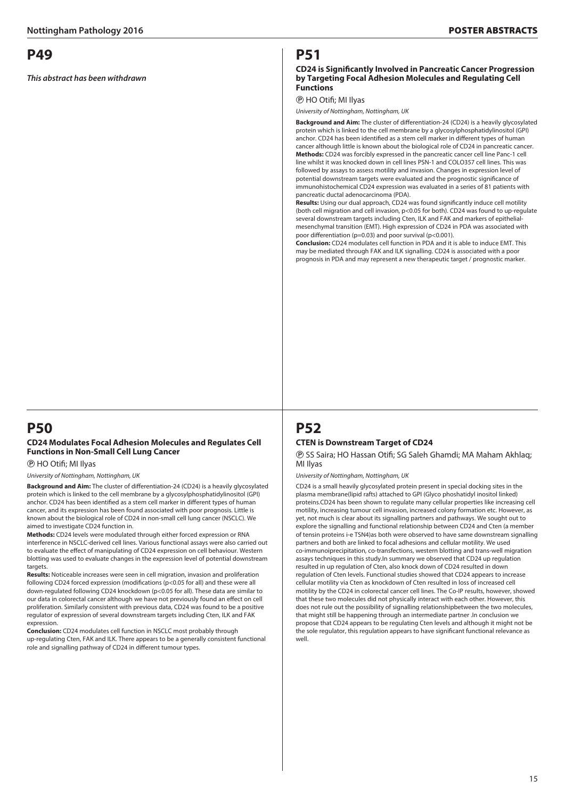*This abstract has been withdrawn*

### **P51**

**CD24 is Significantly Involved in Pancreatic Cancer Progression by Targeting Focal Adhesion Molecules and Regulating Cell Functions**

P HO Otifi; MI Ilyas

*University of Nottingham, Nottingham, UK*

**Background and Aim:** The cluster of differentiation-24 (CD24) is a heavily glycosylated protein which is linked to the cell membrane by a glycosylphosphatidylinositol (GPI) anchor. CD24 has been identified as a stem cell marker in different types of human cancer although little is known about the biological role of CD24 in pancreatic cancer. **Methods:** CD24 was forcibly expressed in the pancreatic cancer cell line Panc-1 cell line whilst it was knocked down in cell lines PSN-1 and COLO357 cell lines. This was followed by assays to assess motility and invasion. Changes in expression level of potential downstream targets were evaluated and the prognostic significance of immunohistochemical CD24 expression was evaluated in a series of 81 patients with pancreatic ductal adenocarcinoma (PDA).

**Results:** Using our dual approach, CD24 was found significantly induce cell motility (both cell migration and cell invasion, p<0.05 for both). CD24 was found to up-regulate several downstream targets including Cten, ILK and FAK and markers of epithelialmesenchymal transition (EMT). High expression of CD24 in PDA was associated with poor differentiation (p=0.03) and poor survival (p<0.001).

**Conclusion:** CD24 modulates cell function in PDA and it is able to induce EMT. This may be mediated through FAK and ILK signalling. CD24 is associated with a poor prognosis in PDA and may represent a new therapeutic target / prognostic marker.

# **P50**

#### **CD24 Modulates Focal Adhesion Molecules and Regulates Cell Functions in Non-Small Cell Lung Cancer**

P HO Otifi; MI Ilyas

*University of Nottingham, Nottingham, UK*

**Background and Aim:** The cluster of differentiation-24 (CD24) is a heavily glycosylated protein which is linked to the cell membrane by a glycosylphosphatidylinositol (GPI) anchor. CD24 has been identified as a stem cell marker in different types of human cancer, and its expression has been found associated with poor prognosis. Little is known about the biological role of CD24 in non-small cell lung cancer (NSCLC). We aimed to investigate CD24 function in.

**Methods:** CD24 levels were modulated through either forced expression or RNA interference in NSCLC-derived cell lines. Various functional assays were also carried out to evaluate the effect of manipulating of CD24 expression on cell behaviour. Western blotting was used to evaluate changes in the expression level of potential downstream targets.

**Results:** Noticeable increases were seen in cell migration, invasion and proliferation following CD24 forced expression (modifications (p<0.05 for all) and these were all down-regulated following CD24 knockdown (p<0.05 for all). These data are similar to our data in colorectal cancer although we have not previously found an effect on cell proliferation. Similarly consistent with previous data, CD24 was found to be a positive regulator of expression of several downstream targets including Cten, ILK and FAK expression.

**Conclusion:** CD24 modulates cell function in NSCLC most probably through up-regulating Cten, FAK and ILK. There appears to be a generally consistent functional role and signalling pathway of CD24 in different tumour types.

# **P52**

#### **CTEN is Downstream Target of CD24**

P SS Saira; HO Hassan Otifi; SG Saleh Ghamdi; MA Maham Akhlaq; MI Ilyas

*University of Nottingham, Nottingham, UK*

CD24 is a small heavily glycosylated protein present in special docking sites in the plasma membrane(lipid rafts) attached to GPI (Glyco phoshatidyl inositol linked) proteins.CD24 has been shown to regulate many cellular properties like increasing cell motility, increasing tumour cell invasion, increased colony formation etc. However, as yet, not much is clear about its signalling partners and pathways. We sought out to explore the signalling and functional relationship between CD24 and Cten (a member of tensin proteins i-e TSN4)as both were observed to have same downstream signalling partners and both are linked to focal adhesions and cellular motility. We used co-immunoiprecipitation, co-transfections, western blotting and trans-well migration assays techniques in this study.In summary we observed that CD24 up regulation resulted in up regulation of Cten, also knock down of CD24 resulted in down regulation of Cten levels. Functional studies showed that CD24 appears to increase cellular motility via Cten as knockdown of Cten resulted in loss of increased cell motility by the CD24 in colorectal cancer cell lines. The Co-IP results, however, showed that these two molecules did not physically interact with each other. However, this does not rule out the possibility of signalling relationshipbetween the two molecules, that might still be happening through an intermediate partner .In conclusion we propose that CD24 appears to be regulating Cten levels and although it might not be the sole regulator, this regulation appears to have significant functional relevance as well.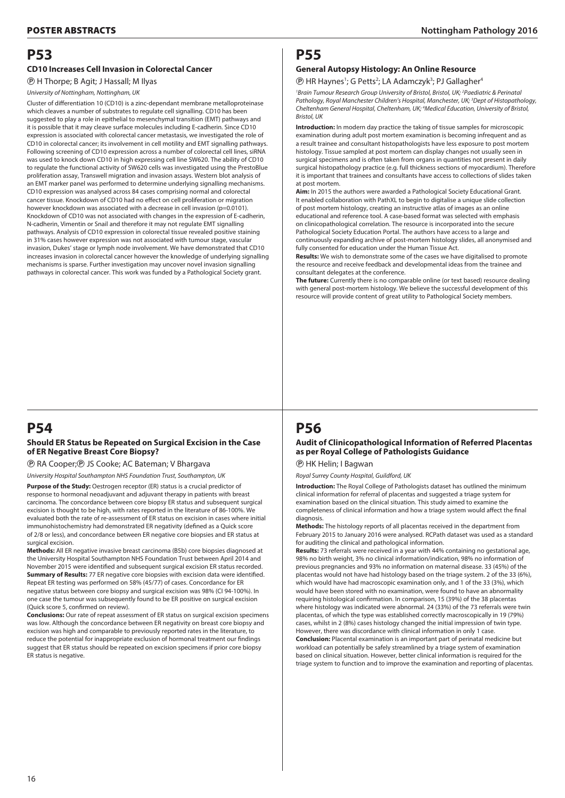#### **CD10 Increases Cell Invasion in Colorectal Cancer**

P H Thorpe; B Agit; J Hassall; M Ilyas

*University of Nottingham, Nottingham, UK*

Cluster of differentiation 10 (CD10) is a zinc-dependant membrane metalloproteinase which cleaves a number of substrates to regulate cell signalling. CD10 has been suggested to play a role in epithelial to mesenchymal transition (EMT) pathways and it is possible that it may cleave surface molecules including E-cadherin. Since CD10 expression is associated with colorectal cancer metastasis, we investigated the role of CD10 in colorectal cancer; its involvement in cell motility and EMT signalling pathways. Following screening of CD10 expression across a number of colorectal cell lines, siRNA was used to knock down CD10 in high expressing cell line SW620. The ability of CD10 to regulate the functional activity of SW620 cells was investigated using the PrestoBlue proliferation assay, Transwell migration and invasion assays. Western blot analysis of an EMT marker panel was performed to determine underlying signalling mechanisms. CD10 expression was analysed across 84 cases comprising normal and colorectal cancer tissue. Knockdown of CD10 had no effect on cell proliferation or migration however knockdown was associated with a decrease in cell invasion (p=0.0101). Knockdown of CD10 was not associated with changes in the expression of E-cadherin, N-cadherin, Vimentin or Snail and therefore it may not regulate EMT signalling pathways. Analysis of CD10 expression in colorectal tissue revealed positive staining in 31% cases however expression was not associated with tumour stage, vascular invasion, Dukes' stage or lymph node involvement. We have demonstrated that CD10 increases invasion in colorectal cancer however the knowledge of underlying signalling mechanisms is sparse. Further investigation may uncover novel invasion signalling pathways in colorectal cancer. This work was funded by a Pathological Society grant.

### **P54**

#### **Should ER Status be Repeated on Surgical Excision in the Case of ER Negative Breast Core Biopsy?**

P RA Cooper;P JS Cooke; AC Bateman; V Bhargava

*University Hospital Southampton NHS Foundation Trust, Southampton, UK*

**Purpose of the Study:** Oestrogen receptor (ER) status is a crucial predictor of response to hormonal neoadjuvant and adjuvant therapy in patients with breast carcinoma. The concordance between core biopsy ER status and subsequent surgical excision is thought to be high, with rates reported in the literature of 86-100%. We evaluated both the rate of re-assessment of ER status on excision in cases where initial immunohistochemistry had demonstrated ER negativity (defined as a Quick score of 2/8 or less), and concordance between ER negative core biopsies and ER status at surgical excision.

**Methods:** All ER negative invasive breast carcinoma (B5b) core biopsies diagnosed at the University Hospital Southampton NHS Foundation Trust between April 2014 and November 2015 were identified and subsequent surgical excision ER status recorded. **Summary of Results:** 77 ER negative core biopsies with excision data were identified. Repeat ER testing was performed on 58% (45/77) of cases. Concordance for ER negative status between core biopsy and surgical excision was 98% (CI 94-100%). In one case the tumour was subsequently found to be ER positive on surgical excision (Quick score 5, confirmed on review).

**Conclusions:** Our rate of repeat assessment of ER status on surgical excision specimens was low. Although the concordance between ER negativity on breast core biopsy and excision was high and comparable to previously reported rates in the literature, to reduce the potential for inappropriate exclusion of hormonal treatment our findings suggest that ER status should be repeated on excision specimens if prior core biopsy ER status is negative.

# **P55**

#### **General Autopsy Histology: An Online Resource**

**(B)** HR Haynes<sup>1</sup>; G Petts<sup>2</sup>; LA Adamczyk<sup>3</sup>; PJ Gallagher<sup>4</sup>

<sup>1</sup> Brain Tumour Research Group University of Bristol, Bristol, UK; <sup>2</sup> Paediatric & Perinatal Pathology, Royal Manchester Children's Hospital, Manchester, UK;<sup>3</sup> Dept of Histopathology, *Cheltenham General Hospital, Cheltenham, UK; 4 Medical Education, University of Bristol, Bristol, UK*

**Introduction:** In modern day practice the taking of tissue samples for microscopic examination during adult post mortem examination is becoming infrequent and as a result trainee and consultant histopathologists have less exposure to post mortem histology. Tissue sampled at post mortem can display changes not usually seen in surgical specimens and is often taken from organs in quantities not present in daily surgical histopathology practice (e.g. full thickness sections of myocardium). Therefore it is important that trainees and consultants have access to collections of slides taken at post mortem.

**Aim:** In 2015 the authors were awarded a Pathological Society Educational Grant. It enabled collaboration with PathXL to begin to digitalise a unique slide collection of post mortem histology, creating an instructive atlas of images as an online educational and reference tool. A case-based format was selected with emphasis on clinicopathological correlation. The resource is incorporated into the secure Pathological Society Education Portal. The authors have access to a large and continuously expanding archive of post-mortem histology slides, all anonymised and fully consented for education under the Human Tissue Act.

**Results:** We wish to demonstrate some of the cases we have digitalised to promote the resource and receive feedback and developmental ideas from the trainee and consultant delegates at the conference.

**The future:** Currently there is no comparable online (or text based) resource dealing with general post-mortem histology. We believe the successful development of this resource will provide content of great utility to Pathological Society members.

# **P56**

### **Audit of Clinicopathological Information of Referred Placentas as per Royal College of Pathologists Guidance**

P HK Helin; I Bagwan

*Royal Surrey County Hospital, Guildford, UK*

**Introduction:** The Royal College of Pathologists dataset has outlined the minimum clinical information for referral of placentas and suggested a triage system for examination based on the clinical situation. This study aimed to examine the completeness of clinical information and how a triage system would affect the final diagnosis.

**Methods:** The histology reports of all placentas received in the department from February 2015 to January 2016 were analysed. RCPath dataset was used as a standard for auditing the clinical and pathological information.

**Results:** 73 referrals were received in a year with 44% containing no gestational age, 98% no birth weight, 3% no clinical information/indication, 98% no information of previous pregnancies and 93% no information on maternal disease. 33 (45%) of the placentas would not have had histology based on the triage system. 2 of the 33 (6%), which would have had macroscopic examination only, and 1 of the 33 (3%), which would have been stored with no examination, were found to have an abnormality requiring histological confirmation. In comparison, 15 (39%) of the 38 placentas where histology was indicated were abnormal. 24 (33%) of the 73 referrals were twin placentas, of which the type was established correctly macroscopically in 19 (79%) cases, whilst in 2 (8%) cases histology changed the initial impression of twin type. However, there was discordance with clinical information in only 1 case. **Conclusion:** Placental examination is an important part of perinatal medicine but workload can potentially be safely streamlined by a triage system of examination

based on clinical situation. However, better clinical information is required for the triage system to function and to improve the examination and reporting of placentas.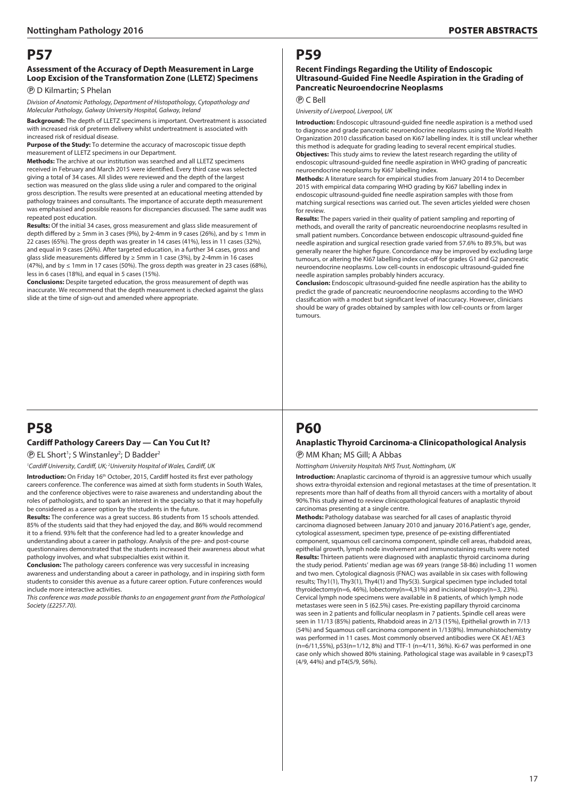#### **Assessment of the Accuracy of Depth Measurement in Large Loop Excision of the Transformation Zone (LLETZ) Specimens**

P D Kilmartin; S Phelan

*Division of Anatomic Pathology, Department of Histopathology, Cytopathology and Molecular Pathology, Galway University Hospital, Galway, Ireland*

**Background:** The depth of LLETZ specimens is important. Overtreatment is associated with increased risk of preterm delivery whilst undertreatment is associated with increased risk of residual disease.

**Purpose of the Study:** To determine the accuracy of macroscopic tissue depth measurement of LLETZ specimens in our Department.

**Methods:** The archive at our institution was searched and all LLETZ specimens received in February and March 2015 were identified. Every third case was selected giving a total of 34 cases. All slides were reviewed and the depth of the largest section was measured on the glass slide using a ruler and compared to the original gross description. The results were presented at an educational meeting attended by pathology trainees and consultants. The importance of accurate depth measurement was emphasised and possible reasons for discrepancies discussed. The same audit was repeated post education.

**Results:** Of the initial 34 cases, gross measurement and glass slide measurement of depth differed by ≥ 5mm in 3 cases (9%), by 2-4mm in 9 cases (26%), and by ≤ 1mm in 22 cases (65%). The gross depth was greater in 14 cases (41%), less in 11 cases (32%), and equal in 9 cases (26%). After targeted education, in a further 34 cases, gross and glass slide measurements differed by  $\geq$  5mm in 1 case (3%), by 2-4mm in 16 cases (47%), and by ≤ 1mm in 17 cases (50%). The gross depth was greater in 23 cases (68%), less in 6 cases (18%), and equal in 5 cases (15%).

**Conclusions:** Despite targeted education, the gross measurement of depth was inaccurate. We recommend that the depth measurement is checked against the glass slide at the time of sign-out and amended where appropriate.

### **P58 Cardiff Pathology Careers Day — Can You Cut It?**

*<b>P* EL Short<sup>1</sup>; S Winstanley<sup>2</sup>; D Badder<sup>2</sup>

<sup>1</sup> Cardiff University, Cardiff, UK; <sup>2</sup> University Hospital of Wales, Cardiff, UK

**Introduction:** On Friday 16<sup>th</sup> October, 2015, Cardiff hosted its first ever pathology careers conference. The conference was aimed at sixth form students in South Wales, and the conference objectives were to raise awareness and understanding about the roles of pathologists, and to spark an interest in the specialty so that it may hopefully be considered as a career option by the students in the future.

**Results:** The conference was a great success. 86 students from 15 schools attended. 85% of the students said that they had enjoyed the day, and 86% would recommend it to a friend. 93% felt that the conference had led to a greater knowledge and understanding about a career in pathology. Analysis of the pre- and post-course questionnaires demonstrated that the students increased their awareness about what pathology involves, and what subspecialties exist within it.

**Conclusion:** The pathology careers conference was very successful in increasing awareness and understanding about a career in pathology, and in inspiring sixth form students to consider this avenue as a future career option. Future conferences would include more interactive activities.

*This conference was made possible thanks to an engagement grant from the Pathological Society (£2257.70).*

### **P59**

#### **Recent Findings Regarding the Utility of Endoscopic Ultrasound-Guided Fine Needle Aspiration in the Grading of Pancreatic Neuroendocrine Neoplasms**

P C Bell

*University of Liverpool, Liverpool, UK*

**Introduction:** Endoscopic ultrasound-guided fine needle aspiration is a method used to diagnose and grade pancreatic neuroendocrine neoplasms using the World Health Organization 2010 classification based on Ki67 labelling index. It is still unclear whether this method is adequate for grading leading to several recent empirical studies. **Objectives:** This study aims to review the latest research regarding the utility of endoscopic ultrasound-guided fine needle aspiration in WHO grading of pancreatic neuroendocrine neoplasms by Ki67 labelling index.

**Methods:** A literature search for empirical studies from January 2014 to December 2015 with empirical data comparing WHO grading by Ki67 labelling index in endoscopic ultrasound-guided fine needle aspiration samples with those from matching surgical resections was carried out. The seven articles yielded were chosen for review.

**Results:** The papers varied in their quality of patient sampling and reporting of methods, and overall the rarity of pancreatic neuroendocrine neoplasms resulted in small patient numbers. Concordance between endoscopic ultrasound-guided fine needle aspiration and surgical resection grade varied from 57.6% to 89.5%, but was generally nearer the higher figure. Concordance may be improved by excluding large tumours, or altering the Ki67 labelling index cut-off for grades G1 and G2 pancreatic neuroendocrine neoplasms. Low cell-counts in endoscopic ultrasound-guided fine needle aspiration samples probably hinders accuracy.

**Conclusion:** Endoscopic ultrasound-guided fine needle aspiration has the ability to predict the grade of pancreatic neuroendocrine neoplasms according to the WHO classification with a modest but significant level of inaccuracy. However, clinicians should be wary of grades obtained by samples with low cell-counts or from larger tumours.

# **P60**

### **Anaplastic Thyroid Carcinoma-a Clinicopathological Analysis**

P MM Khan; MS Gill; A Abbas

*Nottingham University Hospitals NHS Trust, Nottingham, UK*

**Introduction:** Anaplastic carcinoma of thyroid is an aggressive tumour which usually shows extra-thyroidal extension and regional metastases at the time of presentation. It represents more than half of deaths from all thyroid cancers with a mortality of about 90%.This study aimed to review clinicopathological features of anaplastic thyroid carcinomas presenting at a single centre.

**Methods:** Pathology database was searched for all cases of anaplastic thyroid carcinoma diagnosed between January 2010 and january 2016.Patient's age, gender, cytological assessment, specimen type, presence of pe-existing differentiated component, squamous cell carcinoma component, spindle cell areas, rhabdoid areas, epithelial growth, lymph node involvement and immunostaining results were noted **Results:** Thirteen patients were diagnosed with anaplastic thyroid carcinoma during the study period. Patients' median age was 69 years (range 58-86) including 11 women and two men. Cytological diagnosis (FNAC) was available in six cases with following results; Thy1(1), Thy3(1), Thy4(1) and Thy5(3). Surgical specimen type included total thyroidectomy(n=6, 46%), lobectomy(n=4,31%) and incisional biopsy(n=3, 23%). Cervical lymph node specimens were available in 8 patients, of which lymph node metastases were seen in 5 (62.5%) cases. Pre-existing papillary thyroid carcinoma was seen in 2 patients and follicular neoplasm in 7 patients. Spindle cell areas were seen in 11/13 (85%) patients, Rhabdoid areas in 2/13 (15%), Epithelial growth in 7/13 (54%) and Squamous cell carcinoma component in 1/13(8%). Immunohistochemistry was performed in 11 cases. Most commonly observed antibodies were CK AE1/AE3 (n=6/11,55%), p53(n=1/12, 8%) and TTF-1 (n=4/11, 36%). Ki-67 was performed in one case only which showed 80% staining. Pathological stage was available in 9 cases;pT3 (4/9, 44%) and pT4(5/9, 56%).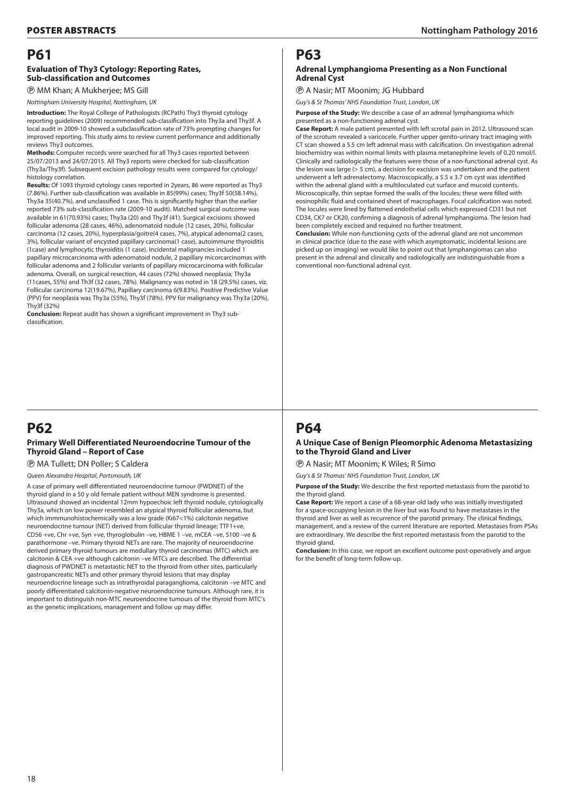#### **Evaluation of Thy3 Cytology: Reporting Rates, Sub-classification and Outcomes**

P MM Khan; A Mukherjee; MS Gill

*Nottingham University Hospital, Nottingham, UK*

**Introduction:** The Royal College of Pathologists (RCPath) Thy3 thyroid cytology reporting guidelines (2009) recommended sub-classification into Thy3a and Thy3f. A local audit in 2009-10 showed a subclassification rate of 73% prompting changes for improved reporting. This study aims to review current performance and additionally reviews Thy3 outcomes.

**Methods:** Computer records were searched for all Thy3 cases reported between 25/07/2013 and 24/07/2015. All Thy3 reports were checked for sub-classification (Thy3a/Thy3f). Subsequent excision pathology results were compared for cytology/ histology correlation.

**Results:** Of 1093 thyroid cytology cases reported in 2years, 86 were reported as Thy3 (7.86%). Further sub-classification was available in 85(99%) cases; Thy3f 50(58.14%), Thy3a 35(40.7%), and unclassified 1 case. This is significantly higher than the earlier reported 73% sub-classification rate (2009-10 audit). Matched surgical outcome was available in 61(70.93%) cases; Thy3a (20) and Thy3f (41). Surgical excisions showed follicular adenoma (28 cases, 46%), adenomatoid nodule (12 cases, 20%), follicular carcinoma (12 cases, 20%), hyperplasia/goitre(4 cases, 7%), atypical adenoma(2 cases, 3%), follicular variant of encysted papillary carcinoma(1 case), autoimmune thyroiditis (1case) and lymphocytic thyroiditis (1 case). Incidental malignancies included 1 papillary microcarcinoma with adenomatoid nodule, 2 papillary micorcarcinomas with follicular adenoma and 2 follicular variants of papillary microcarcinoma with follicular adenoma. Overall, on surgical resection, 44 cases (72%) showed neoplasia; Thy3a (11cases, 55%) and Th3f (32 cases, 78%). Malignancy was noted in 18 (29.5%) cases, viz. Follicular carcinoma 12(19.67%), Papillary carcinoma 6(9.83%). Positive Predictive Value (PPV) for neoplasia was Thy3a (55%), Thy3f (78%). PPV for malignancy was Thy3a (20%), Thy3f (32%)

**Conclusion:** Repeat audit has shown a significant improvement in Thy3 subclassification.

# **P63**

#### **Adrenal Lymphangioma Presenting as a Non Functional Adrenal Cyst**

P A Nasir; MT Moonim; JG Hubbard

*Guy's & St Thomas' NHS Foundation Trust, London, UK*

**Purpose of the Study:** We describe a case of an adrenal lymphangioma which presented as a non-functioning adrenal cyst.

**Case Report:** A male patient presented with left scrotal pain in 2012. Ultrasound scan of the scrotum revealed a varicocele. Further upper genito-urinary tract imaging with CT scan showed a 5.5 cm left adrenal mass with calcification. On investigation adrenal biochemistry was within normal limits with plasma metanephrine levels of 0.20 nmol/l. Clinically and radiologically the features were those of a non-functional adrenal cyst. As the lesion was large ( $>$  5 cm), a decision for excision was undertaken and the patient underwent a left adrenalectomy. Macroscopically, a 5.5 x 3.7 cm cyst was identified within the adrenal gland with a multiloculated cut surface and mucoid contents. Microscopically, thin septae formed the walls of the locules; these were filled with

eosinophilic fluid and contained sheet of macrophages. Focal calcification was noted. The locules were lined by flattened endothelial cells which expressed CD31 but not CD34, CK7 or CK20, confirming a diagnosis of adrenal lymphangioma. The lesion had been completely excised and required no further treatment.

**Conclusion:** While non-functioning cysts of the adrenal gland are not uncommon in clinical practice (due to the ease with which asymptomatic, incidental lesions are picked up on imaging) we would like to point out that lymphangiomas can also present in the adrenal and clinically and radiologically are indistinguishable from a conventional non-functional adrenal cyst.

### **P62 Primary Well Differentiated Neuroendocrine Tumour of the Thyroid Gland – Report of Case**

P MA Tullett; DN Poller; S Caldera

#### *Queen Alexandra Hospital, Portsmouth, UK*

A case of primary well differentiated neuroendocrine tumour (PWDNET) of the thyroid gland in a 50 y old female patient without MEN syndrome is presented. Ultrasound showed an incidental 12mm hypoechoic left thyroid nodule, cytologically Thy3a, which on low power resembled an atypical thyroid follicular adenoma, but which immmunohistochemically was a low grade (Ki67<1%) calcitonin negative neuroendocrine tumour (NET) derived from follicular thyroid lineage; TTF1+ve, CD56 +ve, Chr +ve, Syn +ve, thyroglobulin –ve, HBME 1 –ve, mCEA –ve, S100 –ve & parathormone –ve. Primary thyroid NETs are rare. The majority of neuroendocrine derived primary thyroid tumours are medullary thyroid carcinomas (MTC) which are calcitonin & CEA +ve although calcitonin –ve MTCs are described. The differential diagnosis of PWDNET is metastastic NET to the thyroid from other sites, particularly gastropancreatic NETs and other primary thyroid lesions that may display neuroendocrine lineage such as intrathyroidal paraganglioma, calcitonin –ve MTC and poorly differentiated calcitonin-negative neuroendocrine tumours. Although rare, it is important to distinguish non-MTC neuroendocrine tumours of the thyroid from MTC's as the genetic implications, management and follow up may differ.

# **P64**

#### **A Unique Case of Benign Pleomorphic Adenoma Metastasizing to the Thyroid Gland and Liver**

P A Nasir; MT Moonim; K Wiles; R Simo

*Guy's & St Thomas' NHS Foundation Trust, London, UK*

**Purpose of the Study:** We describe the first reported metastasis from the parotid to the thyroid gland.

**Case Report:** We report a case of a 68-year-old lady who was initially investigated for a space-occupying lesion in the liver but was found to have metastases in the thyroid and liver as well as recurrence of the parotid primary. The clinical findings, management, and a review of the current literature are reported. Metastases from PSAs are extraordinary. We describe the first reported metastasis from the parotid to the thyroid gland.

**Conclusion:** In this case, we report an excellent outcome post-operatively and argue for the benefit of long-term follow-up.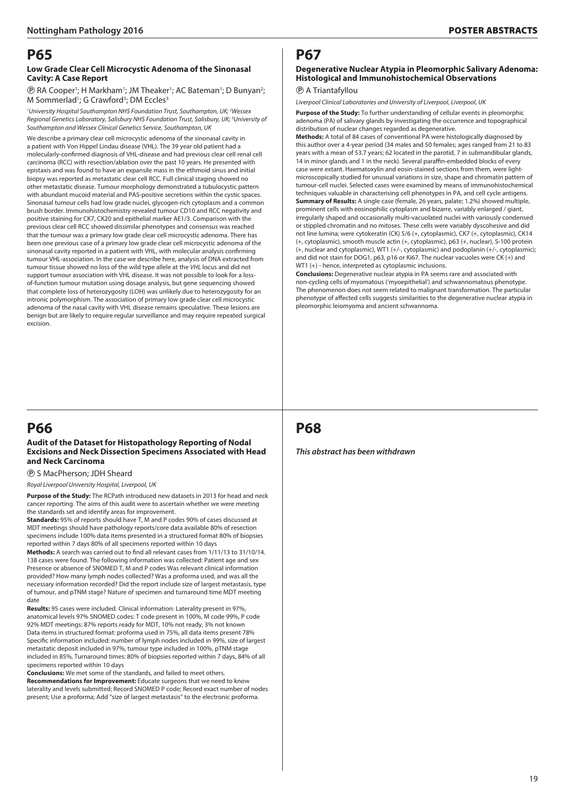#### **Low Grade Clear Cell Microcystic Adenoma of the Sinonasal Cavity: A Case Report**

**(B)** RA Cooper<sup>1</sup>; H Markham<sup>1</sup>; JM Theaker<sup>1</sup>; AC Bateman<sup>1</sup>; D Bunyan<sup>2</sup>; M Sommerlad<sup>1</sup>; G Crawford<sup>3</sup>; DM Eccles<sup>3</sup>

<sup>1</sup>University Hospital Southampton NHS Foundation Trust, Southampton, UK;<sup>2</sup>Wessex *Regional Genetics Laboratory, Salisbury NHS Foundation Trust, Salisbury, UK; 3 University of Southampton and Wessex Clinical Genetics Service, Southampton, UK*

We describe a primary clear cell microcystic adenoma of the sinonasal cavity in a patient with Von Hippel Lindau disease (VHL). The 39 year old patient had a molecularly-confirmed diagnosis of VHL-disease and had previous clear cell renal cell carcinoma (RCC) with resection/ablation over the past 10 years. He presented with epistaxis and was found to have an expansile mass in the ethmoid sinus and initial biopsy was reported as metastatic clear cell RCC. Full clinical staging showed no other metastatic disease. Tumour morphology demonstrated a tubulocystic pattern with abundant mucoid material and PAS-positive secretions within the cystic spaces. Sinonasal tumour cells had low grade nuclei, glycogen-rich cytoplasm and a common brush border. Immunohistochemistry revealed tumour CD10 and RCC negativity and positive staining for CK7, CK20 and epithelial marker AE1/3. Comparison with the previous clear cell RCC showed dissimilar phenotypes and consensus was reached that the tumour was a primary low grade clear cell microcystic adenoma. There has been one previous case of a primary low grade clear cell microcystic adenoma of the sinonasal cavity reported in a patient with VHL, with molecular analysis confirming tumour VHL-association. In the case we describe here, analysis of DNA extracted from tumour tissue showed no loss of the wild type allele at the *VHL* locus and did not support tumour association with VHL disease. It was not possible to look for a lossof-function tumour mutation using dosage analysis, but gene sequencing showed that complete loss of heterozygosity (LOH) was unlikely due to heterozygosity for an intronic polymorphism. The association of primary low grade clear cell microcystic adenoma of the nasal cavity with VHL disease remains speculative. These lesions are benign but are likely to require regular surveillance and may require repeated surgical excision.

# **P66**

#### **Audit of the Dataset for Histopathology Reporting of Nodal Excisions and Neck Dissection Specimens Associated with Head and Neck Carcinoma**

P S MacPherson; JDH Sheard

*Royal Liverpool University Hospital, Liverpool, UK*

**Purpose of the Study:** The RCPath introduced new datasets in 2013 for head and neck cancer reporting. The aims of this audit were to ascertain whether we were meeting the standards set and identify areas for improvement.

**Standards:** 95% of reports should have T, M and P codes 90% of cases discussed at MDT meetings should have pathology reports/core data available 80% of resection specimens include 100% data items presented in a structured format 80% of biopsies reported within 7 days 80% of all specimens reported within 10 days

**Methods:** A search was carried out to find all relevant cases from 1/11/13 to 31/10/14. 138 cases were found. The following information was collected: Patient age and sex Presence or absence of SNOMED T, M and P codes Was relevant clinical information provided? How many lymph nodes collected? Was a proforma used, and was all the necessary information recorded? Did the report include size of largest metastasis, type of tumour, and pTNM stage? Nature of specimen and turnaround time MDT meeting date

**Results:** 95 cases were included. Clinical information: Laterality present in 97%, anatomical levels 97% SNOMED codes: T code present in 100%, M code 99%, P code 92% MDT meetings: 87% reports ready for MDT, 10% not ready, 3% not known Data items in structured format: proforma used in 75%, all data items present 78% Specific information included: number of lymph nodes included in 99%, size of largest metastatic deposit included in 97%, tumour type included in 100%, pTNM stage included in 85%, Turnaround times: 80% of biopsies reported within 7 days, 84% of all specimens reported within 10 days

**Conclusions:** We met some of the standards, and failed to meet others. **Recommendations for Improvement:** Educate surgeons that we need to know laterality and levels submitted; Record SNOMED P code; Record exact number of nodes present; Use a proforma; Add "size of largest metastasis" to the electronic proforma.

# **P67**

#### **Degenerative Nuclear Atypia in Pleomorphic Salivary Adenoma: Histological and Immunohistochemical Observations**

P A Triantafyllou

*Liverpool Clinical Laboratories and University of Liverpool, Liverpool, UK*

**Purpose of the Study:** To further understanding of cellular events in pleomorphic adenoma (PA) of salivary glands by investigating the occurrence and topographical distribution of nuclear changes regarded as degenerative.

**Methods:** A total of 84 cases of conventional PA were histologically diagnosed by this author over a 4-year period (34 males and 50 females; ages ranged from 21 to 83 years with a mean of 53.7 years; 62 located in the parotid, 7 in submandibular glands, 14 in minor glands and 1 in the neck). Several paraffin-embedded blocks of every case were extant. Haematoxylin and eosin-stained sections from them, were lightmicroscopically studied for unusual variations in size, shape and chromatin pattern of tumour-cell nuclei. Selected cases were examined by means of immunohistochemical techniques valuable in characterising cell phenotypes in PA, and cell cycle antigens. **Summary of Results:** A single case (female, 26 years, palate; 1.2%) showed multiple, prominent cells with eosinophilic cytoplasm and bizarre, variably enlarged / giant, irregularly shaped and occasionally multi-vacuolated nuclei with variously condensed or stippled chromatin and no mitoses. These cells were variably dyscohesive and did not line lumina; were cytokeratin (CK) 5/6 (+, cytoplasmic), CK7 (+, cytoplasmic), CK14 (+, cytoplasmic), smooth muscle actin (+, cytoplasmic), p63 (+, nuclear), S-100 protein (+, nuclear and cytoplasmic), WT1 (+/-, cytoplasmic) and podoplanin (+/-, cytoplasmic); and did not stain for DOG1, p63, p16 or Ki67. The nuclear vacuoles were CK (+) and WT1 (+) - hence, interpreted as cytoplasmic inclusions.

**Conclusions:** Degenerative nuclear atypia in PA seems rare and associated with non-cycling cells of myomatous ('myoepithelial') and schwannomatous phenotype. The phenomenon does not seem related to malignant transformation. The particular phenotype of affected cells suggests similarities to the degenerative nuclear atypia in pleomorphic leiomyoma and ancient schwannoma.

# **P68**

*This abstract has been withdrawn*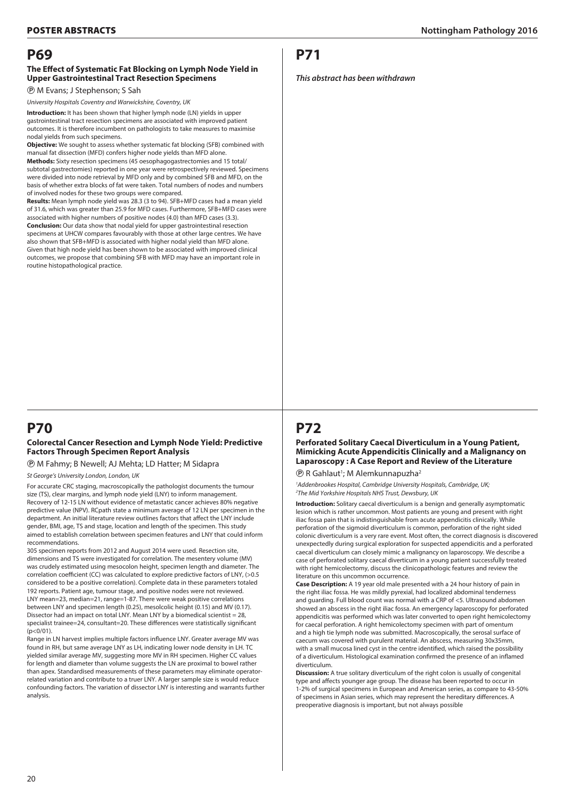#### **The Effect of Systematic Fat Blocking on Lymph Node Yield in Upper Gastrointestinal Tract Resection Specimens**

P M Evans; J Stephenson; S Sah

*University Hospitals Coventry and Warwickshire, Coventry, UK*

**Introduction:** It has been shown that higher lymph node (LN) yields in upper gastrointestinal tract resection specimens are associated with improved patient outcomes. It is therefore incumbent on pathologists to take measures to maximise nodal yields from such specimens.

**Objective:** We sought to assess whether systematic fat blocking (SFB) combined with manual fat dissection (MFD) confers higher node yields than MFD alone.

**Methods:** Sixty resection specimens (45 oesophagogastrectomies and 15 total/ subtotal gastrectomies) reported in one year were retrospectively reviewed. Specimens were divided into node retrieval by MFD only and by combined SFB and MFD, on the basis of whether extra blocks of fat were taken. Total numbers of nodes and numbers of involved nodes for these two groups were compared.

**Results:** Mean lymph node yield was 28.3 (3 to 94). SFB+MFD cases had a mean yield of 31.6, which was greater than 25.9 for MFD cases. Furthermore, SFB+MFD cases were associated with higher numbers of positive nodes (4.0) than MFD cases (3.3).

**Conclusion:** Our data show that nodal yield for upper gastrointestinal resection specimens at UHCW compares favourably with those at other large centres. We have also shown that SFB+MFD is associated with higher nodal yield than MFD alone. Given that high node yield has been shown to be associated with improved clinical outcomes, we propose that combining SFB with MFD may have an important role in routine histopathological practice.

# **P71**

#### *This abstract has been withdrawn*

# **P70**

#### **Colorectal Cancer Resection and Lymph Node Yield: Predictive Factors Through Specimen Report Analysis**

#### P M Fahmy; B Newell; AJ Mehta; LD Hatter; M Sidapra

*St George's University London, London, UK*

For accurate CRC staging, macroscopically the pathologist documents the tumour size (TS), clear margins, and lymph node yield (LNY) to inform management. Recovery of 12-15 LN without evidence of metastatic cancer achieves 80% negative predictive value (NPV). RCpath state a minimum average of 12 LN per specimen in the department. An initial literature review outlines factors that affect the LNY include gender, BMI, age, TS and stage, location and length of the specimen. This study aimed to establish correlation between specimen features and LNY that could inform recommendations.

305 specimen reports from 2012 and August 2014 were used. Resection site, dimensions and TS were investigated for correlation. The mesentery volume (MV) was crudely estimated using mesocolon height, specimen length and diameter. The correlation coefficient (CC) was calculated to explore predictive factors of LNY, (>0.5 considered to be a positive correlation). Complete data in these parameters totaled 192 reports. Patient age, tumour stage, and positive nodes were not reviewed. LNY mean=23, median=21, range=1-87. There were weak positive correlations between LNY and specimen length (0.25), mesolcolic height (0.15) and MV (0.17). Dissector had an impact on total LNY. Mean LNY by a biomedical scientist = 28, specialist trainee=24, consultant=20. These differences were statistically significant  $(p < 0/01)$ .

Range in LN harvest implies multiple factors influence LNY. Greater average MV was found in RH, but same average LNY as LH, indicating lower node density in LH. TC yielded similar average MV, suggesting more MV in RH specimen. Higher CC values for length and diameter than volume suggests the LN are proximal to bowel rather than apex. Standardised measurements of these parameters may eliminate operatorrelated variation and contribute to a truer LNY. A larger sample size is would reduce confounding factors. The variation of dissector LNY is interesting and warrants further analysis.

# **P72**

**Perforated Solitary Caecal Diverticulum in a Young Patient, Mimicking Acute Appendicitis Clinically and a Malignancy on Laparoscopy : A Case Report and Review of the Literature**

*<b>P* R Gahlaut<sup>1</sup>; M Alemkunnapuzha<sup>2</sup>

*1 Addenbrookes Hospital, Cambridge University Hospitals, Cambridge, UK; 2 The Mid Yorkshire Hospitals NHS Trust, Dewsbury, UK*

**Introduction:** Solitary caecal diverticulum is a benign and generally asymptomatic lesion which is rather uncommon. Most patients are young and present with right iliac fossa pain that is indistinguishable from acute appendicitis clinically. While perforation of the sigmoid diverticulum is common, perforation of the right sided colonic diverticulum is a very rare event. Most often, the correct diagnosis is discovered unexpectedly during surgical exploration for suspected appendicitis and a perforated caecal diverticulum can closely mimic a malignancy on laparoscopy. We describe a case of perforated solitary caecal diverticum in a young patient successfully treated with right hemicolectomy, discuss the clinicopathologic features and review the literature on this uncommon occurrence.

**Case Description:** A 19 year old male presented with a 24 hour history of pain in the right iliac fossa. He was mildly pyrexial, had localized abdominal tenderness and guarding. Full blood count was normal with a CRP of <5. Ultrasound abdomen showed an abscess in the right iliac fossa. An emergency laparoscopy for perforated appendicitis was performed which was later converted to open right hemicolectomy for caecal perforation. A right hemicolectomy specimen with part of omentum and a high tie lymph node was submitted. Macroscopically, the serosal surface of caecum was covered with purulent material. An abscess, measuring 30x35mm, with a small mucosa lined cyst in the centre identified, which raised the possibility of a diverticulum. Histological examination confirmed the presence of an inflamed diverticulum.

**Discussion:** A true solitary diverticulum of the right colon is usually of congenital type and affects younger age group. The disease has been reported to occur in 1-2% of surgical specimens in European and American series, as compare to 43-50% of specimens in Asian series, which may represent the hereditary differences. A preoperative diagnosis is important, but not always possible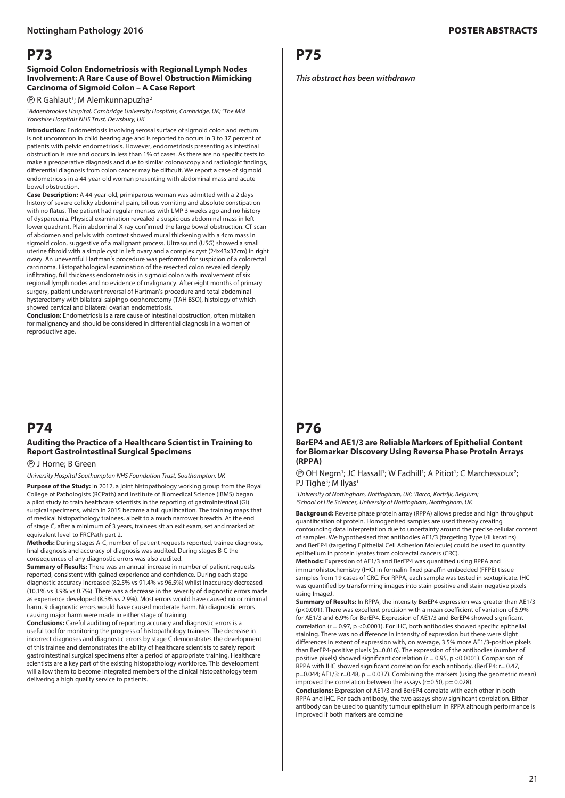#### **Sigmoid Colon Endometriosis with Regional Lymph Nodes Involvement: A Rare Cause of Bowel Obstruction Mimicking Carcinoma of Sigmoid Colon – A Case Report**

 $\textcircled{P}$  R Gahlaut<sup>1</sup>; M Alemkunnapuzha<sup>2</sup>

<sup>1</sup> Addenbrookes Hospital, Cambridge University Hospitals, Cambridge, UK;<sup>2</sup>The Mid *Yorkshire Hospitals NHS Trust, Dewsbury, UK*

**Introduction:** Endometriosis involving serosal surface of sigmoid colon and rectum is not uncommon in child bearing age and is reported to occurs in 3 to 37 percent of patients with pelvic endometriosis. However, endometriosis presenting as intestinal obstruction is rare and occurs in less than 1% of cases. As there are no specific tests to make a preoperative diagnosis and due to similar colonoscopy and radiologic findings, differential diagnosis from colon cancer may be difficult. We report a case of sigmoid endometriosis in a 44-year-old woman presenting with abdominal mass and acute bowel obstruction.

**Case Description:** A 44-year-old, primiparous woman was admitted with a 2 days history of severe colicky abdominal pain, bilious vomiting and absolute constipation with no flatus. The patient had regular menses with LMP 3 weeks ago and no history of dyspareunia. Physical examination revealed a suspicious abdominal mass in left lower quadrant. Plain abdominal X-ray confirmed the large bowel obstruction. CT scan of abdomen and pelvis with contrast showed mural thickening with a 4cm mass in sigmoid colon, suggestive of a malignant process. Ultrasound (USG) showed a small uterine fibroid with a simple cyst in left ovary and a complex cyst (24x43x37cm) in right ovary. An uneventful Hartman's procedure was performed for suspicion of a colorectal carcinoma. Histopathological examination of the resected colon revealed deeply infiltrating, full thickness endometriosis in sigmoid colon with involvement of six regional lymph nodes and no evidence of malignancy. After eight months of primary surgery, patient underwent reversal of Hartman's procedure and total abdominal hysterectomy with bilateral salpingo-oophorectomy (TAH BSO), histology of which showed cervical and bilateral ovarian endometriosis.

**Conclusion:** Endometriosis is a rare cause of intestinal obstruction, often mistaken for malignancy and should be considered in differential diagnosis in a women of reproductive age.

# **P74**

#### **Auditing the Practice of a Healthcare Scientist in Training to Report Gastrointestinal Surgical Specimens**

P J Horne; B Green

*University Hospital Southampton NHS Foundation Trust, Southampton, UK*

**Purpose of the Study:** In 2012, a joint histopathology working group from the Royal College of Pathologists (RCPath) and Institute of Biomedical Science (IBMS) began a pilot study to train healthcare scientists in the reporting of gastrointestinal (GI) surgical specimens, which in 2015 became a full qualification. The training maps that of medical histopathology trainees, albeit to a much narrower breadth. At the end of stage C, after a minimum of 3 years, trainees sit an exit exam, set and marked at equivalent level to FRCPath part 2.

**Methods:** During stages A-C, number of patient requests reported, trainee diagnosis, final diagnosis and accuracy of diagnosis was audited. During stages B-C the consequences of any diagnostic errors was also audited.

**Summary of Results:** There was an annual increase in number of patient requests reported, consistent with gained experience and confidence. During each stage diagnostic accuracy increased (82.5% vs 91.4% vs 96.5%) whilst inaccuracy decreased (10.1% vs 3.9% vs 0.7%). There was a decrease in the severity of diagnostic errors made as experience developed (8.5% vs 2.9%). Most errors would have caused no or minimal harm. 9 diagnostic errors would have caused moderate harm. No diagnostic errors causing major harm were made in either stage of training.

**Conclusions:** Careful auditing of reporting accuracy and diagnostic errors is a useful tool for monitoring the progress of histopathology trainees. The decrease in incorrect diagnoses and diagnostic errors by stage C demonstrates the development of this trainee and demonstrates the ability of healthcare scientists to safely report gastrointestinal surgical specimens after a period of appropriate training. Healthcare scientists are a key part of the existing histopathology workforce. This development will allow them to become integrated members of the clinical histopathology team delivering a high quality service to patients.

### **P75**

#### *This abstract has been withdrawn*

# **P76**

**BerEP4 and AE1/3 are Reliable Markers of Epithelial Content for Biomarker Discovery Using Reverse Phase Protein Arrays (RPPA)**

**(B)** OH Negm<sup>1</sup>; JC Hassall<sup>1</sup>; W Fadhill<sup>1</sup>; A Pitiot<sup>1</sup>; C Marchessoux<sup>2</sup>; PJ Tighe<sup>3</sup>; M Ilyas<sup>1</sup>

*1 University of Nottingham, Nottingham, UK; 2 Barco, Kortrijk, Belgium; 3 School of Life Sciences, University of Nottingham, Nottingham, UK*

**Background:** Reverse phase protein array (RPPA) allows precise and high throughput quantification of protein. Homogenised samples are used thereby creating confounding data interpretation due to uncertainty around the precise cellular content of samples. We hypothesised that antibodies AE1/3 (targeting Type I/II keratins) and BerEP4 (targeting Epithelial Cell Adhesion Molecule) could be used to quantify epithelium in protein lysates from colorectal cancers (CRC).

**Methods:** Expression of AE1/3 and BerEP4 was quantified using RPPA and immunohistochemistry (IHC) in formalin-fixed paraffin embedded (FFPE) tissue samples from 19 cases of CRC. For RPPA, each sample was tested in sextuplicate. IHC was quantified by transforming images into stain-positive and stain-negative pixels using ImageJ.

**Summary of Results:** In RPPA, the intensity BerEP4 expression was greater than AE1/3  $(p < 0.001)$ . There was excellent precision with a mean coefficient of variation of 5.9% for AE1/3 and 6.9% for BerEP4. Expression of AE1/3 and BerEP4 showed significant correlation ( $r = 0.97$ ,  $p < 0.0001$ ). For IHC, both antibodies showed specific epithelial staining. There was no difference in intensity of expression but there were slight differences in extent of expression with, on average, 3.5% more AE1/3-positive pixels than BerEP4-positive pixels (p=0.016). The expression of the antibodies (number of positive pixels) showed significant correlation (r = 0.95, p <0.0001). Comparison of RPPA with IHC showed significant correlation for each antibody, (BerEP4: r= 0.47,  $p=0.044$ ; AE1/3:  $r=0.48$ ,  $p=0.037$ ). Combining the markers (using the geometric mean) improved the correlation between the assays ( $r=0.50$ ,  $p=0.028$ ).

**Conclusions:** Expression of AE1/3 and BerEP4 correlate with each other in both RPPA and IHC. For each antibody, the two assays show significant correlation. Either antibody can be used to quantify tumour epithelium in RPPA although performance is improved if both markers are combine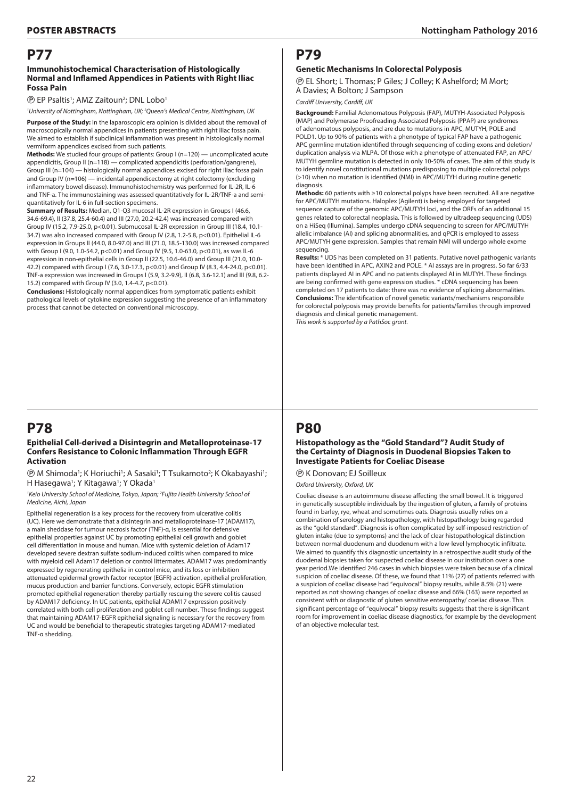#### **Immunohistochemical Characterisation of Histologically Normal and Inflamed Appendices in Patients with Right Iliac Fossa Pain**

**D** EP Psaltis<sup>1</sup>; AMZ Zaitoun<sup>2</sup>; DNL Lobo<sup>1</sup>

*1 University of Nottingham, Nottingham, UK; 2 Queen's Medical Centre, Nottingham, UK*

Purpose of the Study: In the laparoscopic era opinion is divided about the removal of macroscopically normal appendices in patients presenting with right iliac fossa pain. We aimed to establish if subclinical inflammation was present in histologically normal vermiform appendices excised from such patients.

**Methods:** We studied four groups of patients: Group I (n=120) — uncomplicated acute appendicitis, Group II (n=118) — complicated appendicitis (perforation/gangrene), Group III (n=104) — histologically normal appendices excised for right iliac fossa pain and Group IV (n=106) — incidental appendicectomy at right colectomy (excluding inflammatory bowel disease). Immunohistochemistry was performed for IL-2R, IL-6 and TNF-a. The immunostaining was assessed quantitatively for IL-2R/TNF-a and semiquantitatively for IL-6 in full-section specimens.

**Summary of Results:** Median, Q1-Q3 mucosal IL-2R expression in Groups I (46.6, 34.6-69.4), II (37.8, 25.4-60.4) and III (27.0, 20.2-42.4) was increased compared with Group IV (15.2, 7.9-25.0, p<0.01). Submucosal IL-2R expression in Group III (18.4, 10.1- 34.7) was also increased compared with Group IV (2.8, 1.2-5.8, p<0.01). Epithelial IL-6 expression in Groups II (44.0, 8.0-97.0) and III (71.0, 18.5-130.0) was increased compared with Group I (9.0, 1.0-54.2, p<0.01) and Group IV (9.5, 1.0-63.0, p<0.01), as was IL-6 expression in non-epithelial cells in Group II (22.5, 10.6-46.0) and Group III (21.0, 10.0- 42.2) compared with Group I (7.6, 3.0-17.3, p<0.01) and Group IV (8.3, 4.4-24.0, p<0.01). TNF-a expression was increased in Groups I (5.9, 3.2-9.9), II (6.8, 3.6-12.1) and III (9.8, 6.2- 15.2) compared with Group IV (3.0, 1.4-4.7, p<0.01).

**Conclusions:** Histologically normal appendices from symptomatic patients exhibit pathological levels of cytokine expression suggesting the presence of an inflammatory process that cannot be detected on conventional microscopy.

# **P78**

#### **Epithelial Cell-derived a Disintegrin and Metalloproteinase-17 Confers Resistance to Colonic Inflammation Through EGFR Activation**

**@ M Shimoda<sup>1</sup>; K Horiuchi<sup>1</sup>; A Sasaki<sup>1</sup>; T Tsukamoto<sup>2</sup>; K Okabayashi<sup>1</sup>;** H Hasegawa<sup>1</sup>; Y Kitagawa<sup>1</sup>; Y Okada<sup>1</sup>

<sup>1</sup> Keio University School of Medicine, Tokyo, Japan; <sup>2</sup> Fujita Health University School of *Medicine, Aichi, Japan*

Epithelial regeneration is a key process for the recovery from ulcerative colitis (UC). Here we demonstrate that a disintegrin and metalloproteinase-17 (ADAM17), a main sheddase for tumour necrosis factor (TNF)-α, is essential for defensive epithelial properties against UC by promoting epithelial cell growth and goblet cell differentiation in mouse and human. Mice with systemic deletion of Adam17 developed severe dextran sulfate sodium-induced colitis when compared to mice with myeloid cell Adam17 deletion or control littermates. ADAM17 was predominantly expressed by regenerating epithelia in control mice, and its loss or inhibition attenuated epidermal growth factor receptor (EGFR) activation, epithelial proliferation, mucus production and barrier functions. Conversely, ectopic EGFR stimulation promoted epithelial regeneration thereby partially rescuing the severe colitis caused by ADAM17 deficiency. In UC patients, epithelial ADAM17 expression positively correlated with both cell proliferation and goblet cell number. These findings suggest that maintaining ADAM17-EGFR epithelial signaling is necessary for the recovery from UC and would be beneficial to therapeutic strategies targeting ADAM17-mediated TNF-α shedding.

# **P79**

#### **Genetic Mechanisms In Colorectal Polyposis**

P EL Short; L Thomas; P Giles; J Colley; K Ashelford; M Mort; A Davies; A Bolton; J Sampson

*Cardiff University, Cardiff, UK*

**Background:** Familial Adenomatous Polyposis (FAP), MUTYH-Associated Polyposis (MAP) and Polymerase Proofreading-Associated Polyposis (PPAP) are syndromes of adenomatous polyposis, and are due to mutations in APC, MUTYH, POLE and POLD1. Up to 90% of patients with a phenotype of typical FAP have a pathogenic APC germline mutation identified through sequencing of coding exons and deletion/ duplication analysis via MLPA. Of those with a phenotype of attenuated FAP, an APC/ MUTYH germline mutation is detected in only 10-50% of cases. The aim of this study is to identify novel constitutional mutations predisposing to multiple colorectal polyps (>10) when no mutation is identified (NMI) in APC/MUTYH during routine genetic diagnosis.

**Methods:** 60 patients with ≥10 colorectal polyps have been recruited. All are negative for APC/MUTYH mutations. Haloplex (Agilent) is being employed for targeted sequence capture of the genomic APC/MUTYH loci, and the ORFs of an additional 15 genes related to colorectal neoplasia. This is followed by ultradeep sequencing (UDS) on a HiSeq (Illumina). Samples undergo cDNA sequencing to screen for APC/MUTYH allelic imbalance (AI) and splicing abnormalities, and qPCR is employed to assess APC/MUTYH gene expression. Samples that remain NMI will undergo whole exome sequencing.

**Results:** \* UDS has been completed on 31 patients. Putative novel pathogenic variants have been identified in APC, AXIN2 and POLE. \* AI assays are in progress. So far 6/33 patients displayed AI in APC and no patients displayed AI in MUTYH. These findings are being confirmed with gene expression studies. \* cDNA sequencing has been completed on 17 patients to date: there was no evidence of splicing abnormalities. **Conclusions:** The identification of novel genetic variants/mechanisms responsible for colorectal polyposis may provide benefits for patients/families through improved diagnosis and clinical genetic management. *This work is supported by a PathSoc grant.*

# **P80**

#### **Histopathology as the "Gold Standard"? Audit Study of the Certainty of Diagnosis in Duodenal Biopsies Taken to Investigate Patients for Coeliac Disease**

P K Donovan; EJ Soilleux

*Oxford University, Oxford, UK*

Coeliac disease is an autoimmune disease affecting the small bowel. It is triggered in genetically susceptible individuals by the ingestion of gluten, a family of proteins found in barley, rye, wheat and sometimes oats. Diagnosis usually relies on a combination of serology and histopathology, with histopathology being regarded as the "gold standard". Diagnosis is often complicated by self-imposed restriction of gluten intake (due to symptoms) and the lack of clear histopathological distinction between normal duodenum and duodenum with a low-level lymphocytic infiltrate. We aimed to quantify this diagnostic uncertainty in a retrospective audit study of the duodenal biopsies taken for suspected coeliac disease in our institution over a one year period.We identified 246 cases in which biopsies were taken because of a clinical suspicion of coeliac disease. Of these, we found that 11% (27) of patients referred with a suspicion of coeliac disease had "equivocal" biopsy results, while 8.5% (21) were reported as not showing changes of coeliac disease and 66% (163) were reported as consistent with or diagnostic of gluten sensitive enteropathy/ coeliac disease. This significant percentage of "equivocal" biopsy results suggests that there is significant room for improvement in coeliac disease diagnostics, for example by the development of an objective molecular test.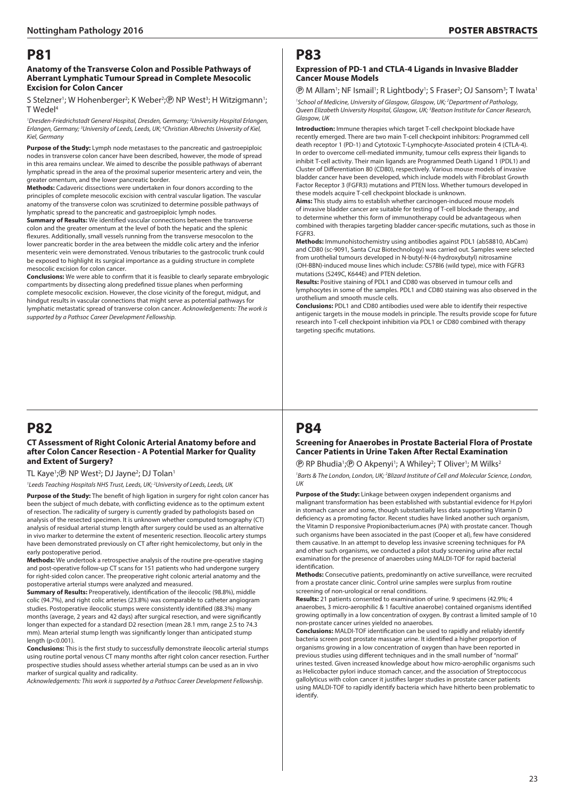**Anatomy of the Transverse Colon and Possible Pathways of Aberrant Lymphatic Tumour Spread in Complete Mesocolic Excision for Colon Cancer**

S Stelzner<sup>1</sup>; W Hohenberger<sup>2</sup>; K Weber<sup>2</sup>; ® NP West<sup>3</sup>; H Witzigmann<sup>1</sup>; T Wedel4

*1 Dresden-Friedrichstadt General Hospital, Dresden, Germany; 2 University Hospital Erlangen, Erlangen, Germany; 3 University of Leeds, Leeds, UK; 4 Christian Albrechts University of Kiel, Kiel, Germany*

**Purpose of the Study:** Lymph node metastases to the pancreatic and gastroepiploic nodes in transverse colon cancer have been described, however, the mode of spread in this area remains unclear. We aimed to describe the possible pathways of aberrant lymphatic spread in the area of the proximal superior mesenteric artery and vein, the greater omentum, and the lower pancreatic border.

**Methods:** Cadaveric dissections were undertaken in four donors according to the principles of complete mesocolic excision with central vascular ligation. The vascular anatomy of the transverse colon was scrutinized to determine possible pathways of lymphatic spread to the pancreatic and gastroepiploic lymph nodes.

**Summary of Results:** We identified vascular connections between the transverse colon and the greater omentum at the level of both the hepatic and the splenic flexures. Additionally, small vessels running from the transverse mesocolon to the lower pancreatic border in the area between the middle colic artery and the inferior mesenteric vein were demonstrated. Venous tributaries to the gastrocolic trunk could be exposed to highlight its surgical importance as a guiding structure in complete mesocolic excision for colon cancer.

**Conclusions:** We were able to confirm that it is feasible to clearly separate embryologic compartments by dissecting along predefined tissue planes when performing complete mesocolic excision. However, the close vicinity of the foregut, midgut, and hindgut results in vascular connections that might serve as potential pathways for lymphatic metastatic spread of transverse colon cancer. *Acknowledgements: The work is supported by a Pathsoc Career Development Fellowship.* 

### **P82**

#### **CT Assessment of Right Colonic Arterial Anatomy before and after Colon Cancer Resection - A Potential Marker for Quality and Extent of Surgery?**

TL Kaye<sup>1</sup>;℗ NP West<sup>2</sup>; DJ Jayne<sup>2</sup>; DJ Tolan<sup>1</sup>

<sup>1</sup> Leeds Teaching Hospitals NHS Trust, Leeds, UK; <sup>2</sup> University of Leeds, Leeds, UK

**Purpose of the Study:** The benefit of high ligation in surgery for right colon cancer has been the subject of much debate, with conflicting evidence as to the optimum extent of resection. The radicality of surgery is currently graded by pathologists based on analysis of the resected specimen. It is unknown whether computed tomography (CT) analysis of residual arterial stump length after surgery could be used as an alternative in vivo marker to determine the extent of mesenteric resection. Ileocolic artery stumps have been demonstrated previously on CT after right hemicolectomy, but only in the early postoperative period.

**Methods:** We undertook a retrospective analysis of the routine pre-operative staging and post-operative follow-up CT scans for 151 patients who had undergone surgery for right-sided colon cancer. The preoperative right colonic arterial anatomy and the postoperative arterial stumps were analyzed and measured.

**Summary of Results:** Preoperatively, identification of the ileocolic (98.8%), middle colic (94.7%), and right colic arteries (23.8%) was comparable to catheter angiogram studies. Postoperative ileocolic stumps were consistently identified (88.3%) many months (average, 2 years and 42 days) after surgical resection, and were significantly longer than expected for a standard D2 resection (mean 28.1 mm, range 2.5 to 74.3 mm). Mean arterial stump length was significantly longer than anticipated stump length (p<0.001).

**Conclusions:** This is the first study to successfully demonstrate ileocolic arterial stumps using routine portal venous CT many months after right colon cancer resection. Further prospective studies should assess whether arterial stumps can be used as an in vivo marker of surgical quality and radicality.

*Acknowledgements: This work is supported by a Pathsoc Career Development Fellowship.* 

### **P83**

#### **Expression of PD-1 and CTLA-4 Ligands in Invasive Bladder Cancer Mouse Models**

**(B)** M Allam<sup>1</sup>; NF Ismail<sup>1</sup>; R Lightbody<sup>1</sup>; S Fraser<sup>2</sup>; OJ Sansom<sup>3</sup>; T Iwata<sup>1</sup>

<sup>1</sup> School of Medicine, University of Glasgow, Glasgow, UK; <sup>2</sup> Department of Pathology, *Queen Elizabeth University Hospital, Glasgow, UK; 3 Beatson Institute for Cancer Research, Glasgow, UK*

**Introduction:** Immune therapies which target T-cell checkpoint blockade have recently emerged. There are two main T-cell checkpoint inhibitors: Programmed cell death receptor 1 (PD-1) and Cytotoxic T-Lymphocyte-Associated protein 4 (CTLA-4). In order to overcome cell-mediated immunity, tumour cells express their ligands to inhibit T-cell activity. Their main ligands are Programmed Death Ligand 1 (PDL1) and Cluster of Differentiation 80 (CD80), respectively. Various mouse models of invasive bladder cancer have been developed, which include models with Fibroblast Growth Factor Receptor 3 (FGFR3) mutations and PTEN loss. Whether tumours developed in these models acquire T-cell checkpoint blockade is unknown.

**Aims:** This study aims to establish whether carcinogen-induced mouse models of invasive bladder cancer are suitable for testing of T-cell blockade therapy, and to determine whether this form of immunotherapy could be advantageous when combined with therapies targeting bladder cancer-specific mutations, such as those in FGFR3.

**Methods:** Immunohistochemistry using antibodies against PDL1 (ab58810, AbCam) and CD80 (sc-9091, Santa Cruz Biotechnology) was carried out. Samples were selected from urothelial tumours developed in N-butyl-N-(4-hydroxybutyl) nitrosamine (OH-BBN)-induced mouse lines which include: C57Bl6 (wild type), mice with FGFR3 mutations (S249C, K644E) and PTEN deletion.

**Results:** Positive staining of PDL1 and CD80 was observed in tumour cells and lymphocytes in some of the samples. PDL1 and CD80 staining was also observed in the urothelium and smooth muscle cells.

**Conclusions:** PDL1 and CD80 antibodies used were able to identify their respective antigenic targets in the mouse models in principle. The results provide scope for future research into T-cell checkpoint inhibition via PDL1 or CD80 combined with therapy targeting specific mutations.

# **P84**

#### **Screening for Anaerobes in Prostate Bacterial Flora of Prostate Cancer Patients in Urine Taken After Rectal Examination**

**(B)** RP Bhudia<sup>1</sup>; **D** O Akpenyi<sup>1</sup>; A Whiley<sup>2</sup>; T Oliver<sup>1</sup>; M Wilks<sup>2</sup>

<sup>1</sup> Barts & The London, London, UK; <sup>2</sup> Blizard Institute of Cell and Molecular Science, London, *UK*

**Purpose of the Study:** Linkage between oxygen independent organisms and malignant transformation has been established with substantial evidence for H.pylori in stomach cancer and some, though substantially less data supporting Vitamin D deficiency as a promoting factor. Recent studies have linked another such organism, the Vitamin D responsive Propionibacterium.acnes (PA) with prostate cancer. Though such organisms have been associated in the past (Cooper et al), few have considered them causative. In an attempt to develop less invasive screening techniques for PA and other such organisms, we conducted a pilot study screening urine after rectal examination for the presence of anaerobes using MALDI-TOF for rapid bacterial identification.

**Methods:** Consecutive patients, predominantly on active surveillance, were recruited from a prostate cancer clinic. Control urine samples were surplus from routine screening of non-urological or renal conditions.

**Results:** 21 patients consented to examination of urine. 9 specimens (42.9%; 4 anaerobes, 3 micro-aerophilic & 1 facultive anaerobe) contained organisms identified growing optimally in a low concentration of oxygen. By contrast a limited sample of 10 non-prostate cancer urines yielded no anaerobes.

**Conclusions:** MALDI-TOF identification can be used to rapidly and reliably identify bacteria screen post prostate massage urine. It identified a higher proportion of organisms growing in a low concentration of oxygen than have been reported in previous studies using different techniques and in the small number of "normal" urines tested. Given increased knowledge about how micro-aerophilic organisms such as Helicobacter pylori induce stomach cancer, and the association of Streptoccocus gallolyticus with colon cancer it justifies larger studies in prostate cancer patients using MALDI-TOF to rapidly identify bacteria which have hitherto been problematic to identify.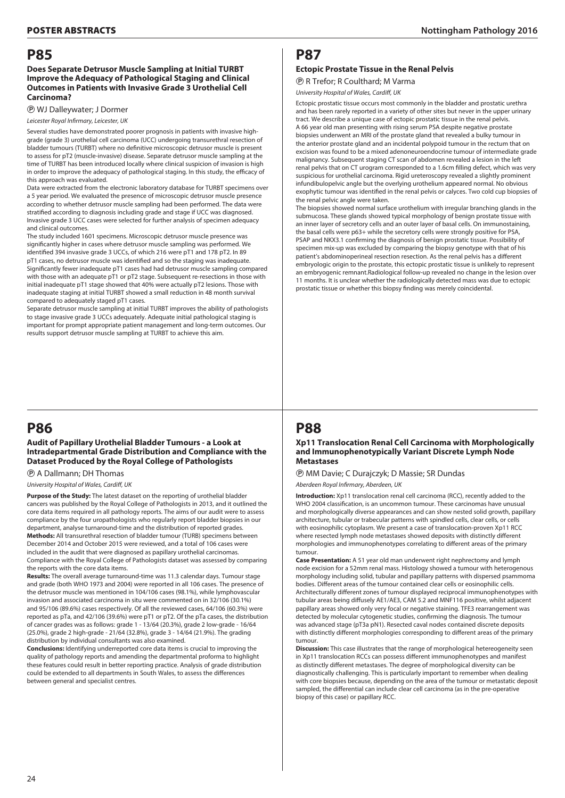**Does Separate Detrusor Muscle Sampling at Initial TURBT Improve the Adequacy of Pathological Staging and Clinical Outcomes in Patients with Invasive Grade 3 Urothelial Cell Carcinoma?**

P WJ Dalleywater; J Dormer

*Leicester Royal Infirmary, Leicester, UK*

Several studies have demonstrated poorer prognosis in patients with invasive highgrade (grade 3) urothelial cell carcinoma (UCC) undergoing transurethral resection of bladder tumours (TURBT) where no definitive microscopic detrusor muscle is present to assess for pT2 (muscle-invasive) disease. Separate detrusor muscle sampling at the time of TURBT has been introduced locally where clinical suspicion of invasion is high in order to improve the adequacy of pathological staging. In this study, the efficacy of this approach was evaluated.

Data were extracted from the electronic laboratory database for TURBT specimens over a 5 year period. We evaluated the presence of microscopic detrusor muscle presence according to whether detrusor muscle sampling had been performed. The data were stratified according to diagnosis including grade and stage if UCC was diagnosed. Invasive grade 3 UCC cases were selected for further analysis of specimen adequacy and clinical outcomes.

The study included 1601 specimens. Microscopic detrusor muscle presence was significantly higher in cases where detrusor muscle sampling was performed. We identified 394 invasive grade 3 UCCs, of which 216 were pT1 and 178 pT2. In 89 pT1 cases, no detrusor muscle was identified and so the staging was inadequate. Significantly fewer inadequate pT1 cases had had detrusor muscle sampling compared with those with an adequate pT1 or pT2 stage. Subsequent re-resections in those with initial inadequate pT1 stage showed that 40% were actually pT2 lesions. Those with inadequate staging at initial TURBT showed a small reduction in 48 month survival compared to adequately staged pT1 cases.

Separate detrusor muscle sampling at initial TURBT improves the ability of pathologists to stage invasive grade 3 UCCs adequately. Adequate initial pathological staging is important for prompt appropriate patient management and long-term outcomes. Our results support detrusor muscle sampling at TURBT to achieve this aim.

### **P86**

#### **Audit of Papillary Urothelial Bladder Tumours - a Look at Intradepartmental Grade Distribution and Compliance with the Dataset Produced by the Royal College of Pathologists**

P A Dallmann; DH Thomas

*University Hospital of Wales, Cardiff, UK*

**Purpose of the Study:** The latest dataset on the reporting of urothelial bladder cancers was published by the Royal College of Pathologists in 2013, and it outlined the core data items required in all pathology reports. The aims of our audit were to assess compliance by the four uropathologists who regularly report bladder biopsies in our department, analyse turnaround-time and the distribution of reported grades. **Methods:** All transurethral resection of bladder tumour (TURB) specimens between December 2014 and October 2015 were reviewed, and a total of 106 cases were included in the audit that were diagnosed as papillary urothelial carcinomas. Compliance with the Royal College of Pathologists dataset was assessed by comparing the reports with the core data items.

**Results:** The overall average turnaround-time was 11.3 calendar days. Tumour stage and grade (both WHO 1973 and 2004) were reported in all 106 cases. The presence of the detrusor muscle was mentioned in 104/106 cases (98.1%), while lymphovascular invasion and associated carcinoma in situ were commented on in 32/106 (30.1%) and 95/106 (89.6%) cases respectively. Of all the reviewed cases, 64/106 (60.3%) were reported as pTa, and 42/106 (39.6%) were pT1 or pT2. Of the pTa cases, the distribution of cancer grades was as follows: grade 1 - 13/64 (20.3%), grade 2 low-grade - 16/64 (25.0%), grade 2 high-grade - 21/64 (32.8%), grade 3 - 14/64 (21.9%). The grading distribution by individual consultants was also examined.

**Conclusions:** Identifying underreported core data items is crucial to improving the quality of pathology reports and amending the departmental proforma to highlight these features could result in better reporting practice. Analysis of grade distribution could be extended to all departments in South Wales, to assess the differences between general and specialist centres.

# **P87**

#### **Ectopic Prostate Tissue in the Renal Pelvis**

P R Trefor; R Coulthard; M Varma *University Hospital of Wales, Cardiff, UK*

Ectopic prostatic tissue occurs most commonly in the bladder and prostatic urethra and has been rarely reported in a variety of other sites but never in the upper urinary tract. We describe a unique case of ectopic prostatic tissue in the renal pelvis. A 66 year old man presenting with rising serum PSA despite negative prostate biopsies underwent an MRI of the prostate gland that revealed a bulky tumour in the anterior prostate gland and an incidental polypoid tumour in the rectum that on excision was found to be a mixed adenoneuroendocrine tumour of intermediate grade malignancy. Subsequent staging CT scan of abdomen revealed a lesion in the left renal pelvis that on CT urogram corresponded to a 1.6cm filling defect, which was very suspicious for urothelial carcinoma. Rigid ureteroscopy revealed a slightly prominent infundibulopelvic angle but the overlying urothelium appeared normal. No obvious exophytic tumour was identified in the renal pelvis or calyces. Two cold cup biopsies of the renal pelvic angle were taken.

The biopsies showed normal surface urothelium with irregular branching glands in the submucosa. These glands showed typical morphology of benign prostate tissue with an inner layer of secretory cells and an outer layer of basal cells. On immunostaining, the basal cells were p63+ while the secretory cells were strongly positive for PSA, PSAP and NKX3.1 confirming the diagnosis of benign prostatic tissue. Possibility of specimen mix-up was excluded by comparing the biopsy genotype with that of his patient's abdominoperineal resection resection. As the renal pelvis has a different embryologic origin to the prostate, this ectopic prostatic tissue is unlikely to represent an embryogenic remnant.Radiological follow-up revealed no change in the lesion over 11 months. It is unclear whether the radiologically detected mass was due to ectopic prostatic tissue or whether this biopsy finding was merely coincidental.

# **P88**

#### **Xp11 Translocation Renal Cell Carcinoma with Morphologically and Immunophenotypically Variant Discrete Lymph Node Metastases**

#### P MM Davie; C Durajczyk; D Massie; SR Dundas

*Aberdeen Royal Infirmary, Aberdeen, UK*

**Introduction:** Xp11 translocation renal cell carcinoma (RCC), recently added to the WHO 2004 classification, is an uncommon tumour. These carcinomas have unusual and morphologically diverse appearances and can show nested solid growth, papillary architecture, tubular or trabecular patterns with spindled cells, clear cells, or cells with eosinophilic cytoplasm. We present a case of translocation-proven Xp11 RCC where resected lymph node metastases showed deposits with distinctly different morphologies and immunophenotypes correlating to different areas of the primary tumour.

**Case Presentation:** A 51 year old man underwent right nephrectomy and lymph node excision for a 52mm renal mass. Histology showed a tumour with heterogenous morphology including solid, tubular and papillary patterns with dispersed psammoma bodies. Different areas of the tumour contained clear cells or eosinophilic cells. Architecturally different zones of tumour displayed reciprocal immunophenotypes with tubular areas being diffusely AE1/AE3, CAM 5.2 and MNF116 positive, whilst adjacent papillary areas showed only very focal or negative staining. TFE3 rearrangement was detected by molecular cytogenetic studies, confirming the diagnosis. The tumour was advanced stage (pT3a pN1). Resected caval nodes contained discrete deposits with distinctly different morphologies corresponding to different areas of the primary tumour.

**Discussion:** This case illustrates that the range of morphological hetereogeneity seen in Xp11 translocation RCCs can possess different immunophenotypes and manifest as distinctly different metastases. The degree of morphological diversity can be diagnostically challenging. This is particularly important to remember when dealing with core biopsies because, depending on the area of the tumour or metastatic deposit sampled, the differential can include clear cell carcinoma (as in the pre-operative biopsy of this case) or papillary RCC.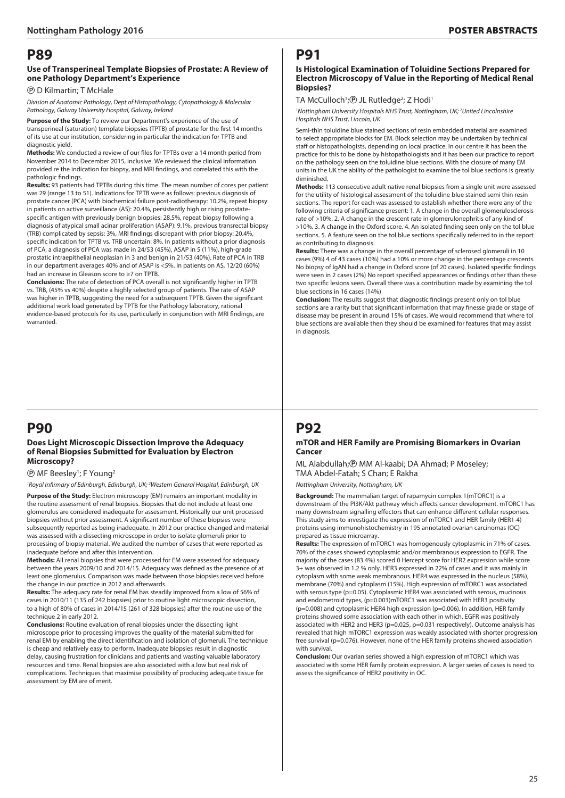#### **Use of Transperineal Template Biopsies of Prostate: A Review of one Pathology Department's Experience**

P D Kilmartin; T McHale

*Division of Anatomic Pathology, Dept of Histopathology, Cytopathology & Molecular Pathology, Galway University Hospital, Galway, Ireland*

Purpose of the Study: To review our Department's experience of the use of transperineal (saturation) template biopsies (TPTB) of prostate for the first 14 months of its use at our institution, considering in particular the indication for TPTB and diagnostic yield.

**Methods:** We conducted a review of our files for TPTBs over a 14 month period from November 2014 to December 2015, inclusive. We reviewed the clinical information provided re the indication for biopsy, and MRI findings, and correlated this with the pathologic findings.

**Results:** 93 patients had TPTBs during this time. The mean number of cores per patient was 29 (range 13 to 51). Indications for TPTB were as follows: previous diagnosis of prostate cancer (PCA) with biochemical failure post-radiotherapy: 10.2%, repeat biopsy in patients on active surveillance (AS): 20.4%, persistently high or rising prostatespecific antigen with previously benign biopsies: 28.5%, repeat biopsy following a diagnosis of atypical small acinar proliferation (ASAP): 9.1%, previous transrectal biopsy (TRB) complicated by sepsis: 3%, MRI findings discrepant with prior biopsy: 20.4%, specific indication for TPTB vs. TRB uncertain: 8%. In patients without a prior diagnosis of PCA, a diagnosis of PCA was made in 24/53 (45%), ASAP in 5 (11%), high-grade prostatic intraepithelial neoplasian in 3 and benign in 21/53 (40%). Rate of PCA in TRB in our department averages 40% and of ASAP is <5%. In patients on AS, 12/20 (60%) had an increase in Gleason score to ≥7 on TPTB.

**Conclusions:** The rate of detection of PCA overall is not significantly higher in TPTB vs. TRB, (45% vs 40%) despite a highly selected group of patients. The rate of ASAP was higher in TPTB, suggesting the need for a subsequent TPTB. Given the significant additional work load generated by TPTB for the Pathology laboratory, rational evidence-based protocols for its use, particularly in conjunction with MRI findings, are warranted.

### **P90**

#### **Does Light Microscopic Dissection Improve the Adequacy of Renal Biopsies Submitted for Evaluation by Electron Microscopy?**

**D** MF Beesley<sup>1</sup>; F Young<sup>2</sup>

*1 Royal Infirmary of Edinburgh, Edinburgh, UK; 2 Western General Hospital, Edinburgh, UK*

**Purpose of the Study:** Electron microscopy (EM) remains an important modality in the routine assessment of renal biopsies. Biopsies that do not include at least one glomerulus are considered inadequate for assessment. Historically our unit processed biopsies without prior assessment. A significant number of these biopsies were subsequently reported as being inadequate. In 2012 our practice changed and material was assessed with a dissecting microscope in order to isolate glomeruli prior to processing of biopsy material. We audited the number of cases that were reported as inadequate before and after this intervention.

**Methods:** All renal biopsies that were processed for EM were assessed for adequacy between the years 2009/10 and 2014/15. Adequacy was defined as the presence of at least one glomerulus. Comparison was made between those biopsies received before the change in our practice in 2012 and afterwards.

**Results:** The adequacy rate for renal EM has steadily improved from a low of 56% of cases in 2010/11 (135 of 242 biopsies) prior to routine light microscopic dissection, to a high of 80% of cases in 2014/15 (261 of 328 biopsies) after the routine use of the technique 2 in early 2012.

**Conclusions:** Routine evaluation of renal biopsies under the dissecting light microscope prior to processing improves the quality of the material submitted for renal EM by enabling the direct identification and isolation of glomeruli. The technique is cheap and relatively easy to perform. Inadequate biopsies result in diagnostic delay, causing frustration for clinicians and patients and wasting valuable laboratory resources and time. Renal biopsies are also associated with a low but real risk of complications. Techniques that maximise possibility of producing adequate tissue for assessment by EM are of merit.

### **P91**

#### **Is Histological Examination of Toluidine Sections Prepared for Electron Microscopy of Value in the Reporting of Medical Renal Biopsies?**

TA McCulloch<sup>1</sup>;<sup>®</sup> JL Rutledge<sup>2</sup>; Z Hodi<sup>1</sup>

<sup>1</sup> Nottingham University Hospitals NHS Trust, Nottingham, UK; <sup>2</sup> United Lincolnshire *Hospitals NHS Trust, Lincoln, UK*

Semi-thin toluidine blue stained sections of resin embedded material are examined to select appropriate blocks for EM. Block selection may be undertaken by technical staff or histopathologists, depending on local practice. In our centre it has been the practice for this to be done by histopathologists and it has been our practice to report on the pathology seen on the toluidine blue sections. With the closure of many EM units in the UK the ability of the pathologist to examine the tol blue sections is greatly diminished.

**Methods:** 113 consecutive adult native renal biopsies from a single unit were assessed for the utility of histological assessment of the toluidine blue stained semi thin resin sections. The report for each was assessed to establish whether there were any of the following criteria of significance present: 1. A change in the overall glomerulosclerosis rate of >10%. 2. A change in the crescent rate in glomerulonephritis of any kind of >10%. 3. A change in the Oxford score. 4. An isolated finding seen only on the tol blue sections. 5. A feature seen on the tol blue sections specifically referred to in the report as contributing to diagnosis.

**Results:** There was a change in the overall percentage of sclerosed glomeruli in 10 cases (9%) 4 of 43 cases (10%) had a 10% or more change in the percentage crescents. No biopsy of IgAN had a change in Oxford score (of 20 cases). Isolated specific findings were seen in 2 cases (2%) No report specified appearances or findings other than these two specific lesions seen. Overall there was a contribution made by examining the tol blue sections in 16 cases (14%)

**Conclusion:** The results suggest that diagnostic findings present only on tol blue sections are a rarity but that significant information that may finesse grade or stage of disease may be present in around 15% of cases. We would recommend that where tol blue sections are available then they should be examined for features that may assist in diagnosis.

# **P92**

#### **mTOR and HER Family are Promising Biomarkers in Ovarian Cancer**

ML Alabdullah; @ MM Al-kaabi; DA Ahmad; P Moseley; TMA Abdel-Fatah; S Chan; E Rakha

*Nottingham University, Nottingham, UK*

**Background:** The mammalian target of rapamycin complex 1(mTORC1) is a downstream of the PI3K/Akt pathway which affects cancer development. mTORC1 has many downstream signalling effectors that can enhance different cellular responses. This study aims to investigate the expression of mTORC1 and HER family (HER1-4) proteins using immunohistochemistry in 195 annotated ovarian carcinomas (OC) prepared as tissue microarray.

**Results:** The expression of mTORC1 was homogenously cytoplasmic in 71% of cases. 70% of the cases showed cytoplasmic and/or membranous expression to EGFR. The majority of the cases (83.4%) scored 0 Hercept score for HER2 expression while score 3+ was observed in 1.2 % only. HER3 expressed in 22% of cases and it was mainly in cytoplasm with some weak membranous. HER4 was expressed in the nucleus (58%), membrane (70%) and cytoplasm (15%). High expression of mTORC1 was associated with serous type (p=0.05). Cytoplasmic HER4 was associated with serous, mucinous and endometroid types, (p=0.003)mTORC1 was associated with HER3 positivity (p=0.008) and cytoplasmic HER4 high expression (p=0.006). In addition, HER family proteins showed some association with each other in which, EGFR was positively associated with HER2 and HER3 (p=0.025, p=0.031 respectively). Outcome analysis has revealed that high mTORC1 expression was weakly associated with shorter progression free survival (p=0.076). However, none of the HER family proteins showed association with survival.

**Conclusion:** Our ovarian series showed a high expression of mTORC1 which was associated with some HER family protein expression. A larger series of cases is need to assess the significance of HER2 positivity in OC.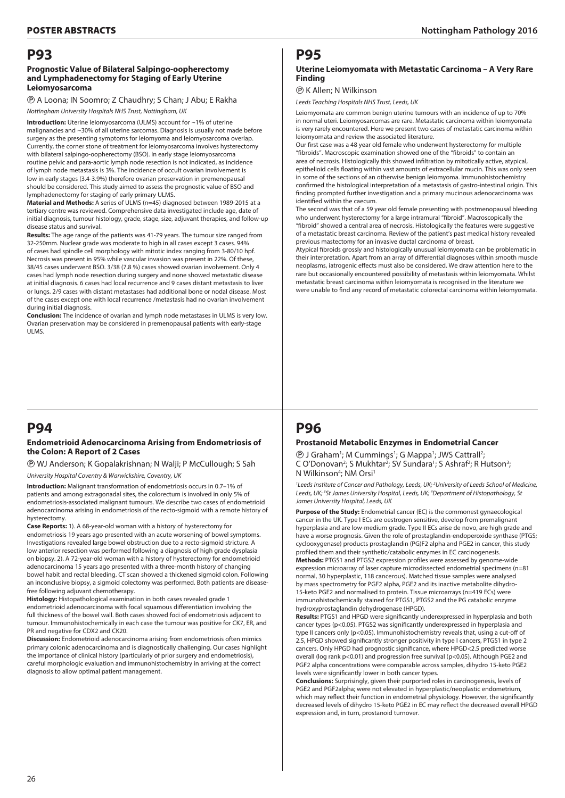#### **Prognostic Value of Bilateral Salpingo-oopherectomy and Lymphadenectomy for Staging of Early Uterine Leiomyosarcoma**

P A Loona; IN Soomro; Z Chaudhry; S Chan; J Abu; E Rakha

*Nottingham University Hospitals NHS Trust, Nottingham, UK*

**Introduction:** Uterine leiomyosarcoma (ULMS) account for ~1% of uterine malignancies and ~30% of all uterine sarcomas. Diagnosis is usually not made before surgery as the presenting symptoms for leiomyoma and leiomyosarcoma overlap. Currently, the corner stone of treatment for leiomyosarcoma involves hysterectomy with bilateral salpingo-oopherectomy (BSO). In early stage leiomyosarcoma routine pelvic and para-aortic lymph node resection is not indicated, as incidence of lymph node metastasis is 3%. The incidence of occult ovarian involvement is low in early stages (3.4-3.9%) therefore ovarian preservation in premenopausal should be considered. This study aimed to assess the prognostic value of BSO and lymphadenectomy for staging of early primary ULMS.

**Material and Methods:** A series of ULMS (n=45) diagnosed between 1989-2015 at a tertiary centre was reviewed. Comprehensive data investigated include age, date of initial diagnosis, tumour histology, grade, stage, size, adjuvant therapies, and follow-up disease status and survival.

**Results:** The age range of the patients was 41-79 years. The tumour size ranged from 32-250mm. Nuclear grade was moderate to high in all cases except 3 cases. 94% of cases had spindle cell morphology with mitotic index ranging from 3-80/10 hpf. Necrosis was present in 95% while vascular invasion was present in 22%. Of these, 38/45 cases underwent BSO. 3/38 (7.8 %) cases showed ovarian involvement. Only 4 cases had lymph node resection during surgery and none showed metastatic disease at initial diagnosis. 6 cases had local recurrence and 9 cases distant metastasis to liver or lungs. 2/9 cases with distant metastases had additional bone or nodal disease. Most of the cases except one with local recurrence /metastasis had no ovarian involvement during initial diagnosis.

**Conclusion:** The incidence of ovarian and lymph node metastases in ULMS is very low. Ovarian preservation may be considered in premenopausal patients with early-stage ULMS.

### **P94**

#### **Endometrioid Adenocarcinoma Arising from Endometriosis of the Colon: A Report of 2 Cases**

P WJ Anderson; K Gopalakrishnan; N Walji; P McCullough; S Sah *University Hospital Coventry & Warwickshire, Coventry, UK*

**Introduction:** Malignant transformation of endometriosis occurs in 0.7–1% of patients and among extragonadal sites, the colorectum is involved in only 5% of endometriosis-associated malignant tumours. We describe two cases of endometrioid adenocarcinoma arising in endometriosis of the recto-sigmoid with a remote history of hysterectomy.

**Case Reports:** 1). A 68-year-old woman with a history of hysterectomy for endometriosis 19 years ago presented with an acute worsening of bowel symptoms. Investigations revealed large bowel obstruction due to a recto-sigmoid stricture. A low anterior resection was performed following a diagnosis of high grade dysplasia on biopsy. 2). A 72-year-old woman with a history of hysterectomy for endometrioid adenocarcinoma 15 years ago presented with a three-month history of changing bowel habit and rectal bleeding. CT scan showed a thickened sigmoid colon. Following an inconclusive biopsy, a sigmoid colectomy was performed. Both patients are diseasefree following adjuvant chemotherapy.

**Histology:** Histopathological examination in both cases revealed grade 1 endometrioid adenocarcinoma with focal squamous differentiation involving the full thickness of the bowel wall. Both cases showed foci of endometriosis adjacent to tumour. Immunohistochemically in each case the tumour was positive for CK7, ER, and PR and negative for CDX2 and CK20.

**Discussion:** Endometrioid adenocarcinoma arising from endometriosis often mimics primary colonic adenocarcinoma and is diagnostically challenging. Our cases highlight the importance of clinical history (particularly of prior surgery and endometriosis), careful morphologic evaluation and immunohistochemistry in arriving at the correct diagnosis to allow optimal patient management.

### **P95**

#### **Uterine Leiomyomata with Metastatic Carcinoma – A Very Rare Finding**

P K Allen; N Wilkinson

*Leeds Teaching Hospitals NHS Trust, Leeds, UK*

Leiomyomata are common benign uterine tumours with an incidence of up to 70% in normal uteri. Leiomyosarcomas are rare. Metastatic carcinoma within leiomyomata is very rarely encountered. Here we present two cases of metastatic carcinoma within leiomyomata and review the associated literature.

Our first case was a 48 year old female who underwent hysterectomy for multiple "fibroids". Macroscopic examination showed one of the "fibroids" to contain an area of necrosis. Histologically this showed infiltration by mitotically active, atypical, epithelioid cells floating within vast amounts of extracellular mucin. This was only seen in some of the sections of an otherwise benign leiomyoma. Immunohistochemistry confirmed the histological interpretation of a metastasis of gastro-intestinal origin. This finding prompted further investigation and a primary mucinous adenocarcinoma was identified within the caecum.

The second was that of a 59 year old female presenting with postmenopausal bleeding who underwent hysterectomy for a large intramural "fibroid". Macroscopically the "fibroid" showed a central area of necrosis. Histologically the features were suggestive of a metastatic breast carcinoma. Review of the patient's past medical history revealed previous mastectomy for an invasive ductal carcinoma of breast.

Atypical fibroids grossly and histologically unusual leiomyomata can be problematic in their interpretation. Apart from an array of differential diagnoses within smooth muscle neoplasms, iatrogenic effects must also be considered. We draw attention here to the rare but occasionally encountered possibility of metastasis within leiomyomata. Whilst metastatic breast carcinoma within leiomyomata is recognised in the literature we were unable to find any record of metastatic colorectal carcinoma within leiomyomata.

# **P96**

#### **Prostanoid Metabolic Enzymes in Endometrial Cancer**

**(B)** J Graham<sup>1</sup>; M Cummings<sup>1</sup>; G Mappa<sup>1</sup>; JWS Cattrall<sup>2</sup>; C O'Donovan<sup>2</sup>; S Mukhtar<sup>2</sup>; SV Sundara<sup>1</sup>; S Ashraf<sup>2</sup>; R Hutson<sup>3</sup>; N Wilkinson<sup>4</sup>; NM Orsi<sup>1</sup>

<sup>1</sup> Leeds Institute of Cancer and Pathology, Leeds, UK; <sup>2</sup> University of Leeds School of Medicine, *Leeds, UK; 3 St James University Hospital, Leeds, UK; 4 Department of Histopathology, St James University Hospital, Leeds, UK*

**Purpose of the Study:** Endometrial cancer (EC) is the commonest gynaecological cancer in the UK. Type I ECs are oestrogen sensitive, develop from premalignant hyperplasia and are low-medium grade. Type II ECs arise de novo, are high grade and have a worse prognosis. Given the role of prostaglandin-endoperoxide synthase (PTGS; cyclooxygenase) products prostaglandin (PG)F2 alpha and PGE2 in cancer, this study profiled them and their synthetic/catabolic enzymes in EC carcinogenesis. **Methods:** PTGS1 and PTGS2 expression profiles were assessed by genome-wide expression microarray of laser capture microdissected endometrial specimens (n=81 normal, 30 hyperplastic, 118 cancerous). Matched tissue samples were analysed by mass spectrometry for PGF2 alpha, PGE2 and its inactive metabolite dihydro-15-keto PGE2 and normalised to protein. Tissue microarrays (n=419 ECs) were immunohistochemically stained for PTGS1, PTGS2 and the PG catabolic enzyme hydroxyprostaglandin dehydrogenase (HPGD).

**Results:** PTGS1 and HPGD were significantly underexpressed in hyperplasia and both cancer types (p<0.05). PTGS2 was significantly underexpressed in hyperplasia and type II cancers only (p<0.05). Immunohistochemistry reveals that, using a cut-off of 2.5, HPGD showed significantly stronger positivity in type I cancers, PTGS1 in type 2 cancers. Only HPGD had prognostic significance, where HPGD<2.5 predicted worse overall (log rank p<0.01) and progression free survival (p<0.05). Although PGE2 and PGF2 alpha concentrations were comparable across samples, dihydro 15-keto PGE2 levels were significantly lower in both cancer types.

**Conclusions:** Surprisingly, given their purported roles in carcinogenesis, levels of PGE2 and PGF2alpha; were not elevated in hyperplastic/neoplastic endometrium, which may reflect their function in endometrial physiology. However, the significantly decreased levels of dihydro 15-keto PGE2 in EC may reflect the decreased overall HPGD expression and, in turn, prostanoid turnover.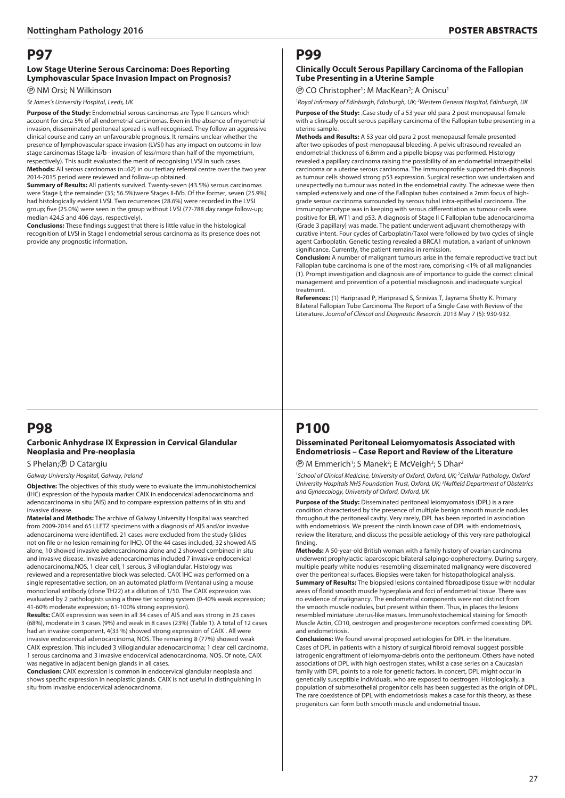#### **Low Stage Uterine Serous Carcinoma: Does Reporting Lymphovascular Space Invasion Impact on Prognosis?**

P NM Orsi; N Wilkinson

*St James's University Hospital, Leeds, UK*

Purpose of the Study: Endometrial serous carcinomas are Type II cancers which account for circa 5% of all endometrial carcinomas. Even in the absence of myometrial invasion, disseminated peritoneal spread is well-recognised. They follow an aggressive clinical course and carry an unfavourable prognosis. It remains unclear whether the presence of lymphovascular space invasion (LVSI) has any impact on outcome in low stage carcinomas (Stage Ia/b - invasion of less/more than half of the myometrium, respectively). This audit evaluated the merit of recognising LVSI in such cases. **Methods:** All serous carcinomas (n=62) in our tertiary referral centre over the two year 2014-2015 period were reviewed and follow-up obtained.

**Summary of Results:** All patients survived. Twenty-seven (43.5%) serous carcinomas were Stage I; the remainder (35; 56.5%)were Stages II-IVb. Of the former, seven (25.9%) had histologically evident LVSI. Two recurrences (28.6%) were recorded in the LVSI group; five (25.0%) were seen in the group without LVSI (77-788 day range follow-up; median 424.5 and 406 days, respectively).

**Conclusions:** These findings suggest that there is little value in the histological recognition of LVSI in Stage I endometrial serous carcinoma as its presence does not provide any prognostic information.

### **P98**

#### **Carbonic Anhydrase IX Expression in Cervical Glandular Neoplasia and Pre-neoplasia**

S Phelan; ® D Catargiu

*Galway University Hospital, Galway, Ireland*

**Objective:** The objectives of this study were to evaluate the immunohistochemical (IHC) expression of the hypoxia marker CAIX in endocervical adenocarcinoma and adenocarcinoma in situ (AIS) and to compare expression patterns of in situ and invasive disease.

**Material and Methods:** The archive of Galway University Hospital was searched from 2009-2014 and 65 LLETZ specimens with a diagnosis of AIS and/or invasive adenocarcinoma were identified. 21 cases were excluded from the study (slides not on file or no lesion remaining for IHC). Of the 44 cases included, 32 showed AIS alone, 10 showed invasive adenocarcinoma alone and 2 showed combined in situ and invasive disease. Invasive adenocarcinomas included 7 invasive endocervical adenocarcinoma,NOS, 1 clear cell, 1 serous, 3 villoglandular. Histology was reviewed and a representative block was selected. CAIX IHC was performed on a single representative section, on an automated platform (Ventana) using a mouse monoclonal antibody (clone TH22) at a dilution of 1/50. The CAIX expression was evaluated by 2 pathologists using a three tier scoring system (0-40% weak expression; 41-60% moderate expression; 61-100% strong expression).

**Results:** CAIX expression was seen in all 34 cases of AIS and was strong in 23 cases (68%), moderate in 3 cases (9%) and weak in 8 cases (23%) (Table 1). A total of 12 cases had an invasive component, 4(33 %) showed strong expression of CAIX . All were invasive endocervical adenocarcinoma, NOS. The remaining 8 (77%) showed weak CAIX expression. This included 3 villoglandular adenocarcinoma; 1 clear cell carcinoma, 1 serous carcinoma and 3 invasive endocervical adenocarcinoma, NOS. Of note, CAIX was negative in adjacent benign glands in all cases.

**Conclusion:** CAIX expression is common in endocervical glandular neoplasia and shows specific expression in neoplastic glands. CAIX is not useful in distinguishing in situ from invasive endocervical adenocarcinoma.

### **P99**

#### **Clinically Occult Serous Papillary Carcinoma of the Fallopian Tube Presenting in a Uterine Sample**

 $\circledR$  **CO Christopher<sup>1</sup>; M MacKean<sup>2</sup>; A Oniscu<sup>1</sup>** 

<sup>1</sup> Royal Infirmary of Edinburgh, Edinburgh, UK; <sup>2</sup> Western General Hospital, Edinburgh, UK

**Purpose of the Study:** .Case study of a 53 year old para 2 post menopausal female with a clinically occult serous papillary carcinoma of the Fallopian tube presenting in a uterine sample.

**Methods and Results:** A 53 year old para 2 post menopausal female presented after two episodes of post-menopausal bleeding. A pelvic ultrasound revealed an endometrial thickness of 6.8mm and a pipelle biopsy was performed. Histology revealed a papillary carcinoma raising the possibility of an endometrial intraepithelial carcinoma or a uterine serous carcinoma. The immunoprofile supported this diagnosis as tumour cells showed strong p53 expression. Surgical resection was undertaken and unexpectedly no tumour was noted in the endometrial cavity. The adnexae were then sampled extensively and one of the Fallopian tubes contained a 2mm focus of highgrade serous carcinoma surrounded by serous tubal intra-epithelial carcinoma. The immunophenotype was in keeping with serous differentiation as tumour cells were positive for ER, WT1 and p53. A diagnosis of Stage II C Fallopian tube adenocarcinoma (Grade 3 papillary) was made. The patient underwent adjuvant chemotherapy with curative intent. Four cycles of Carboplatin/Taxol were followed by two cycles of single agent Carboplatin. Genetic testing revealed a BRCA1 mutation, a variant of unknown significance. Currently, the patient remains in remission.

**Conclusion:** A number of malignant tumours arise in the female reproductive tract but Fallopian tube carcinoma is one of the most rare, comprising <1% of all malignancies (1). Prompt investigation and diagnosis are of importance to guide the correct clinical management and prevention of a potential misdiagnosis and inadequate surgical treatment.

**References:** (1) Hariprasad P, Hariprasad S, Srinivas T, Jayrama Shetty K. Primary Bilateral Fallopian Tube Carcinoma The Report of a Single Case with Review of the Literature. *Journal of Clinical and Diagnostic Research*. 2013 May 7 (5): 930-932.

# **P100**

#### **Disseminated Peritoneal Leiomyomatosis Associated with Endometriosis – Case Report and Review of the Literature**

**(B)** M Emmerich<sup>1</sup>; S Manek<sup>2</sup>; E McVeigh<sup>3</sup>; S Dhar<sup>2</sup>

<sup>1</sup> School of Clinical Medicine, University of Oxford, Oxford, UK; <sup>2</sup> Cellular Pathology, Oxford *University Hospitals NHS Foundation Trust, Oxford, UK; 3 Nuffield Department of Obstetrics and Gynaecology, University of Oxford, Oxford, UK*

Purpose of the Study: Disseminated peritoneal leiomyomatosis (DPL) is a rare condition characterised by the presence of multiple benign smooth muscle nodules throughout the peritoneal cavity. Very rarely, DPL has been reported in association with endometriosis. We present the ninth known case of DPL with endometriosis, review the literature, and discuss the possible aetiology of this very rare pathological finding.

**Methods:** A 50-year-old British woman with a family history of ovarian carcinoma underwent prophylactic laparoscopic bilateral salpingo-oopherectomy. During surgery, multiple pearly white nodules resembling disseminated malignancy were discovered over the peritoneal surfaces. Biopsies were taken for histopathological analysis. **Summary of Results:** The biopsied lesions contained fibroadipose tissue with nodular areas of florid smooth muscle hyperplasia and foci of endometrial tissue. There was no evidence of malignancy. The endometrial components were not distinct from the smooth muscle nodules, but present within them. Thus, in places the lesions resembled miniature uterus-like masses. Immunohistochemical staining for Smooth Muscle Actin, CD10, oestrogen and progesterone receptors confirmed coexisting DPL and endometriosis.

**Conclusions:** We found several proposed aetiologies for DPL in the literature. Cases of DPL in patients with a history of surgical fibroid removal suggest possible iatrogenic engraftment of leiomyoma-debris onto the peritoneum. Others have noted associations of DPL with high oestrogen states, whilst a case series on a Caucasian family with DPL points to a role for genetic factors. In concert, DPL might occur in genetically susceptible individuals, who are exposed to oestrogen. Histologically, a population of submesothelial progenitor cells has been suggested as the origin of DPL. The rare coexistence of DPL with endometriosis makes a case for this theory, as these progenitors can form both smooth muscle and endometrial tissue.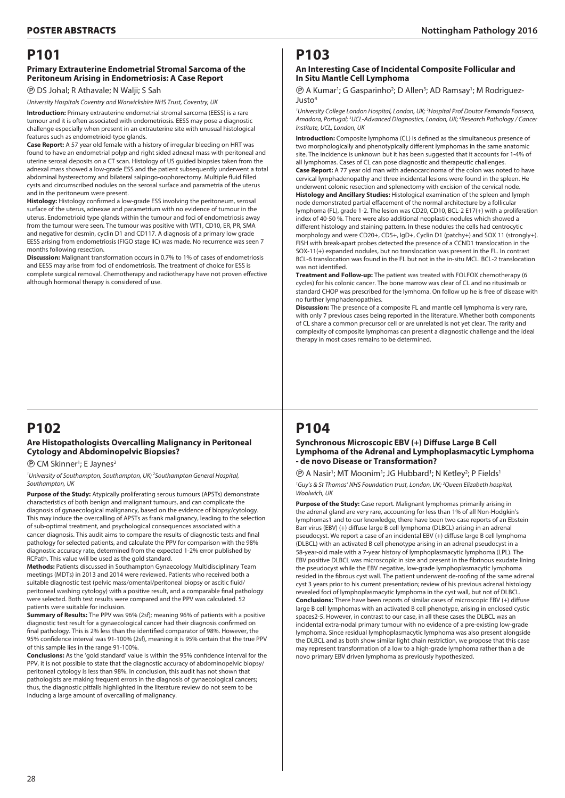#### **Primary Extrauterine Endometrial Stromal Sarcoma of the Peritoneum Arising in Endometriosis: A Case Report**

P DS Johal; R Athavale; N Walji; S Sah

*University Hospitals Coventry and Warwickshire NHS Trust, Coventry, UK*

**Introduction:** Primary extrauterine endometrial stromal sarcoma (EESS) is a rare tumour and it is often associated with endometriosis. EESS may pose a diagnostic challenge especially when present in an extrauterine site with unusual histological features such as endometrioid-type glands.

**Case Report:** A 57 year old female with a history of irregular bleeding on HRT was found to have an endometrial polyp and right sided adnexal mass with peritoneal and uterine serosal deposits on a CT scan. Histology of US guided biopsies taken from the adnexal mass showed a low-grade ESS and the patient subsequently underwent a total abdominal hysterectomy and bilateral salpingo-oophorectomy. Multiple fluid filled cysts and circumscribed nodules on the serosal surface and parametria of the uterus and in the peritoneum were present.

**Histology:** Histology confirmed a low-grade ESS involving the peritoneum, serosal surface of the uterus, adnexae and parametrium with no evidence of tumour in the uterus. Endometrioid type glands within the tumour and foci of endometriosis away from the tumour were seen. The tumour was positive with WT1, CD10, ER, PR, SMA and negative for desmin, cyclin D1 and CD117. A diagnosis of a primary low grade EESS arising from endometriosis (FIGO stage IIC) was made. No recurrence was seen 7 months following resection.

**Discussion:** Malignant transformation occurs in 0.7% to 1% of cases of endometriosis and EESS may arise from foci of endometriosis. The treatment of choice for ESS is complete surgical removal. Chemotherapy and radiotherapy have not proven effective although hormonal therapy is considered of use.

### **P102**

#### **Are Histopathologists Overcalling Malignancy in Peritoneal Cytology and Abdominopelvic Biopsies?**

*<b>P* CM Skinner<sup>1</sup>; E Jaynes<sup>2</sup>

<sup>1</sup> University of Southampton, Southampton, UK; <sup>2</sup> Southampton General Hospital, *Southampton, UK*

**Purpose of the Study:** Atypically proliferating serous tumours (APSTs) demonstrate characteristics of both benign and malignant tumours, and can complicate the diagnosis of gynaecological malignancy, based on the evidence of biopsy/cytology. This may induce the overcalling of APSTs as frank malignancy, leading to the selection of sub-optimal treatment, and psychological consequences associated with a cancer diagnosis. This audit aims to compare the results of diagnostic tests and final pathology for selected patients, and calculate the PPV for comparison with the 98% diagnostic accuracy rate, determined from the expected 1-2% error published by RCPath. This value will be used as the gold standard.

**Methods:** Patients discussed in Southampton Gynaecology Multidisciplinary Team meetings (MDTs) in 2013 and 2014 were reviewed. Patients who received both a suitable diagnostic test (pelvic mass/omental/peritoneal biopsy or ascitic fluid/ peritoneal washing cytology) with a positive result, and a comparable final pathology were selected. Both test results were compared and the PPV was calculated. 52 patients were suitable for inclusion.

**Summary of Results:** The PPV was 96% (2sf); meaning 96% of patients with a positive diagnostic test result for a gynaecological cancer had their diagnosis confirmed on final pathology. This is 2% less than the identified comparator of 98%. However, the 95% confidence interval was 91-100% (2sf), meaning it is 95% certain that the true PPV of this sample lies in the range 91-100%.

**Conclusions:** As the 'gold standard' value is within the 95% confidence interval for the PPV, it is not possible to state that the diagnostic accuracy of abdominopelvic biopsy/ peritoneal cytology is less than 98%. In conclusion, this audit has not shown that pathologists are making frequent errors in the diagnosis of gynaecological cancers; thus, the diagnostic pitfalls highlighted in the literature review do not seem to be inducing a large amount of overcalling of malignancy.

# **P103**

#### **An Interesting Case of Incidental Composite Follicular and In Situ Mantle Cell Lymphoma**

**(B)** A Kumar<sup>1</sup>; G Gasparinho<sup>2</sup>; D Allen<sup>3</sup>; AD Ramsay<sup>1</sup>; M Rodriguez-Justo4

<sup>1</sup> University College London Hospital, London, UK; <sup>2</sup> Hospital Prof Doutor Fernando Fonseca, *Amadora, Portugal; 3 UCL-Advanced Diagnostics, London, UK; 4 Research Pathology / Cancer Institute, UCL, London, UK*

**Introduction:** Composite lymphoma (CL) is defined as the simultaneous presence of two morphologically and phenotypically different lymphomas in the same anatomic site. The incidence is unknown but it has been suggested that it accounts for 1-4% of all lymphomas. Cases of CL can pose diagnostic and therapeutic challenges. **Case Report:** A 77 year old man with adenocarcinoma of the colon was noted to have cervical lymphadenopathy and three incidental lesions were found in the spleen. He underwent colonic resection and splenectomy with excision of the cervical node. **Histology and Ancillary Studies:** Histological examination of the spleen and lymph node demonstrated partial effacement of the normal architecture by a follicular lymphoma (FL), grade 1-2. The lesion was CD20, CD10, BCL-2 E17(+) with a proliferation index of 40-50 %. There were also additional neoplastic nodules which showed a different histology and staining pattern. In these nodules the cells had centrocytic morphology and were CD20+, CD5+, IgD+, Cyclin D1 (patchy+) and SOX 11 (strongly+). FISH with break-apart probes detected the presence of a CCND1 translocation in the SOX-11(+) expanded nodules, but no translocation was present in the FL. In contrast BCL-6 translocation was found in the FL but not in the in-situ MCL. BCL-2 translocation was not identified.

**Treatment and Follow-up:** The patient was treated with FOLFOX chemotherapy (6 cycles) for his colonic cancer. The bone marrow was clear of CL and no rituximab or standard CHOP was prescribed for the lymhoma. On follow up he is free of disease with no further lymphadenopathies.

**Discussion:** The presence of a composite FL and mantle cell lymphoma is very rare, with only 7 previous cases being reported in the literature. Whether both components of CL share a common precursor cell or are unrelated is not yet clear. The rarity and complexity of composite lymphomas can present a diagnostic challenge and the ideal therapy in most cases remains to be determined.

# **P104**

**Synchronous Microscopic EBV (+) Diffuse Large B Cell Lymphoma of the Adrenal and Lymphoplasmacytic Lymphoma - de novo Disease or Transformation?**

### **(B)** A Nasir<sup>1</sup>; MT Moonim<sup>1</sup>; JG Hubbard<sup>1</sup>; N Ketley<sup>2</sup>; P Fields<sup>1</sup>

<sup>1</sup>Guy's & St Thomas' NHS Foundation trust, London, UK; <sup>2</sup>Queen Elizabeth hospital, *Woolwich, UK*

**Purpose of the Study:** Case report. Malignant lymphomas primarily arising in the adrenal gland are very rare, accounting for less than 1% of all Non-Hodgkin's lymphomas1 and to our knowledge, there have been two case reports of an Ebstein Barr virus (EBV) (+) diffuse large B cell lymphoma (DLBCL) arising in an adrenal pseudocyst. We report a case of an incidental EBV (+) diffuse large B cell lymphoma (DLBCL) with an activated B cell phenotype arising in an adrenal pseudocyst in a 58-year-old male with a 7-year history of lymphoplasmacytic lymphoma (LPL). The EBV positive DLBCL was microscopic in size and present in the fibrinous exudate lining the pseudocyst while the EBV negative, low-grade lymphoplasmacytic lymphoma resided in the fibrous cyst wall. The patient underwent de-roofing of the same adrenal cyst 3 years prior to his current presentation; review of his previous adrenal histology revealed foci of lymphoplasmacytic lymphoma in the cyst wall, but not of DLBCL. **Conclusions:** There have been reports of similar cases of microscopic EBV (+) diffuse large B cell lymphomas with an activated B cell phenotype, arising in enclosed cystic spaces2-5. However, in contrast to our case, in all these cases the DLBCL was an incidental extra-nodal primary tumour with no evidence of a pre-existing low-grade lymphoma. Since residual lymphoplasmacytic lymphoma was also present alongside the DLBCL and as both show similar light chain restriction, we propose that this case may represent transformation of a low to a high-grade lymphoma rather than a de novo primary EBV driven lymphoma as previously hypothesized.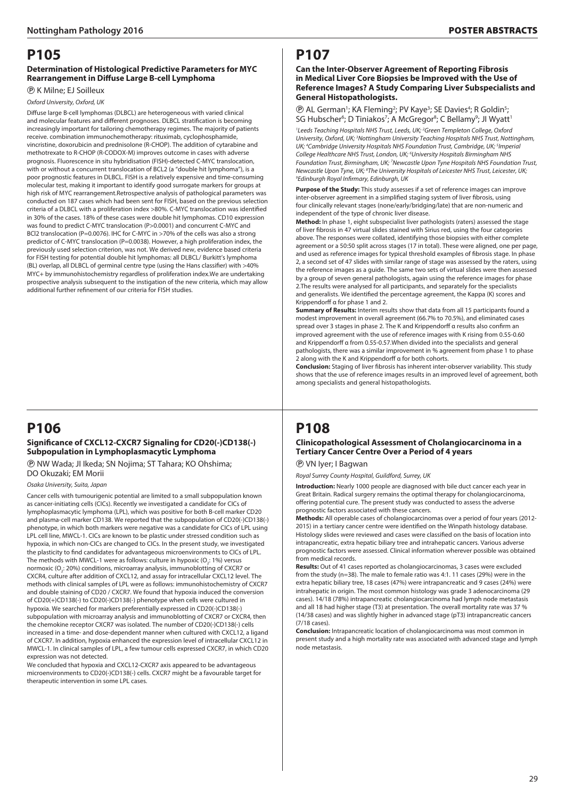#### **Determination of Histological Predictive Parameters for MYC Rearrangement in Diffuse Large B-cell Lymphoma**

P K Milne; EJ Soilleux

*Oxford University, Oxford, UK*

Diffuse large B-cell lymphomas (DLBCL) are heterogeneous with varied clinical and molecular features and different prognoses. DLBCL stratification is becoming increasingly important for tailoring chemotherapy regimes. The majority of patients receive. combination immunochemotherapy: rituximab, cyclophosphamide, vincristine, doxorubicin and prednisolone (R-CHOP). The addition of cytarabine and methotrexate to R-CHOP (R-CODOX-M) improves outcome in cases with adverse prognosis. Fluorescence in situ hybridisation (FISH)-detected C-MYC translocation, with or without a concurrent translocation of BCL2 (a "double hit lymphoma"), is a poor prognostic features in DLBCL. FISH is a relatively expensive and time-consuming molecular test, making it important to identify good surrogate markers for groups at high risk of MYC rearrangement.Retrospective analysis of pathological parameters was conducted on 187 cases which had been sent for FISH, based on the previous selection criteria of a DLBCL with a proliferation index >80%. C-MYC translocation was identified in 30% of the cases. 18% of these cases were double hit lymphomas. CD10 expression was found to predict C-MYC translocation (P>0.0001) and concurrent C-MYC and BCl2 translocation (P=0.0076). IHC for C-MYC in >70% of the cells was also a strong predictor of C-MYC translocation (P=0.0038). However, a high proliferation index, the previously used selection criterion, was not. We derived new, evidence based criteria for FISH testing for potential double hit lymphomas: all DLBCL/ Burkitt's lymphoma (BL) overlap, all DLBCL of germinal centre type (using the Hans classifier) with >40% MYC+ by immunohistochemistry regardless of proliferation index.We are undertaking prospective analysis subsequent to the instigation of the new criteria, which may allow additional further refinement of our criteria for FISH studies.

# **P106**

#### **Significance of CXCL12-CXCR7 Signaling for CD20(-)CD138(-) Subpopulation in Lymphoplasmacytic Lymphoma**

P NW Wada; JI Ikeda; SN Nojima; ST Tahara; KO Ohshima; DO Okuzaki; EM Morii

*Osaka University, Suita, Japan*

Cancer cells with tumourigenic potential are limited to a small subpopulation known as cancer-initiating cells (CICs). Recently we investigated a candidate for CICs of lymphoplasmacytic lymphoma (LPL), which was positive for both B-cell marker CD20 and plasma-cell marker CD138. We reported that the subpopulation of CD20(-)CD138(-) phenotype, in which both markers were negative was a candidate for CICs of LPL using LPL cell line, MWCL-1. CICs are known to be plastic under stressed condition such as hypoxia, in which non-CICs are changed to CICs. In the present study, we investigated the plasticity to find candidates for advantageous microenvironments to CICs of LPL. The methods with MWCL-1 were as follows: culture in hypoxic (O<sub>2</sub>: 1%) versus normoxic (O<sub>2</sub>: 20%) conditions, microarray analysis, immunoblotting of CXCR7 or CXCR4, culture after addition of CXCL12, and assay for intracellular CXCL12 level. The methods with clinical samples of LPL were as follows: immunohistochemistry of CXCR7 and double staining of CD20 / CXCR7. We found that hypoxia induced the conversion of CD20(+)CD138(-) to CD20(-)CD138(-) phenotype when cells were cultured in hypoxia. We searched for markers preferentially expressed in CD20(-)CD138(-) subpopulation with microarray analysis and immunoblotting of CXCR7 or CXCR4, then the chemokine receptor CXCR7 was isolated. The number of CD20(-)CD138(-) cells increased in a time- and dose-dependent manner when cultured with CXCL12, a ligand of CXCR7. In addition, hypoxia enhanced the expression level of intracellular CXCL12 in MWCL-1. In clinical samples of LPL, a few tumour cells expressed CXCR7, in which CD20 expression was not detected.

We concluded that hypoxia and CXCL12-CXCR7 axis appeared to be advantageous microenvironments to CD20(-)CD138(-) cells. CXCR7 might be a favourable target for therapeutic intervention in some LPL cases.

# **P107**

#### **Can the Inter-Observer Agreement of Reporting Fibrosis in Medical Liver Core Biopsies be Improved with the Use of Reference Images? A Study Comparing Liver Subspecialists and General Histopathologists.**

**(B)** AL German<sup>1</sup>; KA Fleming<sup>2</sup>; PV Kaye<sup>3</sup>; SE Davies<sup>4</sup>; R Goldin<sup>5</sup>; SG Hubscher<sup>6</sup>; D Tiniakos<sup>7</sup>; A McGregor<sup>8</sup>; C Bellamy<sup>9</sup>; JI Wyatt<sup>1</sup>

<sup>1</sup> Leeds Teaching Hospitals NHS Trust, Leeds, UK; <sup>2</sup> Green Templeton College, Oxford University, Oxford, UK;<sup>3</sup>Nottingham University Teaching Hospitals NHS Trust, Nottingham, UK; <sup>4</sup> Cambridge University Hospitals NHS Foundation Trust, Cambridge, UK; <sup>5</sup>Imperial *College Healthcare NHS Trust, London, UK; 6 University Hospitals Birmingham NHS*  Foundation Trust, Birmingham, UK; <sup>7</sup> Newcastle Upon Tyne Hospitals NHS Foundation Trust, *Newcastle Upon Tyne, UK; 8 The University Hospitals of Leicester NHS Trust, Leicester, UK; 9 Edinburgh Royal Infirmary, Edinburgh, UK*

**Purpose of the Study:** This study assesses if a set of reference images can improve inter-observer agreement in a simplified staging system of liver fibrosis, using four clinically relevant stages (none/early/bridging/late) that are non-numeric and independent of the type of chronic liver disease.

**Method:** In phase 1, eight subspecialist liver pathologists (raters) assessed the stage of liver fibrosis in 47 virtual slides stained with Sirius red, using the four categories above. The responses were collated, identifying those biopsies with either complete agreement or a 50:50 split across stages (17 in total). These were aligned, one per page, and used as reference images for typical threshold examples of fibrosis stage. In phase 2, a second set of 47 slides with similar range of stage was assessed by the raters, using the reference images as a guide. The same two sets of virtual slides were then assessed by a group of seven general pathologists, again using the reference images for phase 2.The results were analysed for all participants, and separately for the specialists and generalists. We identified the percentage agreement, the Kappa (Κ) scores and Krippendorff α for phase 1 and 2.

**Summary of Results:** Interim results show that data from all 15 participants found a modest improvement in overall agreement (66.7% to 70.5%), and eliminated cases spread over 3 stages in phase 2. The Κ and Krippendorff α results also confirm an improved agreement with the use of reference images with Κ rising from 0.55-0.60 and Krippendorff α from 0.55-0.57.When divided into the specialists and general pathologists, there was a similar improvement in % agreement from phase 1 to phase 2 along with the Κ and Krippendorff α for both cohorts.

**Conclusion:** Staging of liver fibrosis has inherent inter-observer variability. This study shows that the use of reference images results in an improved level of agreement, both among specialists and general histopathologists.

# **P108**

#### **Clinicopathological Assessment of Cholangiocarcinoma in a Tertiary Cancer Centre Over a Period of 4 years**

P VN Iyer; I Bagwan

*Royal Surrey County Hospital, Guildford, Surrey, UK*

**Introduction:** Nearly 1000 people are diagnosed with bile duct cancer each year in Great Britain. Radical surgery remains the optimal therapy for cholangiocarcinoma, offering potential cure. The present study was conducted to assess the adverse prognostic factors associated with these cancers.

**Methods:** All operable cases of cholangiocarcinomas over a period of four years (2012- 2015) in a tertiary cancer centre were identified on the Winpath histology database. Histology slides were reviewed and cases were classified on the basis of location into intrapancreatic, extra hepatic biliary tree and intrahepatic cancers. Various adverse prognostic factors were assessed. Clinical information wherever possible was obtained from medical records.

**Results:** Out of 41 cases reported as cholangiocarcinomas, 3 cases were excluded from the study (n=38). The male to female ratio was 4:1. 11 cases (29%) were in the extra hepatic biliary tree, 18 cases (47%) were intrapancreatic and 9 cases (24%) were intrahepatic in origin. The most common histology was grade 3 adenocarcinoma (29 cases). 14/18 (78%) intrapancreatic cholangiocarcinoma had lymph node metastasis and all 18 had higher stage (T3) at presentation. The overall mortality rate was 37 % (14/38 cases) and was slightly higher in advanced stage (pT3) intrapancreatic cancers (7/18 cases).

**Conclusion:** Intrapancreatic location of cholangiocarcinoma was most common in present study and a high mortality rate was associated with advanced stage and lymph node metastasis.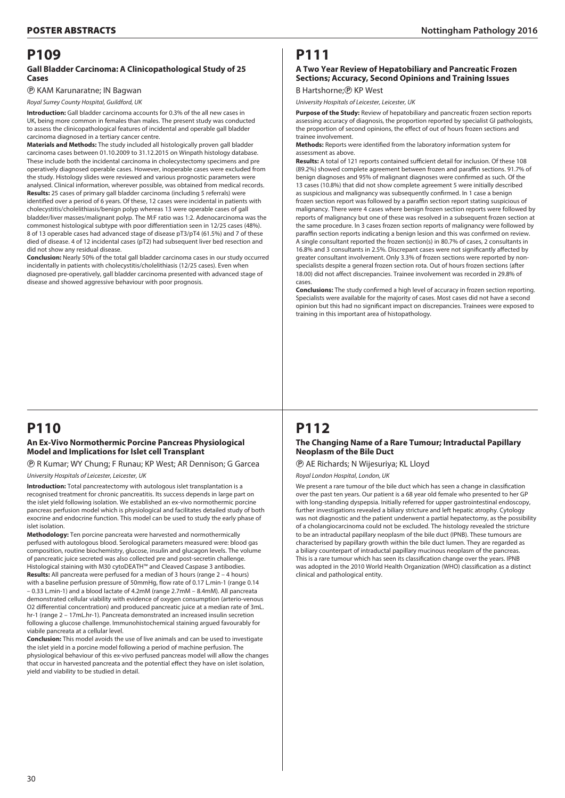#### **Gall Bladder Carcinoma: A Clinicopathological Study of 25 Cases**

P KAM Karunaratne; IN Bagwan

*Royal Surrey County Hospital, Guildford, UK*

**Introduction:** Gall bladder carcinoma accounts for 0.3% of the all new cases in UK, being more common in females than males. The present study was conducted to assess the clinicopathological features of incidental and operable gall bladder carcinoma diagnosed in a tertiary cancer centre.

**Materials and Methods:** The study included all histologically proven gall bladder carcinoma cases between 01.10.2009 to 31.12.2015 on Winpath histology database. These include both the incidental carcinoma in cholecystectomy specimens and pre operatively diagnosed operable cases. However, inoperable cases were excluded from the study. Histology slides were reviewed and various prognostic parameters were analysed. Clinical information, wherever possible, was obtained from medical records. **Results:** 25 cases of primary gall bladder carcinoma (including 5 referrals) were identified over a period of 6 years. Of these, 12 cases were incidental in patients with cholecystitis/cholelithiasis/benign polyp whereas 13 were operable cases of gall bladder/liver masses/malignant polyp. The M:F ratio was 1:2. Adenocarcinoma was the commonest histological subtype with poor differentiation seen in 12/25 cases (48%). 8 of 13 operable cases had advanced stage of disease pT3/pT4 (61.5%) and 7 of these died of disease. 4 of 12 incidental cases (pT2) had subsequent liver bed resection and did not show any residual disease.

**Conclusion:** Nearly 50% of the total gall bladder carcinoma cases in our study occurred incidentally in patients with cholecystitis/cholelithiasis (12/25 cases). Even when diagnosed pre-operatively, gall bladder carcinoma presented with advanced stage of disease and showed aggressive behaviour with poor prognosis.

# **P110**

#### **An Ex-Vivo Normothermic Porcine Pancreas Physiological Model and Implications for Islet cell Transplant**

P R Kumar; WY Chung; F Runau; KP West; AR Dennison; G Garcea *University Hospitals of Leicester, Leicester, UK*

**Introduction:** Total pancreatectomy with autologous islet transplantation is a recognised treatment for chronic pancreatitis. Its success depends in large part on the islet yield following isolation. We established an ex-vivo normothermic porcine pancreas perfusion model which is physiological and facilitates detailed study of both exocrine and endocrine function. This model can be used to study the early phase of islet isolation.

**Methodology:** Ten porcine pancreata were harvested and normothermically perfused with autologous blood. Serological parameters measured were: blood gas composition, routine biochemistry, glucose, insulin and glucagon levels. The volume of pancreatic juice secreted was also collected pre and post-secretin challenge. Histological staining with M30 cytoDEATH™ and Cleaved Caspase 3 antibodies. **Results:** All pancreata were perfused for a median of 3 hours (range 2 – 4 hours) with a baseline perfusion pressure of 50mmHg, flow rate of 0.17 L.min-1 (range 0.14 – 0.33 L.min-1) and a blood lactate of 4.2mM (range 2.7mM – 8.4mM). All pancreata demonstrated cellular viability with evidence of oxygen consumption (arterio-venous O2 differential concentration) and produced pancreatic juice at a median rate of 3mL. hr-1 (range 2 – 17mL.hr-1). Pancreata demonstrated an increased insulin secretion following a glucose challenge. Immunohistochemical staining argued favourably for viabile pancreata at a cellular level.

**Conclusion:** This model avoids the use of live animals and can be used to investigate the islet yield in a porcine model following a period of machine perfusion. The physiological behaviour of this ex-vivo perfused pancreas model will allow the changes that occur in harvested pancreata and the potential effect they have on islet isolation, yield and viability to be studied in detail.

# **P111**

#### **A Two Year Review of Hepatobiliary and Pancreatic Frozen Sections; Accuracy, Second Opinions and Training Issues**

B Hartshorne; ® KP West

*University Hospitals of Leicester, Leicester, UK*

**Purpose of the Study:** Review of hepatobiliary and pancreatic frozen section reports assessing accuracy of diagnosis, the proportion reported by specialist GI pathologists, the proportion of second opinions, the effect of out of hours frozen sections and trainee involvement.

**Methods:** Reports were identified from the laboratory information system for assessment as above.

**Results:** A total of 121 reports contained sufficient detail for inclusion. Of these 108 (89.2%) showed complete agreement between frozen and paraffin sections. 91.7% of benign diagnoses and 95% of malignant diagnoses were confirmed as such. Of the 13 cases (10.8%) that did not show complete agreement 5 were initially described as suspicious and malignancy was subsequently confirmed. In 1 case a benign frozen section report was followed by a paraffin section report stating suspicious of malignancy. There were 4 cases where benign frozen section reports were followed by reports of malignancy but one of these was resolved in a subsequent frozen section at the same procedure. In 3 cases frozen section reports of malignancy were followed by paraffin section reports indicating a benign lesion and this was confirmed on review. A single consultant reported the frozen section(s) in 80.7% of cases, 2 consultants in 16.8% and 3 consultants in 2.5%. Discrepant cases were not significantly affected by greater consultant involvement. Only 3.3% of frozen sections were reported by nonspecialists despite a general frozen section rota. Out of hours frozen sections (after 18.00) did not affect discrepancies. Trainee involvement was recorded in 29.8% of cases.

**Conclusions:** The study confirmed a high level of accuracy in frozen section reporting. Specialists were available for the majority of cases. Most cases did not have a second opinion but this had no significant impact on discrepancies. Trainees were exposed to training in this important area of histopathology.

# **P112**

#### **The Changing Name of a Rare Tumour; Intraductal Papillary Neoplasm of the Bile Duct**

P AE Richards; N Wijesuriya; KL Lloyd

*Royal London Hospital, London, UK*

We present a rare tumour of the bile duct which has seen a change in classification over the past ten years. Our patient is a 68 year old female who presented to her GP with long-standing dyspepsia. Initially referred for upper gastrointestinal endoscopy, further investigations revealed a biliary stricture and left hepatic atrophy. Cytology was not diagnostic and the patient underwent a partial hepatectomy, as the possibility of a cholangiocarcinoma could not be excluded. The histology revealed the stricture to be an intraductal papillary neoplasm of the bile duct (IPNB). These tumours are characterised by papillary growth within the bile duct lumen. They are regarded as a biliary counterpart of intraductal papillary mucinous neoplasm of the pancreas. This is a rare tumour which has seen its classification change over the years. IPNB was adopted in the 2010 World Health Organization (WHO) classification as a distinct clinical and pathological entity.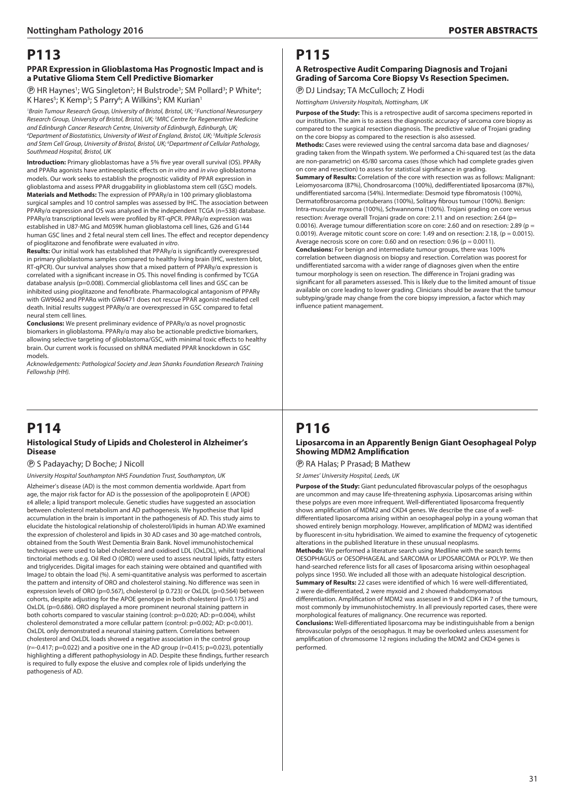#### **PPAR Expression in Glioblastoma Has Prognostic Impact and is a Putative Glioma Stem Cell Predictive Biomarker**

**@ HR Haynes<sup>1</sup>; WG Singleton<sup>2</sup>; H Bulstrode<sup>3</sup>; SM Pollard<sup>3</sup>; P White<sup>4</sup>;** K Hares<sup>5</sup>; K Kemp<sup>5</sup>; S Parry<sup>6</sup>; A Wilkins<sup>5</sup>; KM Kurian<sup>1</sup>

*1 Brain Tumour Research Group, University of Bristol, Bristol, UK; 2 Functional Neurosurgery Research Group, University of Bristol, Bristol, UK; 3 MRC Centre for Regenerative Medicine and Edinburgh Cancer Research Centre, University of Edinburgh, Edinburgh, UK; 4 Department of Biostatistics, University of West of England, Bristol, UK; 5 Multiple Sclerosis and Stem Cell Group, University of Bristol, Bristol, UK; 6 Department of Cellular Pathology, Southmead Hospital, Bristol, UK*

**Introduction:** Primary glioblastomas have a 5% five year overall survival (OS). PPARγ and PPARα agonists have antineoplastic effects on *in vitro* and *in vivo* glioblastoma models. Our work seeks to establish the prognostic validity of PPAR expression in glioblastoma and assess PPAR druggability in glioblastoma stem cell (GSC) models. **Materials and Methods:** The expression of PPARγ/α in 100 primary glioblastoma surgical samples and 10 control samples was assessed by IHC. The association between PPARγ/α expression and OS was analysed in the independent TCGA (n=538) database. PPARγ/α transcriptional levels were profiled by RT-qPCR. PPARγ/α expression was established in U87-MG and M059K human glioblastoma cell lines, G26 and G144 human GSC lines and 2 fetal neural stem cell lines. The effect and receptor dependency of pioglitazone and fenofibrate were evaluated *in vitro*.

**Results:** Our initial work has established that PPARγ/α is significantly overexpressed in primary glioblastoma samples compared to healthy living brain (IHC, western blot, RT-qPCR). Our survival analyses show that a mixed pattern of PPARγ/α expression is correlated with a significant increase in OS. This novel finding is confirmed by TCGA database analysis (p=0.008). Commercial glioblastoma cell lines and GSC can be inhibited using pioglitazone and fenofibrate. Pharmacological antagonism of PPARγ with GW9662 and PPARα with GW6471 does not rescue PPAR agonist-mediated cell death. Initial results suggest PPARγ/α are overexpressed in GSC compared to fetal neural stem cell lines.

**Conclusions:** We present preliminary evidence of PPARγ/α as novel prognostic biomarkers in glioblastoma. PPARγ/α may also be actionable predictive biomarkers, allowing selective targeting of glioblastoma/GSC, with minimal toxic effects to healthy brain. Our current work is focussed on shRNA mediated PPAR knockdown in GSC models.

*Acknowledgements: Pathological Society and Jean Shanks Foundation Research Training Fellowship (HH).* 

### **P114 Histological Study of Lipids and Cholesterol in Alzheimer's Disease**

#### P S Padayachy; D Boche; J Nicoll

*University Hospital Southampton NHS Foundation Trust, Southampton, UK*

Alzheimer's disease (AD) is the most common dementia worldwide. Apart from age, the major risk factor for AD is the possession of the apolipoprotein E (APOE) ε4 allele; a lipid transport molecule. Genetic studies have suggested an association between cholesterol metabolism and AD pathogenesis. We hypothesise that lipid accumulation in the brain is important in the pathogenesis of AD. This study aims to elucidate the histological relationship of cholesterol/lipids in human AD.We examined the expression of cholesterol and lipids in 30 AD cases and 30 age-matched controls, obtained from the South West Dementia Brain Bank. Novel immunohistochemical techniques were used to label cholesterol and oxidised LDL (OxLDL), whilst traditional tinctorial methods e.g. Oil Red O (ORO) were used to assess neutral lipids, fatty esters and triglycerides. Digital images for each staining were obtained and quantified with ImageJ to obtain the load (%). A semi-quantitative analysis was performed to ascertain the pattern and intensity of ORO and cholesterol staining. No difference was seen in expression levels of ORO (p=0.567), cholesterol (p 0.723) or OxLDL (p=0.564) between cohorts, despite adjusting for the APOE genotype in both cholesterol (p=0.175) and OxLDL (p=0.686). ORO displayed a more prominent neuronal staining pattern in both cohorts compared to vascular staining (control: p=0.020; AD: p=0.004), whilst cholesterol demonstrated a more cellular pattern (control: p=0.002; AD: p<0.001). OxLDL only demonstrated a neuronal staining pattern. Correlations between cholesterol and OxLDL loads showed a negative association in the control group  $(r=-0.417; p=0.022)$  and a positive one in the AD group (r=0.415; p=0.023), potentially highlighting a different pathophysiology in AD. Despite these findings, further research is required to fully expose the elusive and complex role of lipids underlying the pathogenesis of AD.

# **P115**

#### **A Retrospective Audit Comparing Diagnosis and Trojani Grading of Sarcoma Core Biopsy Vs Resection Specimen.**

P DJ Lindsay; TA McCulloch; Z Hodi

*Nottingham University Hospitals, Nottingham, UK*

**Purpose of the Study:** This is a retrospective audit of sarcoma specimens reported in our institution. The aim is to assess the diagnostic accuracy of sarcoma core biopsy as compared to the surgical resection diagnosis. The predictive value of Trojani grading on the core biopsy as compared to the resection is also assessed.

**Methods:** Cases were reviewed using the central sarcoma data base and diagnoses/ grading taken from the Winpath system. We performed a Chi-squared test (as the data are non-parametric) on 45/80 sarcoma cases (those which had complete grades given on core and resection) to assess for statistical significance in grading.

**Summary of Results:** Correlation of the core with resection was as follows: Malignant: Leiomyosarcoma (87%), Chondrosarcoma (100%), dedifferentiated liposarcoma (87%), undifferentiated sarcoma (54%). Intermediate: Desmoid type fibromatosis (100%), Dermatofibrosarcoma protuberans (100%), Solitary fibrous tumour (100%). Benign: Intra-muscular myxoma (100%), Schwannoma (100%). Trojani grading on core versus resection: Average overall Trojani grade on core: 2.11 and on resection: 2.64 (p= 0.0016). Average tumour differentiation score on core: 2.60 and on resection: 2.89 ( $p =$ 0.0019). Average mitotic count score on core: 1.49 and on resection: 2.18, ( $p = 0.0015$ ). Average necrosis score on core: 0.60 and on resection: 0.96 ( $p = 0.0011$ ).

**Conclusions:** For benign and intermediate tumour groups, there was 100% correlation between diagnosis on biopsy and resection. Correlation was poorest for undifferentiated sarcoma with a wider range of diagnoses given when the entire tumour morphology is seen on resection. The difference in Trojani grading was significant for all parameters assessed. This is likely due to the limited amount of tissue available on core leading to lower grading. Clinicians should be aware that the tumour subtyping/grade may change from the core biopsy impression, a factor which may influence patient management.

# **P116**

#### **Liposarcoma in an Apparently Benign Giant Oesophageal Polyp Showing MDM2 Amplification**

P RA Halas; P Prasad; B Mathew

*St James' University Hospital, Leeds, UK*

**Purpose of the Study:** Giant pedunculated fibrovascular polyps of the oesophagus are uncommon and may cause life-threatening asphyxia. Liposarcomas arising within these polyps are even more infrequent. Well-differentiated liposarcoma frequently shows amplification of MDM2 and CKD4 genes. We describe the case of a welldifferentiated liposarcoma arising within an oesophageal polyp in a young woman that showed entirely benign morphology. However, amplification of MDM2 was identified by fluorescent in-situ hybridisation. We aimed to examine the frequency of cytogenetic alterations in the published literature in these unusual neoplasms.

**Methods:** We performed a literature search using Medlline with the search terms OESOPHAGUS or OESOPHAGEAL and SARCOMA or LIPOSARCOMA or POLYP. We then hand-searched reference lists for all cases of liposarcoma arising within oesophageal polyps since 1950. We included all those with an adequate histological description. **Summary of Results:** 22 cases were identified of which 16 were well-differentiated, 2 were de-differentiated, 2 were myxoid and 2 showed rhabdomyomatous differentiation. Amplification of MDM2 was assessed in 9 and CDK4 in 7 of the tumours,

most commonly by immunohistochemistry. In all previously reported cases, there were morphological features of malignancy. One recurrence was reported. **Conclusions:** Well-differentiated liposarcoma may be indistinguishable from a benign

fibrovascular polyps of the oesophagus. It may be overlooked unless assessment for amplification of chromosome 12 regions including the MDM2 and CKD4 genes is performed.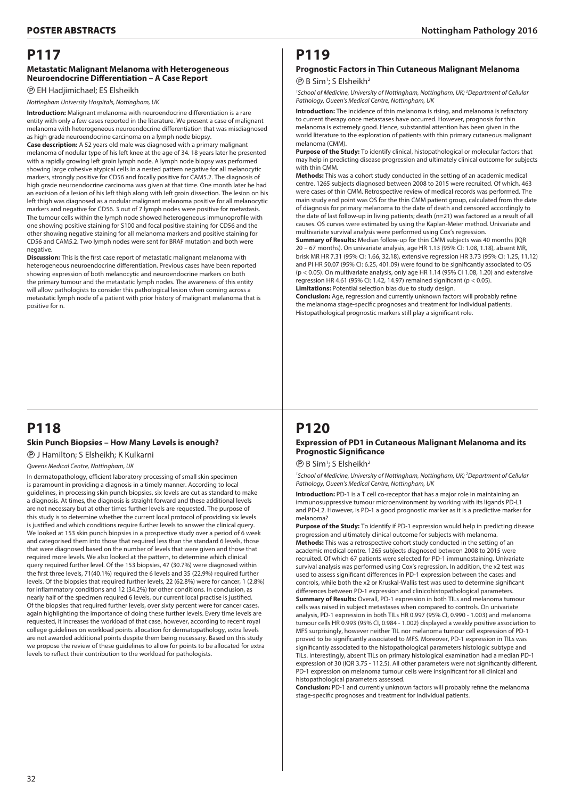#### **Metastatic Malignant Melanoma with Heterogeneous Neuroendocrine Differentiation – A Case Report**

P EH Hadjimichael; ES Elsheikh

*Nottingham University Hospitals, Nottingham, UK*

**Introduction:** Malignant melanoma with neuroendocrine differentiation is a rare entity with only a few cases reported in the literature. We present a case of malignant melanoma with heterogeneous neuroendocrine differentiation that was misdiagnosed as high grade neuroendocrine carcinoma on a lymph node biopsy.

**Case description:** A 52 years old male was diagnosed with a primary malignant melanoma of nodular type of his left knee at the age of 34. 18 years later he presented with a rapidly growing left groin lymph node. A lymph node biopsy was performed showing large cohesive atypical cells in a nested pattern negative for all melanocytic markers, strongly positive for CD56 and focally positive for CAM5.2. The diagnosis of high grade neuroendocrine carcinoma was given at that time. One month later he had an excision of a lesion of his left thigh along with left groin dissection. The lesion on his left thigh was diagnosed as a nodular malignant melanoma positive for all melanocytic markers and negative for CD56. 3 out of 7 lymph nodes were positive for metastasis. The tumour cells within the lymph node showed heterogeneous immunoprofile with one showing positive staining for S100 and focal positive staining for CD56 and the other showing negative staining for all melanoma markers and positive staining for CD56 and CAM5.2. Two lymph nodes were sent for BRAF mutation and both were negative.

**Discussion:** This is the first case report of metastatic malignant melanoma with heterogeneous neuroendocrine differentiation. Previous cases have been reported showing expression of both melanocytic and neuroendocrine markers on both the primary tumour and the metastatic lymph nodes. The awareness of this entity will allow pathologists to consider this pathological lesion when coming across a metastatic lymph node of a patient with prior history of malignant melanoma that is positive for n.

### **P118 Skin Punch Biopsies – How Many Levels is enough?**

P J Hamilton; S Elsheikh; K Kulkarni

*Queens Medical Centre, Nottingham, UK*

In dermatopathology, efficient laboratory processing of small skin specimen is paramount in providing a diagnosis in a timely manner. According to local guidelines, in processing skin punch biopsies, six levels are cut as standard to make a diagnosis. At times, the diagnosis is straight forward and these additional levels are not necessary but at other times further levels are requested. The purpose of this study is to determine whether the current local protocol of providing six levels is justified and which conditions require further levels to answer the clinical query. We looked at 153 skin punch biopsies in a prospective study over a period of 6 week and categorised them into those that required less than the standard 6 levels, those that were diagnosed based on the number of levels that were given and those that required more levels. We also looked at the pattern, to determine which clinical query required further level. Of the 153 biopsies, 47 (30.7%) were diagnosed within the first three levels, 71(40.1%) required the 6 levels and 35 (22.9%) required further levels. Of the biopsies that required further levels, 22 (62.8%) were for cancer, 1 (2.8%) for inflammatory conditions and 12 (34.2%) for other conditions. In conclusion, as nearly half of the specimen required 6 levels, our current local practise is justified. Of the biopsies that required further levels, over sixty percent were for cancer cases, again highlighting the importance of doing these further levels. Every time levels are requested, it increases the workload of that case, however, according to recent royal college guidelines on workload points allocation for dermatopathology, extra levels are not awarded additional points despite them being necessary. Based on this study we propose the review of these guidelines to allow for points to be allocated for extra levels to reflect their contribution to the workload for pathologists.

# **P119**

#### **Prognostic Factors in Thin Cutaneous Malignant Melanoma (B)** B Sim<sup>1</sup>; S Elsheikh<sup>2</sup>

<sup>1</sup>School of Medicine, University of Nottingham, Nottingham, UK; <sup>2</sup>Department of Cellular *Pathology, Queen's Medical Centre, Nottingham, UK*

**Introduction:** The incidence of thin melanoma is rising, and melanoma is refractory to current therapy once metastases have occurred. However, prognosis for thin melanoma is extremely good. Hence, substantial attention has been given in the world literature to the exploration of patients with thin primary cutaneous malignant melanoma (CMM).

**Purpose of the Study:** To identify clinical, histopathological or molecular factors that may help in predicting disease progression and ultimately clinical outcome for subjects with thin CMM.

**Methods:** This was a cohort study conducted in the setting of an academic medical centre. 1265 subjects diagnosed between 2008 to 2015 were recruited. Of which, 463 were cases of thin CMM. Retrospective review of medical records was performed. The main study end point was OS for the thin CMM patient group, calculated from the date of diagnosis for primary melanoma to the date of death and censored accordingly to the date of last follow-up in living patients; death (n=21) was factored as a result of all causes. OS curves were estimated by using the Kaplan-Meier method. Univariate and multivariate survival analysis were performed using Cox's regression.

**Summary of Results:** Median follow-up for thin CMM subjects was 40 months (IQR 20 – 67 months). On univariate analysis, age HR 1.13 (95% CI: 1.08, 1.18), absent MR, brisk MR HR 7.31 (95% CI: 1.66, 32.18), extensive regression HR 3.73 (95% CI: 1.25, 11.12) and PI HR 50.07 (95% CI: 6.25, 401.09) were found to be significantly associated to OS (p < 0.05). On multivariate analysis, only age HR 1.14 (95% CI 1.08, 1.20) and extensive regression HR 4.61 (95% CI: 1.42, 14.97) remained significant (p < 0.05). **Limitations:** Potential selection bias due to study design.

**Conclusion:** Age, regression and currently unknown factors will probably refine the melanoma stage-specific prognoses and treatment for individual patients. Histopathological prognostic markers still play a significant role.

# **P120**

#### **Expression of PD1 in Cutaneous Malignant Melanoma and its Prognostic Significance**

**<sup>@</sup>** B Sim<sup>1</sup>; S Elsheikh<sup>2</sup>

<sup>1</sup> School of Medicine, University of Nottingham, Nottingham, UK; <sup>2</sup> Department of Cellular *Pathology, Queen's Medical Centre, Nottingham, UK*

**Introduction:** PD-1 is a T cell co-receptor that has a major role in maintaining an immunosuppressive tumour microenvironment by working with its ligands PD-L1 and PD-L2. However, is PD-1 a good prognostic marker as it is a predictive marker for melanoma?

**Purpose of the Study:** To identify if PD-1 expression would help in predicting disease progression and ultimately clinical outcome for subjects with melanoma. **Methods:** This was a retrospective cohort study conducted in the setting of an academic medical centre. 1265 subjects diagnosed between 2008 to 2015 were recruited. Of which 67 patients were selected for PD-1 immunostaining. Univariate survival analysis was performed using Cox's regression. In addition, the x2 test was used to assess significant differences in PD-1 expression between the cases and controls, while both the x2 or Kruskal-Wallis test was used to determine significant differences between PD-1 expression and clinicohistopathological parameters. **Summary of Results:** Overall, PD-1 expression in both TILs and melanoma tumour cells was raised in subject metastases when compared to controls. On univariate analysis, PD-1 expression in both TILs HR 0.997 (95% CI, 0.990 - 1.003) and melanoma tumour cells HR 0.993 (95% CI, 0.984 - 1.002) displayed a weakly positive association to MFS surprisingly, however neither TIL nor melanoma tumour cell expression of PD-1 proved to be significantly associated to MFS. Moreover, PD-1 expression in TILs was significantly associated to the histopathological parameters histologic subtype and TILs. Interestingly, absent TILs on primary histological examination had a median PD-1 expression of 30 (IQR 3.75 - 112.5). All other parameters were not significantly different. PD-1 expression on melanoma tumour cells were insignificant for all clinical and histopathological parameters assessed.

**Conclusion:** PD-1 and currently unknown factors will probably refine the melanoma stage-specific prognoses and treatment for individual patients.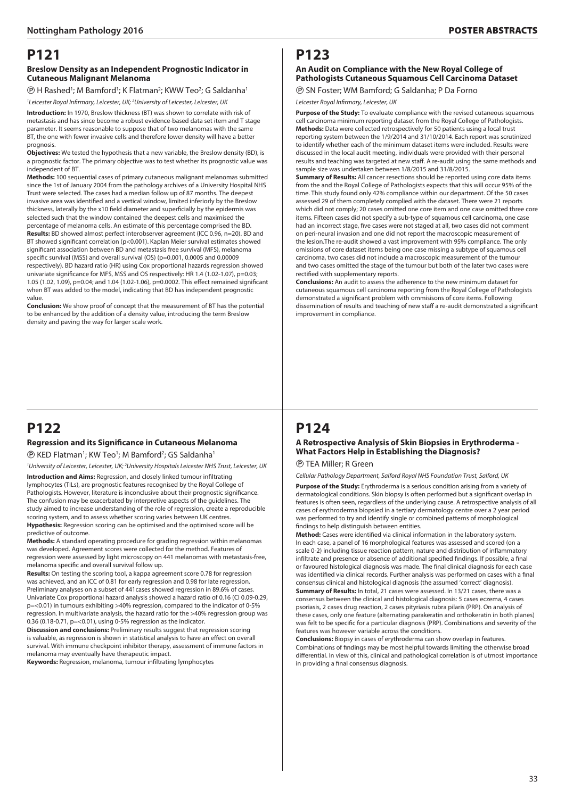#### **Breslow Density as an Independent Prognostic Indicator in Cutaneous Malignant Melanoma**

**@ H Rashed1; M Bamford1; K Flatman<sup>2</sup>; KWW Teo<sup>2</sup>; G Saldanha<sup>1</sup>** <sup>1</sup>Leicester Royal Infirmary, Leicester, UK; <sup>2</sup>University of Leicester, Leicester, UK

**Introduction:** In 1970, Breslow thickness (BT) was shown to correlate with risk of metastasis and has since become a robust evidence-based data set item and T stage parameter. It seems reasonable to suppose that of two melanomas with the same BT, the one with fewer invasive cells and therefore lower density will have a better prognosis.

**Objectives:** We tested the hypothesis that a new variable, the Breslow density (BD), is a prognostic factor. The primary objective was to test whether its prognostic value was independent of BT.

**Methods:** 100 sequential cases of primary cutaneous malignant melanomas submitted since the 1st of January 2004 from the pathology archives of a University Hospital NHS Trust were selected. The cases had a median follow up of 87 months. The deepest invasive area was identified and a vertical window, limited inferiorly by the Breslow thickness, laterally by the x10 field diameter and superficially by the epidermis was selected such that the window contained the deepest cells and maximised the

percentage of melanoma cells. An estimate of this percentage comprised the BD. **Results:** BD showed almost perfect interobserver agreement (ICC 0.96, n=20). BD and BT showed significant correlation (p<0.001). Kaplan Meier survival estimates showed significant association between BD and metastasis free survival (MFS), melanoma specific survival (MSS) and overall survival (OS) (p=0.001, 0.0005 and 0.00009 respectively). BD hazard ratio (HR) using Cox proportional hazards regression showed univariate significance for MFS, MSS and OS respectively: HR 1.4 (1.02-1.07), p=0.03; 1.05 (1.02, 1.09), p=0.04; and 1.04 (1.02-1.06), p=0.0002. This effect remained significant when BT was added to the model, indicating that BD has independent prognostic value.

**Conclusion:** We show proof of concept that the measurement of BT has the potential to be enhanced by the addition of a density value, introducing the term Breslow density and paving the way for larger scale work.

# **P123**

#### **An Audit on Compliance with the New Royal College of Pathologists Cutaneous Squamous Cell Carcinoma Dataset**

P SN Foster; WM Bamford; G Saldanha; P Da Forno

*Leicester Royal Infirmary, Leicester, UK*

Purpose of the Study: To evaluate compliance with the revised cutaneous squamous cell carcinoma minimum reporting dataset from the Royal College of Pathologists. **Methods:** Data were collected retrospectively for 50 patients using a local trust reporting system between the 1/9/2014 and 31/10/2014. Each report was scrutinized to identify whether each of the minimum dataset items were included. Results were discussed in the local audit meeting, individuals were provided with their personal results and teaching was targeted at new staff. A re-audit using the same methods and sample size was undertaken between 1/8/2015 and 31/8/2015.

**Summary of Results:** All cancer resections should be reported using core data items from the and the Royal College of Pathologists expects that this will occur 95% of the time. This study found only 42% compliance within our department. Of the 50 cases assessed 29 of them completely complied with the dataset. There were 21 reports which did not comply; 20 cases omitted one core item and one case omitted three core items. Fifteen cases did not specify a sub-type of squamous cell carcinoma, one case had an incorrect stage, five cases were not staged at all, two cases did not comment on peri-neural invasion and one did not report the macroscopic measurement of the lesion.The re-audit showed a vast improvement with 95% compliance. The only omissions of core dataset items being one case missing a subtype of squamous cell carcinoma, two cases did not include a macroscopic measurement of the tumour and two cases omitted the stage of the tumour but both of the later two cases were rectified with supplementary reports.

**Conclusions:** An audit to assess the adherence to the new minimum dataset for cutaneous squamous cell carcinoma reporting from the Royal College of Pathologists demonstrated a significant problem with ommisisons of core items. Following dissemination of results and teaching of new staff a re-audit demonstrated a significant improvement in compliance.

### **P122 Regression and its Significance in Cutaneous Melanoma**

### **<sup>®</sup> KED Flatman<sup>1</sup>; KW Teo<sup>1</sup>; M Bamford<sup>2</sup>; GS Saldanha<sup>1</sup>**

<sup>1</sup>University of Leicester, Leicester, UK; <sup>2</sup>University Hospitals Leicester NHS Trust, Leicester, UK

**Introduction and Aims:** Regression, and closely linked tumour infiltrating lymphocytes (TILs), are prognostic features recognised by the Royal College of Pathologists. However, literature is inconclusive about their prognostic significance. The confusion may be exacerbated by interpretive aspects of the guidelines. The study aimed to increase understanding of the role of regression, create a reproducible scoring system, and to assess whether scoring varies between UK centres. **Hypothesis:** Regression scoring can be optimised and the optimised score will be predictive of outcome.

**Methods:** A standard operating procedure for grading regression within melanomas was developed. Agreement scores were collected for the method. Features of regression were assessed by light microscopy on 441 melanomas with metastasis-free, melanoma specific and overall survival follow up.

**Results:** On testing the scoring tool, a kappa agreement score 0.78 for regression was achieved, and an ICC of 0.81 for early regression and 0.98 for late regression. Preliminary analyses on a subset of 441cases showed regression in 89.6% of cases. Univariate Cox proportional hazard analysis showed a hazard ratio of 0.16 (CI 0.09-0.29, p=<0.01) in tumours exhibiting >40% regression, compared to the indicator of 0-5% regression. In multivariate analysis, the hazard ratio for the >40% regression group was 0.36 (0.18-0.71, p=<0.01), using 0-5% regression as the indicator.

**Discussion and conclusions:** Preliminary results suggest that regression scoring is valuable, as regression is shown in statistical analysis to have an effect on overall survival. With immune checkpoint inhibitor therapy, assessment of immune factors in melanoma may eventually have therapeutic impact.

**Keywords:** Regression, melanoma, tumour infiltrating lymphocytes

# **P124**

#### **A Retrospective Analysis of Skin Biopsies in Erythroderma - What Factors Help in Establishing the Diagnosis?**

P TEA Miller; R Green

*Cellular Pathology Department, Salford Royal NHS Foundation Trust, Salford, UK*

Purpose of the Study: Erythroderma is a serious condition arising from a variety of dermatological conditions. Skin biopsy is often performed but a significant overlap in features is often seen, regardless of the underlying cause. A retrospective analysis of all cases of erythroderma biopsied in a tertiary dermatology centre over a 2 year period was performed to try and identify single or combined patterns of morphological findings to help distinguish between entities.

**Method:** Cases were identified via clinical information in the laboratory system. In each case, a panel of 16 morphological features was assessed and scored (on a scale 0-2) including tissue reaction pattern, nature and distribution of inflammatory infiltrate and presence or absence of additional specified findings. If possible, a final or favoured histological diagnosis was made. The final clinical diagnosis for each case was identified via clinical records. Further analysis was performed on cases with a final consensus clinical and histological diagnosis (the assumed 'correct' diagnosis). **Summary of Results:** In total, 21 cases were assessed. In 13/21 cases, there was a consensus between the clinical and histological diagnosis: 5 cases eczema, 4 cases psoriasis, 2 cases drug reaction, 2 cases pityriasis rubra pilaris (PRP). On analysis of these cases, only one feature (alternating parakeratin and orthokeratin in both planes)

was felt to be specific for a particular diagnosis (PRP). Combinations and severity of the features was however variable across the conditions. **Conclusions:** Biopsy in cases of erythroderma can show overlap in features.

Combinations of findings may be most helpful towards limiting the otherwise broad differential. In view of this, clinical and pathological correlation is of utmost importance in providing a final consensus diagnosis.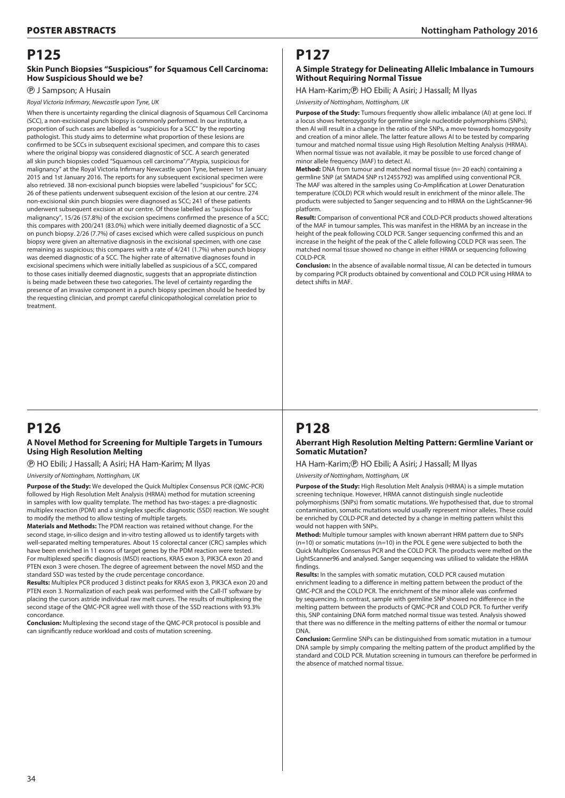#### **Skin Punch Biopsies "Suspicious" for Squamous Cell Carcinoma: How Suspicious Should we be?**

P J Sampson; A Husain

*Royal Victoria Infirmary, Newcastle upon Tyne, UK*

When there is uncertainty regarding the clinical diagnosis of Squamous Cell Carcinoma (SCC), a non-excisional punch biopsy is commonly performed. In our institute, a proportion of such cases are labelled as "suspicious for a SCC" by the reporting pathologist. This study aims to determine what proportion of these lesions are confirmed to be SCCs in subsequent excisional specimen, and compare this to cases where the original biopsy was considered diagnostic of SCC. A search generated all skin punch biopsies coded "Squamous cell carcinoma"/"Atypia, suspicious for malignancy" at the Royal Victoria Infirmary Newcastle upon Tyne, between 1st January 2015 and 1st January 2016. The reports for any subsequent excisional specimen were also retrieved. 38 non-excisional punch biopsies were labelled "suspicious" for SCC; 26 of these patients underwent subsequent excision of the lesion at our centre. 274 non-excisional skin punch biopsies were diagnosed as SCC; 241 of these patients underwent subsequent excision at our centre. Of those labelled as "suspicious for malignancy", 15/26 (57.8%) of the excision specimens confirmed the presence of a SCC; this compares with 200/241 (83.0%) which were initially deemed diagnostic of a SCC on punch biopsy. 2/26 (7.7%) of cases excised which were called suspicious on punch biopsy were given an alternative diagnosis in the excisional specimen, with one case remaining as suspicious; this compares with a rate of 4/241 (1.7%) when punch biopsy was deemed diagnostic of a SCC. The higher rate of alternative diagnoses found in excisional specimens which were initially labelled as suspicious of a SCC, compared to those cases initially deemed diagnostic, suggests that an appropriate distinction is being made between these two categories. The level of certainty regarding the presence of an invasive component in a punch biopsy specimen should be heeded by the requesting clinician, and prompt careful clinicopathological correlation prior to treatment.

# **P126**

#### **A Novel Method for Screening for Multiple Targets in Tumours Using High Resolution Melting**

P HO Ebili; J Hassall; A Asiri; HA Ham-Karim; M Ilyas

*University of Nottingham, Nottingham, UK*

**Purpose of the Study:** We developed the Quick Multiplex Consensus PCR (QMC-PCR) followed by High Resolution Melt Analysis (HRMA) method for mutation screening in samples with low quality template. The method has two-stages: a pre-diagnostic multiplex reaction (PDM) and a singleplex specific diagnostic (SSD) reaction. We sought to modify the method to allow testing of multiple targets.

**Materials and Methods:** The PDM reaction was retained without change. For the second stage, in-silico design and in-vitro testing allowed us to identify targets with well-separated melting temperatures. About 15 colorectal cancer (CRC) samples which have been enriched in 11 exons of target genes by the PDM reaction were tested. For multiplexed specific diagnosis (MSD) reactions, KRAS exon 3, PIK3CA exon 20 and PTEN exon 3 were chosen. The degree of agreement between the novel MSD and the standard SSD was tested by the crude percentage concordance.

**Results:** Multiplex PCR produced 3 distinct peaks for KRAS exon 3, PIK3CA exon 20 and PTEN exon 3. Normalization of each peak was performed with the Call-IT software by placing the cursors astride individual raw melt curves. The results of multiplexing the second stage of the QMC-PCR agree well with those of the SSD reactions with 93.3% concordance.

**Conclusion:** Multiplexing the second stage of the QMC-PCR protocol is possible and can significantly reduce workload and costs of mutation screening.

# **P127**

#### **A Simple Strategy for Delineating Allelic Imbalance in Tumours Without Requiring Normal Tissue**

HA Ham-Karim; ® HO Ebili; A Asiri; J Hassall; M Ilyas

*University of Nottingham, Nottingham, UK*

Purpose of the Study: Tumours frequently show allelic imbalance (AI) at gene loci. If a locus shows heterozygosity for germline single nucleotide polymorphisms (SNPs), then AI will result in a change in the ratio of the SNPs, a move towards homozygosity and creation of a minor allele. The latter feature allows AI to be tested by comparing tumour and matched normal tissue using High Resolution Melting Analysis (HRMA). When normal tissue was not available, it may be possible to use forced change of minor allele frequency (MAF) to detect AI.

**Method:** DNA from tumour and matched normal tissue (n= 20 each) containing a germline SNP (at SMAD4 SNP rs12455792) was amplified using conventional PCR. The MAF was altered in the samples using Co-Amplification at Lower Denaturation temperature (COLD) PCR which would result in enrichment of the minor allele. The products were subjected to Sanger sequencing and to HRMA on the LightScanner-96 platform.

**Result:** Comparison of conventional PCR and COLD-PCR products showed alterations of the MAF in tumour samples. This was manifest in the HRMA by an increase in the height of the peak following COLD PCR. Sanger sequencing confirmed this and an increase in the height of the peak of the C allele following COLD PCR was seen. The matched normal tissue showed no change in either HRMA or sequencing following COLD-PCR.

**Conclusion:** In the absence of available normal tissue, AI can be detected in tumours by comparing PCR products obtained by conventional and COLD PCR using HRMA to detect shifts in MAF.

# **P128**

#### **Aberrant High Resolution Melting Pattern: Germline Variant or Somatic Mutation?**

HA Ham-Karim; ® HO Ebili; A Asiri; J Hassall; M Ilyas

*University of Nottingham, Nottingham, UK*

**Purpose of the Study:** High Resolution Melt Analysis (HRMA) is a simple mutation screening technique. However, HRMA cannot distinguish single nucleotide polymorphisms (SNPs) from somatic mutations. We hypothesised that, due to stromal contamination, somatic mutations would usually represent minor alleles. These could be enriched by COLD-PCR and detected by a change in melting pattern whilst this would not happen with SNPs.

**Method:** Multiple tumour samples with known aberrant HRM pattern due to SNPs (n=10) or somatic mutations (n=10) in the POL E gene were subjected to both the Quick Multiplex Consensus PCR and the COLD PCR. The products were melted on the LightScanner96 and analysed. Sanger sequencing was utilised to validate the HRMA findings.

**Results:** In the samples with somatic mutation, COLD PCR caused mutation enrichment leading to a difference in melting pattern between the product of the QMC-PCR and the COLD PCR. The enrichment of the minor allele was confirmed by sequencing. In contrast, sample with germline SNP showed no difference in the melting pattern between the products of QMC-PCR and COLD PCR. To further verify this, SNP containing DNA form matched normal tissue was tested. Analysis showed that there was no difference in the melting patterns of either the normal or tumour DNA.

**Conclusion:** Germline SNPs can be distinguished from somatic mutation in a tumour DNA sample by simply comparing the melting pattern of the product amplified by the standard and COLD PCR. Mutation screening in tumours can therefore be performed in the absence of matched normal tissue.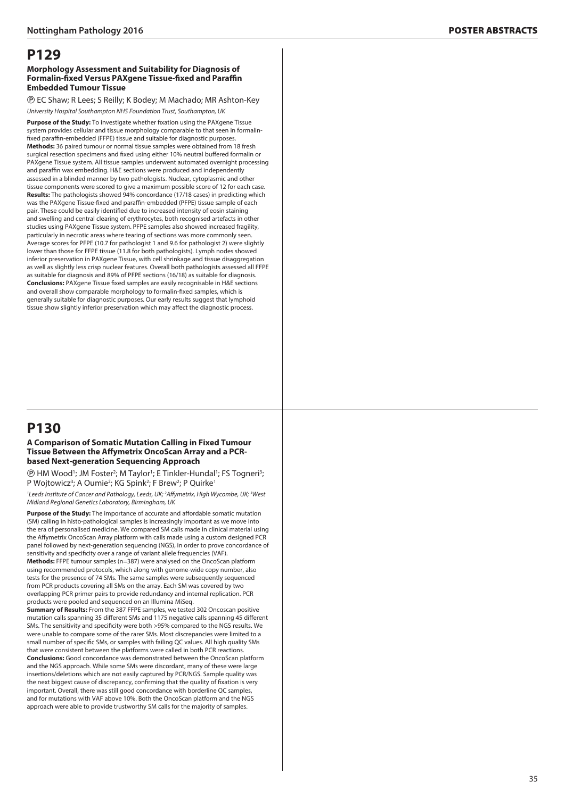#### **Morphology Assessment and Suitability for Diagnosis of Formalin-fixed Versus PAXgene Tissue-fixed and Paraffin Embedded Tumour Tissue**

P EC Shaw; R Lees; S Reilly; K Bodey; M Machado; MR Ashton-Key *University Hospital Southampton NHS Foundation Trust, Southampton, UK*

**Purpose of the Study:** To investigate whether fixation using the PAXgene Tissue system provides cellular and tissue morphology comparable to that seen in formalinfixed paraffin-embedded (FFPE) tissue and suitable for diagnostic purposes. **Methods:** 36 paired tumour or normal tissue samples were obtained from 18 fresh surgical resection specimens and fixed using either 10% neutral buffered formalin or PAXgene Tissue system. All tissue samples underwent automated overnight processing and paraffin wax embedding. H&E sections were produced and independently assessed in a blinded manner by two pathologists. Nuclear, cytoplasmic and other tissue components were scored to give a maximum possible score of 12 for each case. **Results:** The pathologists showed 94% concordance (17/18 cases) in predicting which was the PAXgene Tissue-fixed and paraffin-embedded (PFPE) tissue sample of each pair. These could be easily identified due to increased intensity of eosin staining and swelling and central clearing of erythrocytes, both recognised artefacts in other studies using PAXgene Tissue system. PFPE samples also showed increased fragility, particularly in necrotic areas where tearing of sections was more commonly seen. Average scores for PFPE (10.7 for pathologist 1 and 9.6 for pathologist 2) were slightly lower than those for FFPE tissue (11.8 for both pathologists). Lymph nodes showed inferior preservation in PAXgene Tissue, with cell shrinkage and tissue disaggregation as well as slightly less crisp nuclear features. Overall both pathologists assessed all FFPE as suitable for diagnosis and 89% of PFPE sections (16/18) as suitable for diagnosis. **Conclusions:** PAXgene Tissue fixed samples are easily recognisable in H&E sections and overall show comparable morphology to formalin-fixed samples, which is generally suitable for diagnostic purposes. Our early results suggest that lymphoid tissue show slightly inferior preservation which may affect the diagnostic process.

# **P130**

#### **A Comparison of Somatic Mutation Calling in Fixed Tumour Tissue Between the Affymetrix OncoScan Array and a PCRbased Next-generation Sequencing Approach**

*<b>@ HM Wood<sup>1</sup>; JM Foster<sup>2</sup>; M Taylor<sup>1</sup>; E Tinkler-Hundal<sup>1</sup>; FS Togneri<sup>3</sup>;* P Wojtowicz<sup>3</sup>; A Oumie<sup>2</sup>; KG Spink<sup>2</sup>; F Brew<sup>2</sup>; P Quirke<sup>1</sup>

<sup>1</sup> Leeds Institute of Cancer and Pathology, Leeds, UK; <sup>2</sup> Affymetrix, High Wycombe, UK; <sup>3</sup> West *Midland Regional Genetics Laboratory, Birmingham, UK*

**Purpose of the Study:** The importance of accurate and affordable somatic mutation (SM) calling in histo-pathological samples is increasingly important as we move into the era of personalised medicine. We compared SM calls made in clinical material using the Affymetrix OncoScan Array platform with calls made using a custom designed PCR panel followed by next-generation sequencing (NGS), in order to prove concordance of sensitivity and specificity over a range of variant allele frequencies (VAF). **Methods:** FFPE tumour samples (n=387) were analysed on the OncoScan platform using recommended protocols, which along with genome-wide copy number, also tests for the presence of 74 SMs. The same samples were subsequently sequenced from PCR products covering all SMs on the array. Each SM was covered by two overlapping PCR primer pairs to provide redundancy and internal replication. PCR

products were pooled and sequenced on an Illumina MiSeq. **Summary of Results:** From the 387 FFPE samples, we tested 302 Oncoscan positive mutation calls spanning 35 different SMs and 1175 negative calls spanning 45 different

SMs. The sensitivity and specificity were both >95% compared to the NGS results. We were unable to compare some of the rarer SMs. Most discrepancies were limited to a small number of specific SMs, or samples with failing QC values. All high quality SMs that were consistent between the platforms were called in both PCR reactions.

**Conclusions:** Good concordance was demonstrated between the OncoScan platform and the NGS approach. While some SMs were discordant, many of these were large insertions/deletions which are not easily captured by PCR/NGS. Sample quality was the next biggest cause of discrepancy, confirming that the quality of fixation is very important. Overall, there was still good concordance with borderline QC samples, and for mutations with VAF above 10%. Both the OncoScan platform and the NGS approach were able to provide trustworthy SM calls for the majority of samples.